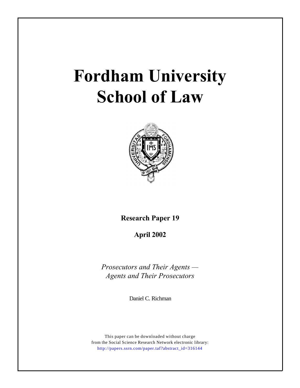# **Fordham University School of Law**



**Research Paper 19**

**April 2002**

*Prosecutors and Their Agents — Agents and Their Prosecutors*

Daniel C. Richman

This paper can be downloaded without charge from the Social Science Research Network electronic library: [http://papers.ssrn.com/paper.taf?abstract\\_id=316144](http://papers.ssrn.com/paper.taf?abstract_id=316144)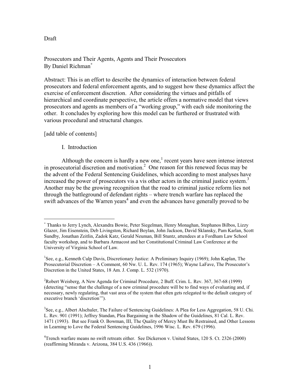### Draft

Prosecutors and Their Agents, Agents and Their Prosecutors By Daniel Richman<sup>\*</sup>

Abstract: This is an effort to describe the dynamics of interaction between federal prosecutors and federal enforcement agents, and to suggest how these dynamics affect the exercise of enforcement discretion. After considering the virtues and pitfalls of hierarchical and coordinate perspective, the article offers a normative model that views prosecutors and agents as members of a "working group," with each side monitoring the other. It concludes by exploring how this model can be furthered or frustrated with various procedural and structural changes.

[add table of contents]

#### I. Introduction

Although the concern is hardly a new one, $\frac{1}{1}$  recent years have seen intense interest in prosecutorial discretion and motivation.<sup>2</sup> One reason for this renewed focus may be the advent of the Federal Sentencing Guidelines, which according to most analyses have increased the power of prosecutors vis a vis other actors in the criminal justice system.<sup>3</sup> Another may be the growing recognition that the road to criminal justice reform lies not through the battleground of defendant rights – where trench warfare has replaced the swift advances of the Warren years<sup>4</sup> and even the advances have generally proved to be

Thanks to Jerry Lynch, Alexandra Bowie, Peter Siegelman, Henry Monaghan, Stephanos Bilbos, Lizzy Glazer, Jim Eisenstein, Deb Livingston, Richard Boylan, John Jackson, David Sklansky, Pam Karlan, Scott Sundby, Jonathan Zeitlin, Zadok Katz, Gerald Neuman, Bill Stuntz, attendees at a Fordham Law School faculty workshop, and to Barbara Armacost and her Constitutional Criminal Law Conference at the University of Virginia School of Law.

<sup>&</sup>lt;sup>1</sup>See, e.g., Kenneth Culp Davis, Discretionary Justice: A Preliminary Inquiry (1969); John Kaplan, The Prosecutorial Discretion - A Comment, 60 Nw. U. L. Rev. 174 (1965); Wayne LaFave, The Prosecutor's Discretion in the United States, 18 Am. J. Comp. L. 532 (1970).

<sup>&</sup>lt;sup>2</sup>Robert Weisberg, A New Agenda for Criminal Procedure, 2 Buff. Crim. L. Rev. 367, 367-68 (1999) (detecting "sense that the challenge of a new criminal procedure will be to find ways of evaluating and, if necessary, newly regulating, that vast area of the system that often gets relegated to the default category of executive branch 'discretion'").

<sup>&</sup>lt;sup>3</sup>See, e.g., Albert Alschuler, The Failure of Sentencing Guidelines: A Plea for Less Aggregation, 58 U. Chi. L. Rev. 901 (1991); Jeffrey Standan, Plea Bargaining in the Shadow of the Guidelines, 81 Cal. L. Rev. 1471 (1993). But see Frank O. Bowman, III, The Quality of Mercy Must Be Restrained, and Other Lessons in Learning to Love the Federal Sentencing Guidelines, 1996 Wisc. L. Rev. 679 (1996).

<sup>&</sup>lt;sup>4</sup>Trench warfare means no swift retreats either. See Dickerson v. United States, 120 S. Ct. 2326 (2000) (reaffirming Miranda v. Arizona, 384 U.S. 436 (1966)).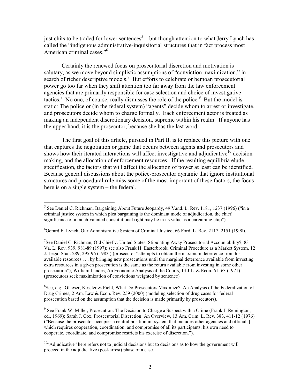just chits to be traded for lower sentences<sup>5</sup> – but though attention to what Jerry Lynch has called the "indigenous administrative-inquisitorial structures that in fact process most American criminal cases."<sup>6</sup>

Certainly the renewed focus on prosecutorial discretion and motivation is salutary, as we move beyond simplistic assumptions of "conviction maximization," in search of richer descriptive models.<sup>7</sup> But efforts to celebrate or bemoan prosecutorial power go too far when they shift attention too far away from the law enforcement agencies that are primarily responsible for case selection and choice of investigative tactics.<sup>8</sup> No one, of course, really dismisses the role of the police.<sup>9</sup> But the model is static: The police or (in the federal system) "agents" decide whom to arrest or investigate, and prosecutors decide whom to charge formally. Each enforcement actor is treated as making an independent discretionary decision, supreme within his realm. If anyone has the upper hand, it is the prosecutor, because she has the last word.

The first goal of this article, pursued in Part II, is to replace this picture with one that captures the negotiation or game that occurs between agents and prosecutors and shows how their iterated interactions will affect investigative and adjudicative<sup>10</sup> decision making, and the allocation of enforcement resources. If the resulting equilibria elude specification, the factors that will affect the allocation of power at least can be identified. Because general discussions about the police-prosecutor dynamic that ignore institutional structures and procedural rule miss some of the most important of these factors, the focus here is on a single system  $-$  the federal.

 ${}^8$ See, e.g., Glaeser, Kessler & Piehl, What Do Prosecutors Maximize? An Analysis of the Federalization of Drug Crimes, 2 Am. Law & Econ. Rev. 259 (2000) (modeling selection of drug cases for federal prosecution based on the assumption that the decision is made primarily by prosecutors).

 $9$  See Frank W. Miller, Prosecution: The Decision to Charge a Suspect with a Crime (Frank J. Remington, ed., 1969); Sarah J. Cox, Prosecutorial Discretion: An Overview, 13 Am. Crim. L. Rev. 383, 411-12 (1976) ("Because the prosecutor occupies a central position in [system that includes other agencies and officials] which requires cooperation, coordination, and compromise of all its participants, his own need to cooperate, coordinate, and compromise restricts his exercise of discretion.").

<sup>&</sup>lt;sup>5</sup> See Daniel C. Richman, Bargaining About Future Jeopardy, 49 Vand. L. Rev. 1181, 1237 (1996) ("in a criminal justice system in which plea bargaining is the dominant mode of adjudication, the chief significance of a much-vaunted constitutional right may lie in its value as a bargaining chip").

<sup>&</sup>lt;sup>6</sup>Gerard E. Lynch, Our Administrative System of Criminal Justice, 66 Ford. L. Rev. 2117, 2151 (1998).

<sup>&</sup>lt;sup>7</sup>See Daniel C. Richman, Old Chief v. United States: Stipulating Away Prosecutorial Accountability?, 83 Va. L. Rev. 939, 981-89 (1997); see also Frank H. Easterbrook, Criminal Procedure as a Market System, 12 J. Legal Stud. 289, 295-96 (1983) (prosecutor "attempts to obtain the maximum deterrence from his available resources . . . by bringing new prosecutions until the marginal deterrence available from investing extra resources in a given prosecution is the same as the return available from investing in some other prosecution"); William Landes, An Economic Analysis of the Courts, 14 J.L. & Econ. 61, 63 (1971) (prosecutors seek maximization of convictions weighted by sentence)

 $10$ . Adjudicative" here refers not to judicial decisions but to decisions as to how the government will proceed in the adjudicative (post-arrest) phase of a case.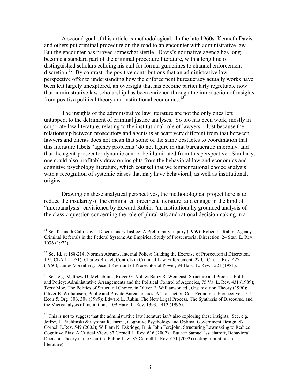A second goal of this article is methodological. In the late 1960s, Kenneth Davis and others put criminal procedure on the road to an encounter with administrative law.<sup>11</sup> But the encounter has proved somewhat sterile. Davis's normative agenda has long become a standard part of the criminal procedure literature, with a long line of distinguished scholars echoing his call for formal guidelines to channel enforcement discretion.<sup>12</sup> By contrast, the positive contributions that an administrative law perspective offer to understanding how the enforcement bureaucracy actually works have been left largely unexplored, an oversight that has become particularly regrettable now that administrative law scholarship has been enriched through the introduction of insights from positive political theory and institutional economics.<sup>13</sup>

The insights of the administrative law literature are not the only ones left untapped, to the detriment of criminal justice analyses. So too has been work, mostly in corporate law literature, relating to the institutional role of lawyers. Just because the relationship between prosecutors and agents is at heart very different from that between lawyers and clients does not mean that some of the same obstacles to coordination that this literature labels "agency problems" do not figure in that bureaucratic interplay, and that the agent-prosecutor dynamic cannot be illuminated from this perspective. Similarly, one could also profitably draw on insights from the behavioral law and economics and cognitive psychology literature, which counsel that we temper rational choice analysis with a recognition of systemic biases that may have behavioral, as well as institutional, origins. $^{14}$ 

Drawing on these analytical perspectives, the methodological project here is to reduce the insularity of the criminal enforcement literature, and engage in the kind of "microanalysis" envisioned by Edward Rubin: "an institutionally grounded analysis of the classic question concerning the role of pluralistic and rational decision making in a

<sup>&</sup>lt;sup>11</sup> See Kenneth Culp Davis, Discretionary Justice: A Preliminary Inquiry (1969); Robert L. Rabin, Agency Criminal Referrals in the Federal System: An Empirical Study of Prosecutorial Discretion, 24 Stan. L. Rev. 1036 (1972).

 $12$  See Id. at 188-214; Norman Abrams, Internal Policy: Guiding the Exercise of Prosecutorial Discretion, 19 UCLA 1 (1971); Charles Breitel, Controls in Criminal Law Enforcement, 27 U. Chi. L. Rev. 427 (1960); James Vorenberg, Decent Restraint of Prosecutorial Power, 94 Harv. L. Rev. 1521 (1981).

<sup>&</sup>lt;sup>13</sup> See, e.g. Matthew D. McCubbins, Roger G. Noll & Barry R. Weingast, Structure and Process, Politics and Policy: Administrative Arrangements and the Political Control of Agencies, 75 Va. L. Rev. 431 (1989); Terry Moe, The Politics of Structural Choice, in Oliver E. Williamson ed., Organization Theory (1990); Oliver E. Williamson, Public and Private Bureaucracies: A Transaction Cost Economics Perspective, 15 J L Econ & Org 306, 308 (1999); Edward L. Rubin, The New Legal Process, The Synthesis of Discourse, and the Microanalysis of Institutions, 109 Harv. L. Rev. 1393, 1413 (1996).

 $14$  This is not to suggest that the administrative law literature isn't also exploring these insights. See, e.g., Jeffrey J. Rachlinski & Cynthia R. Farina, Cognitive Psychology and Optimal Government Design, 87 Cornell L.Rev. 549 (2002); William N. Eskridge, Jr. & John Ferejohn, Structuring Lawmaking to Reduce Cognitive Bias: A Critical View, 87 Cornell L. Rev. 616 (2002). But see Samuel Issacharoff, Behavioral Decision Theory in the Court of Public Law, 87 Cornell L. Rev. 671 (2002) (noting limitations of literature).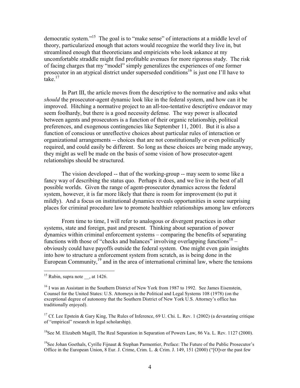democratic system."<sup>15</sup> The goal is to "make sense" of interactions at a middle level of theory, particularized enough that actors would recognize the world they live in, but streamlined enough that theoreticians and empiricists who look askance at my uncomfortable straddle might find profitable avenues for more rigorous study. The risk of facing charges that my "model" simply generalizes the experiences of one former prosecutor in an atypical district under superseded conditions<sup>16</sup> is just one I'll have to  $\int$  take.<sup>17</sup>

In Part III, the article moves from the descriptive to the normative and asks what *should* the prosecutor-agent dynamic look like in the federal system, and how can it be improved. Hitching a normative project to an all-too-tentative descriptive endeavor may seem foolhardy, but there is a good necessity defense. The way power is allocated between agents and prosecutors is a function of their organic relationship, political preferences, and exogenous contingencies like September 11, 2001. But it is also a function of conscious or unreflective choices about particular rules of interaction or organizational arrangements -- choices that are not constitutionally or even politically required, and could easily be different. So long as these choices are being made anyway, they might as well be made on the basis of some vision of how prosecutor-agent relationships should be structured.

The vision developed -- that of the working-group -- may seem to some like a fancy way of describing the status quo. Perhaps it does, and we live in the best of all possible worlds. Given the range of agent-prosecutor dynamics across the federal system, however, it is far more likely that there is room for improvement (to put it mildly). And a focus on institutional dynamics reveals opportunities in some surprising places for criminal procedure law to promote healthier relationships among law enforcers

From time to time, I will refer to analogous or divergent practices in other systems, state and foreign, past and present. Thinking about separation of power dynamics within criminal enforcement systems – comparing the benefits of separating functions with those of "checks and balances" involving overlapping functions<sup>18</sup> – obviously could have payoffs outside the federal system. One might even gain insights into how to structure a enforcement system from scratch, as is being done in the European Community,  $^{19}$  and in the area of international criminal law, where the tensions

<sup>18</sup>See M. Elizabeth Magill, The Real Separation in Separation of Powers Law, 86 Va. L. Rev. 1127 (2000).

<sup>19</sup>See Johan Goethals, Cyrille Fijnaut & Stephan Parmentier, Preface: The Future of the Public Prosecutor's Office in the European Union, 8 Eur. J. Crime, Crim. L. & Crim. J. 149, 151 (2000) ("[O]ver the past few

<sup>&</sup>lt;sup>15</sup> Rubin, supra note , at  $1426$ .

<sup>&</sup>lt;sup>16</sup> I was an Assistant in the Southern District of New York from 1987 to 1992. See James Eisenstein, Counsel for the United States: U.S. Attorneys in the Political and Legal Systems 108 (1978) (on the exceptional degree of autonomy that the Southern District of New York U.S. Attorney's office has traditionally enjoyed).

<sup>&</sup>lt;sup>17</sup> Cf. Lee Epstein & Gary King, The Rules of Inference, 69 U. Chi. L. Rev. 1 (2002) (a devastating critique of "empirical" research in legal scholarship).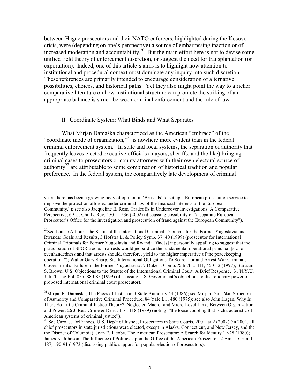between Hague prosecutors and their NATO enforcers, highlighted during the Kosovo crisis, were (depending on one's perspective) a source of embarrassing inaction or of increased moderation and accountability.<sup>20</sup> But the main effort here is not to devise some unified field theory of enforcement discretion, or suggest the need for transplantation (or exportation). Indeed, one of this article's aims is to highlight how attention to institutional and procedural context must dominate any inquiry into such discretion. These references are primarily intended to encourage consideration of alternative possibilities, choices, and historical paths. Yet they also might point the way to a richer comparative literature on how institutional structure can promote the striking of an appropriate balance is struck between criminal enforcement and the rule of law.

#### II. Coordinate System: What Binds and What Separates

What Mirjan Damaška characterized as the American "embrace" of the "coordinate mode of organization,"<sup>21</sup> is nowhere more evident than in the federal criminal enforcement system. In state and local systems, the separation of authority that frequently leaves elected executive officials (mayors, sheriffs, and the like) bringing criminal cases to prosecutors or county attorneys with their own electoral source of authority<sup>22</sup> are attributable to some combination of historical tradition and popular preference. In the federal system, the comparatively late development of criminal

years there has been a growing body of opinion in 'Brussels' to set up a European prosecution service to improve the protection afforded under criminal law of the financial interests of the European Community."); see also Jacqueline E. Ross, Tradeoffs in Undercover Investigations: A Comparative Perspective, 69 U. Chi. L. Rev. 1501, 1536 (2002) (discussing possibility of "a separate European Prosecutor's Office for the investigation and prosecution of fraud against the European Community").

<sup>&</sup>lt;sup>20</sup>See Louise Arbour, The Status of the International Criminal Tribunals for the Former Yugoslavia and Rwanda: Goals and Results, 3 Hofstra L. & Policy Symp. 37, 40 (1999) (prosecutor for International Criminal Tribunals for Former Yugoslavia and Rwanda "find[s] it personally appalling to suggest that the participation of SFOR troops in arrests would jeopardize the fundamental operational principal [sic] of evenhandedness and that arrests should, therefore, yield to the higher imperative of the peacekeeping operation."); Walter Gary Sharp, Sr., International Obligations To Search for and Arrest War Criminals: Government's Failure in the Former Yugoslavia?, 7 Duke J. Comp. & Int'l L. 411, 450-52 (1997); Bartram S. Brown, U.S. Objections to the Statute of the International Criminal Court: A Brief Response, 31 N.Y.U. J. Int'l L. & Pol. 855, 880-85 (1999) (discussing U.S. Government's objections to discretionary power of proposed international criminal court prosecutor).

<sup>&</sup>lt;sup>21</sup>Mirjan R. Damaška, The Faces of Justice and State Authority 44 (1986); see Mirjan Damaška, Structures of Authority and Comparative Criminal Procedure, 84 Yale L.J. 480 (1975); see also John Hagan, Why Is There So Little Criminal Justice Theory? Neglected Macro- and Micro-Level Links Between Organization and Power, 26 J. Res. Crime & Deliq. 116, 118 (1989) (noting "the loose coupling that is characteristic of American systems of criminal justice").

<sup>&</sup>lt;sup>22</sup> See Carol J. DeFrances, U.S. Dep't of Justice, Prosecutors in State Courts, 2001, at 2 (2002) (in 2001, all chief prosecutors in state jurisdictions were elected, except in Alaska, Connecticut, and New Jersey, and the the District of Columbia); Joan E. Jacoby, The American Prosecutor: A Search for Identity 19-28 (1980); James N. Johnson, The Influence of Politics Upon the Office of the American Prosecutor, 2 Am. J. Crim. L. 187, 190-91 (1973 (discussing public support for popular election of prosecutors).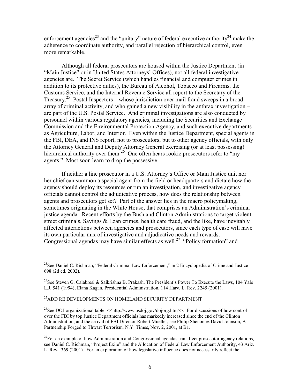enforcement agencies<sup>23</sup> and the "unitary" nature of federal executive authority<sup>24</sup> make the adherence to coordinate authority, and parallel rejection of hierarchical control, even more remarkable.

Although all federal prosecutors are housed within the Justice Department (in "Main Justice" or in United States Attorneys' Offices), not all federal investigative agencies are. The Secret Service (which handles financial and computer crimes in addition to its protective duties), the Bureau of Alcohol, Tobacco and Firearms, the Customs Service, and the Internal Revenue Service all report to the Secretary of the Treasury.<sup>25</sup> Postal Inspectors – whose jurisdiction over mail fraud sweeps in a broad array of criminal activity, and who gained a new visibility in the anthrax investigation – are part of the U.S. Postal Service. And criminal investigations are also conducted by personnel within various regulatory agencies, including the Securities and Exchange Commission and the Environmental Protection Agency, and such executive departments as Agriculture, Labor, and Interior. Even within the Justice Department, special agents in the FBI, DEA, and INS report, not to prosecutors, but to other agency officials, with only the Attorney General and Deputy Attorney General exercising (or at least possessing) hierarchical authority over them.<sup>26</sup> One often hears rookie prosecutors refer to "my" agents." Most soon learn to drop the possessive.

If neither a line prosecutor in a U.S. Attorney's Office or Main Justice unit nor her chief can summon a special agent from the field or headquarters and dictate how the agency should deploy its resources or run an investigation, and investigative agency officials cannot control the adjudicative process, how does the relationship between agents and prosecutors get set? Part of the answer lies in the macro policymaking, sometimes originating in the White House, that comprises an Administration's criminal justice agenda. Recent efforts by the Bush and Clinton Administrations to target violent street criminals, Savings & Loan crimes, health care fraud, and the like, have inevitably affected interactions between agencies and prosecutors, since each type of case will have its own particular mix of investigative and adjudicative needs and rewards. Congressional agendas may have similar effects as well.<sup>27</sup> "Policy formation" and

# $^{25}\!\!\operatorname{ADD}$ RE DEVELOPMENTS ON HOMELAND SECURITY DEPARTMENT

<sup>26</sup>See DOJ organizational table. <<http://www.usdoj.gov/dojorg.htm>>. For discussions of how control over the FBI by top Justice Department officials has markedly increased since the end of the Clinton Administration, and the arrival of FBI Director Robert Mueller, see Philip Shenon & David Johnson, A Partnership Forged to Thwart Terrorism, N.Y. Times, Nov. 2, 2001, at B1.

<sup>&</sup>lt;sup>23</sup>See Daniel C. Richman, "Federal Criminal Law Enforcement," in 2 Encyclopedia of Crime and Justice 698 (2d ed. 2002).

<sup>&</sup>lt;sup>24</sup>See Steven G. Calabresi & Saikrishna B. Prakash, The President's Power To Execute the Laws, 104 Yale L.J. 541 (1994); Elana Kagan, Presidential Administration, 114 Harv. L. Rev. 2245 (2001).

 $^{27}$ For an example of how Administration and Congressional agendas can affect prosecutor-agency relations, see Daniel C. Richman, "Project Exile" and the Allocation of Federal Law Enforcement Authority, 43 Ariz. L. Rev. 369 (2001). For an exploration of how legislative influence does not necessarily reflect the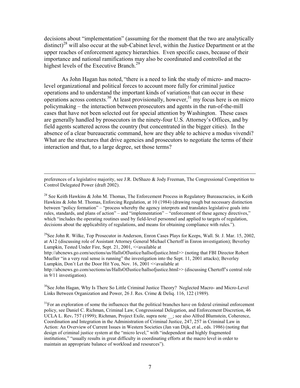decisions about "implementation" (assuming for the moment that the two are analytically distinct)<sup>28</sup> will also occur at the sub-Cabinet level, within the Justice Department or at the upper reaches of enforcement agency hierarchies. Even specific cases, because of their importance and national ramifications may also be coordinated and controlled at the highest levels of the Executive Branch.<sup>29</sup>

As John Hagan has noted, "there is a need to link the study of micro- and macrolevel organizational and political forces to account more fully for criminal justice operations and to understand the important kinds of variations that can occur in these operations across contexts.<sup>30</sup> At least provisionally, however,<sup>31</sup> my focus here is on micro policymaking – the interaction between prosecutors and agents in the run-of-the-mill cases that have not been selected out for special attention by Washington. These cases are generally handled by prosecutors in the ninety-four U.S. Attorney's Offices, and by field agents scattered across the country (but concentrated in the bigger cities). In the absence of a clear bureaucratic command, how are they able to achieve a modus vivendi? What are the structures that drive agencies and prosecutors to negotiate the terms of their interaction and that, to a large degree, set those terms?

preferences of a legislative majority, see J.R. DeShazo & Jody Freeman, The Congressional Competition to Control Delegated Power (draft 2002).

<sup>28</sup> See Keith Hawkins & John M. Thomas, The Enforcement Process in Regulatory Bureaucracies, in Keith Hawkins & John M. Thomas, Enforcing Regulation, at 10 (1984) (drawing rough but necessary distinction between "policy formation" - "process whereby the agency interprets and translates legislative goals into rules, standards, and plans of action" – and "implementation" – "enforcement of these agency directives," which "includes the operating routines used by field-level personnel and applied to targets of regulation, decisions about the applicability of regulations, and means for obtaining compliance with rules.").

<sup>29</sup>See John R. Wilke, Top Prosecutor in Anderson, Enron Cases Plays for Keeps, Wall. St. J. Mar. 15, 2002, at A12 (discussing role of Assistant Attorney General Michael Chertoff in Enron investigation); Beverley Lumpkin, Tested Under Fire, Sept. 21, 2001, << available at

http://abcnews.go.com/sections/us/HallsOfJustice/hallsofjustice.html>> (noting that FBI Director Robert) Mueller "in a very real sense is running" the investigation into the Sept. 11, 2001 attacks); Beverley Lumpkin, Don't Let the Door Hit You, Nov. 16, 2001 << available at

http://abcnews.go.com/sections/us/HallsOfJustice/hallsofjustice.html>> (discussing Chertoff's central role in  $9/11$  investigation).

<sup>30</sup>See John Hagan, Why Is There So Little Criminal Justice Theory? Neglected Macro- and Micro-Level Links Between Organization and Power, 26 J. Res. Crime & Deliq. 116, 122 (1989).

 $31$ For an exploration of some the influences that the political branches have on federal criminal enforcement policy, see Daniel C. Richman, Criminal Law, Congressional Delegation, and Enforcement Discretion, 46 UCLA L. Rev. 757 (1999); Richman, Project Exile, supra note ; see also Alfred Blumstein, Coherence, Coordination and Integration in the Administration of Criminal Justice, 247, 257 in Criminal Law in Action: An Overview of Current Issues in Western Societies (Jan van Dijk, et al., eds. 1986) (noting that design of criminal justice system at the "micro level," with "independent and highly fragmented institutions," "usually results in great difficulty in coordinating efforts at the macro level in order to maintain an appropriate balance of workload and resources").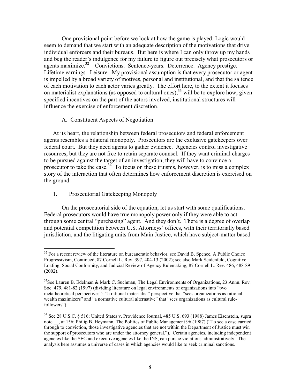One provisional point before we look at how the game is played: Logic would seem to demand that we start with an adequate description of the motivations that drive individual enforcers and their bureaus. But here is where I can only throw up my hands and beg the reader's indulgence for my failure to figure out precisely what prosecutors or agents maximize.<sup>32</sup> Convictions. Sentence-vears. Deterrence. Agency prestige. Lifetime earnings. Leisure. My provisional assumption is that every prosecutor or agent is impelled by a broad variety of motives, personal and institutional, and that the salience of each motivation to each actor varies greatly. The effort here, to the extent it focuses on materialist explanations (as opposed to cultural ones),  $33$  will be to explore how, given specified incentives on the part of the actors involved, institutional structures will influence the exercise of enforcement discretion.

# A. Constituent Aspects of Negotiation

At its heart, the relationship between federal prosecutors and federal enforcement agents resembles a bilateral monopoly. Prosecutors are the exclusive gatekeepers over federal court. But they need agents to gather evidence. Agencies control investigative resources, but they are not free to retain separate counsel. If they want criminal charges to be pursued against the target of an investigation, they will have to convince a prosecutor to take the case.<sup>34</sup> To focus on these truisms, however, is to miss a complex story of the interaction that often determines how enforcement discretion is exercised on the ground.

#### 1. Prosecutorial Gatekeeping Monopoly

On the prosecutorial side of the equation, let us start with some qualifications. Federal prosecutors would have true monopoly power only if they were able to act through some central "purchasing" agent. And they don't. There is a degree of overlap and potential competition between U.S. Attorneys' offices, with their territorially based jurisdiction, and the litigating units from Main Justice, which have subject-matter based

<sup>&</sup>lt;sup>32</sup> For a recent review of the literature on bureaucratic behavior, see David B. Spence, A Public Choice Progressivism, Continued, 87 Cornell L. Rev. 397, 404-13 (2002); see also Mark Seidenfeld, Cognitive Loafing, Social Conformity, and Judicial Review of Agency Rulemaking, 87 Cornell L. Rev. 486, 488-89  $(2002).$ 

<sup>&</sup>lt;sup>33</sup>See Lauren B. Edelman & Mark C. Suchman, The Legal Environments of Organizations, 23 Annu. Rev. Soc. 479, 481-82 (1997) (dividing literature on legal environments of organizations into "two metatheoretical perspectives": "a rational materialist" perspective that "sees organizations as rational wealth maximizers" and "a normative cultural alternative" that "sees organizations as cultural rulefollowers").

<sup>&</sup>lt;sup>34</sup> See 28 U.S.C. § 516; United States v. Providence Journal, 485 U.S. 693 (1988) James Eisenstein, supra note , at 156; Philip B. Heymann, The Politics of Public Management 96 (1987) ("To see a case carried through to conviction, those investigative agencies that are not within the Department of Justice must win the support of prosecutors who are under the attorney general."). Certain agencies, including independent agencies like the SEC and executive agencies like the INS, can pursue violations administratively. The analysis here assumes a universe of cases in which agencies would like to seek criminal sanctions.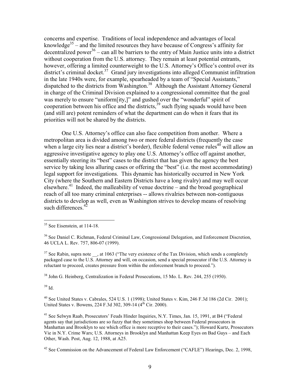concerns and expertise. Traditions of local independence and advantages of local knowledge<sup>35</sup> – and the limited resources they have because of Congress's affinity for decentralized power<sup>36</sup> – can all be barriers to the entry of Main Justice units into a district without cooperation from the U.S. attorney. They remain at least potential entrants, however, offering a limited counterweight to the U.S. Attorney's Office's control over its district's criminal docket.<sup>37</sup> Grand jury investigations into alleged Communist infiltration in the late 1940s were, for example, spearheaded by a team of "Special Assistants," dispatched to the districts from Washington.<sup>38</sup> Although the Assistant Attorney General in charge of the Criminal Division explained to a congressional committee that the goal was merely to ensure "uniform [ity,]" and gushed over the "wonderful" spirit of cooperation between his office and the districts,<sup>39</sup> such flying squads would have been (and still are) potent reminders of what the department can do when it fears that its priorities will not be shared by the districts.

One U.S. Attorney's office can also face competition from another. Where a metropolitan area is divided among two or more federal districts (frequently the case when a large city lies near a district's border), flexible federal venue rules<sup>40</sup> will allow an aggressive investigative agency to play one U.S. Attorney's office off against another, essentially steering its "best" cases to the district that has given the agency the best service by taking less alluring cases or offering the "best" (i.e. the most accommodating) legal support for investigations. This dynamic has historically occurred in New York City (where the Southern and Eastern Districts have a long rivalry) and may well occur elsewhere.<sup>41</sup> Indeed, the malleability of venue doctrine – and the broad geographical reach of all too many criminal enterprises -- allows rivalries between non-contiguous districts to develop as well, even as Washington strives to develop means of resolving such differences.<sup>42</sup>

 $37$  See Rabin, supra note , at 1063 ("The very existence of the Tax Division, which sends a completely packaged case to the U.S. Attorney and will, on occasion, send a special prosecutor if the U.S. Attorney is reluctant to proceed, creates pressure from within the enforcement branch to proceed.").

 $38$  John G. Heinberg, Centralization in Federal Prosecutions, 15 Mo. L. Rev. 244, 255 (1950).

 $39$  Id.

 $40$  See United States v. Cabrales, 524 U.S. 1 (1998); United States v. Kim, 246 F.3d 186 (2d Cir. 2001); United States v. Bowens, 224 F.3d 302, 309-14 (4<sup>th</sup> Cir. 2000).

<sup>41</sup> See Selwyn Raab, Prosecutors' Feuds Hinder Inquiries, N.Y. Times, Jan. 15, 1991, at B4 ("Federal agents say that jurisdictions are so fuzzy that they sometimes shop between Federal prosecutors in Manhattan and Brooklyn to see which office is more receptive to their cases."); Howard Kurtz, Prosecutors Vie in N.Y. Crime Wars; U.S. Attorneys in Brooklyn and Manhattan Keep Eyes on Bad Guys – and Each Other, Wash. Post, Aug. 12, 1988, at A25.

<sup>42</sup> See Commission on the Advancement of Federal Law Enforcement ("CAFLE") Hearings, Dec. 2, 1998,

 $35$  See Eisenstein, at 114-18.

<sup>&</sup>lt;sup>36</sup> See Daniel C. Richman, Federal Criminal Law, Congressional Delegation, and Enforcement Discretion, 46 UCLA L. Rev. 757, 806-07 (1999).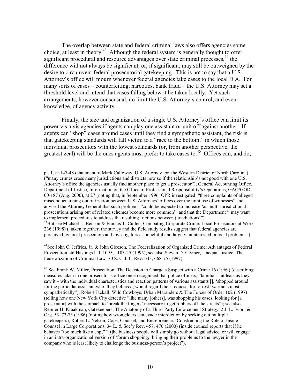The overlap between state and federal criminal laws also offers agencies some choice, at least in theory.<sup>43</sup> Although the federal system is generally thought to offer significant procedural and resource advantages over state criminal processes,<sup>44</sup> the difference will not always be significant, or, if significant, may still be outweighed by the desire to circumvent federal prosecutorial gate keeping. This is not to say that a U.S. Attorney's office will mourn whenever federal agencies take cases to the local D.A. For many sorts of cases – counterfeiting, narcotics, bank fraud – the U.S. Attorney may set a threshold level and intend that cases falling below it be taken locally. Yet such arrangements, however consensual, do limit the U.S. Attorney's control, and even knowledge, of agency activity.

Finally, the size and organization of a single U.S. Attorney's office can limit its power vis a vis agencies if agents can play one assistant or unit off against another. If agents can "shop" cases around cases until they find a sympathetic assistant, the risk is that gate keeping standards will fall victim to a "race to the bottom," in which those individual prosecutors with the lowest standards (or, from another perspective, the greatest zeal) will be the ones agents most prefer to take cases to.<sup>45</sup> Offices can, and do,

pt. 1, at 147-48 (statement of Mark Calloway, U.S. Attorney for the Western District of North Carolina) ("many crimes cross many jurisdictions and districts now so if the relationship's not good with one U.S. Attorney's office the agencies usually find another place to get a prosecutor"); General Accounting Office, Department of Justice, Information on the Office of Professional Responsibility's Operations, GAO/GGD-00-187 (Aug. 2000), at 27 (noting that, in September 1996, OPR investigated "three complaints of alleged misconduct arising out of friction between U.S. Attorneys' offices over the joint use of witnesses" and advised the Attorney General that such problems "could be expected to increase 'as multi-jurisdictional prosecutions arising out of related schemes become more common" and that the Department "may want to implement procedures to address the resulting frictions between jurisdictions"). <sup>43</sup>But see Michael L. Benson & Francis T. Cullen, Combating Corporate Crime: Local Prosecutors at Work 236 (1998) ("taken together, the survey and the field study results suggest that federal agencies are

perceived by local prosecutors and investigators as unhelpful and largely uninterested in local problems").

<sup>44</sup>See John C. Jeffries, Jr. & John Gleeson, The Federalization of Organized Crime: Advantages of Federal Prosecution, 46 Hastings L.J. 1095, 1103-25 (1995); see also Steven D. Clymer, Unequal Justice: The Federalization of Criminal Law, 70 S. Cal. L. Rev. 643, 668-75 (1997).

<sup>45</sup> See Frank W. Miller, Prosecution: The Decision to Charge a Suspect with a Crime 16 (1969) (describing measures taken in one prosecutor's office once recognized that police officers, "familiar – at least as they saw it – with the individual characteristics and reaction patterns of various assistants [], 'shopped around' for the particular assistant who, they believed, would regard their requests for [arrest] warrants most sympathetically"); Robert Jackall, Wild Cowboys: Urban Marauders & The Forces of Order 102 (1997) (telling how one New York City detective "like many [others], was shopping his cases, looking for [a prosecutor] with the stomach to 'break the fingers' necessary to get robbers off the streets''); see also Reinier H. Kraakman, Gatekeepers: The Anatomy of a Third-Party Enforcement Strategy, 2 J. L. Econ. & Org. 53, 72-73 (1986) (noting how wrongdoers can evade interdiction by seeking out multiple gatekeepers); Robert L. Nelson, Cops, Counsel, and Entrepreneurs: Constructing the Role of Inside Counsel in Large Corporations, 34 L. & Soc'y Rev. 457, 470 (2000) (inside counsel reports that if he behaves "too much like a cop," "[t]he business people will simply go without legal advice, or will engage in an intra-organizational version of 'forum shopping,' bringing their problems to the lawyer in the company who is least likely to challenge the business-person's project").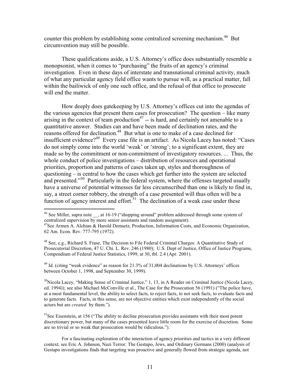counter this problem by establishing some centralized screening mechanism.<sup>46</sup> But circumvention may still be possible.

These qualifications aside, a U.S. Attorney's office does substantially resemble a monopsonist, when it comes to "purchasing" the fruits of an agency's criminal investigation. Even in these days of interstate and transnational criminal activity, much of what any particular agency field office wants to pursue will, as a practical matter, fall within the bailiwick of only one such office, and the refusal of that office to prosecute will end the matter.

How deeply does gate keeping by U.S. Attorney's offices cut into the agendas of the various agencies that present them cases for prosecution? The question – like many arising in the context of team production<sup>47</sup> -- is hard, and certainly not amenable to a quantitative answer. Studies can and have been made of declination rates, and the reasons offered for declination.<sup>48</sup> But what is one to make of a case declined for insufficient evidence?<sup>49</sup> Every case file is an artifact. As Nicola Lacey has noted: "Cases" do not simply come into the world 'weak' or 'strong'; to a significant extent, they are made so by the commitment or non-commitment of investigatory resources. ... Thus, the whole conduct of police investigations – distribution of resources and operational priorities, proportion and patterns of cases taken up, styles and thoroughness of questioning – is central to how the cases which get further into the system are selected and presented."<sup>50</sup> Particularly in the federal system, where the offenses targeted usually have a universe of potential witnesses far less circumscribed than one is likely to find in, say, a street corner robbery, the strength of a case presented will thus often will be a function of agency interest and effort.<sup>51</sup> The declination of a weak case under these

<sup>49</sup> Id. (citing "weak evidence" as reason for 21.3% of 31,004 declinations by U.S. Attorneys' offices between October 1, 1998, and September 30, 1999).

<sup>50</sup>Nicola Lacey, "Making Sense of Criminal Justice," 1, 13, in A Reader on Criminal Justice (Nicola Lacey, ed. 1994)); see also Michael McConville et al., The Case for the Prosecution 56 (1991) ("The police have, at a most fundamental level, the ability to select facts, to reject facts, to not seek facts, to evaluate facts and to generate facts. Facts, in this sense, are not objective entities which exist independently of the social actors but are *created* by them.").

 ${}^{51}$ See Eisenstein, at 156 ("The ability to decline prosecution provides assistants with their most potent discretionary power, but many of the cases presented leave little room for the exercise of discretion. Some are so trivial or so weak that prosecution would be ridiculous.").

<sup>&</sup>lt;sup>46</sup> See Miller, supra note \_\_, at 16-19 ("shopping around" problem addressed through some system of centralized supervision by more senior assistants and random assignment).

<sup>&</sup>lt;sup>47</sup>See Armen A. Alchian & Harold Demsetz, Production, Information Costs, and Economic Organization, 62 Am. Econ. Rev. 777-795 (1972).

<sup>&</sup>lt;sup>48</sup> See, e.g., Richard S. Frase, The Decision to File Federal Criminal Charges: A Quantitative Study of Prosecutorial Discretion, 47 U. Chi. L. Rev. 246 (1980); U.S. Dept of Justice, Office of Justice Programs, Compendium of Federal Justice Statistics, 1999, at 30, tbl. 2.4 (Apr. 2001).

For a fascinating exploration of the interaction of agency priorities and tactics in a very different context, see Eric A. Johnson, Nazi Terror: The Gestapo, Jews, and Ordinary Germans (2000) (analysis of Gestapo investigations finds that targeting was proactive and generally flowed from strategic agenda, not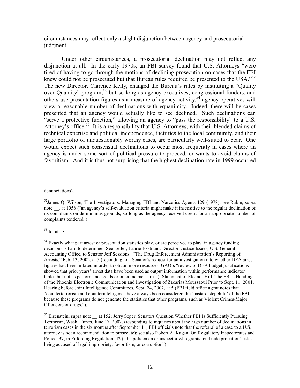circumstances may reflect only a slight disjunction between agency and prosecutorial judgment.

Under other circumstances, a prosecutorial declination may not reflect any disjunction at all. In the early 1970s, an FBI survey found that U.S. Attorneys "were tired of having to go through the motions of declining prosecution on cases that the FBI knew could not be prosecuted but that Bureau rules required be presented to the USA."<sup>52</sup> The new Director, Clarence Kelly, changed the Bureau's rules by instituting a "Quality" over Quantity" program,<sup>53</sup> but so long as agency executives, congressional funders, and others use presentation figures as a measure of agency activity,<sup>54</sup> agency operatives will view a reasonable number of declinations with equanimity. Indeed, there will be cases presented that an agency would actually like to see declined. Such declinations can "serve a protective function," allowing an agency to "pass the responsibility" to a U.S. Attorney's office.<sup>55</sup> It is a responsibility that U.S. Attorneys, with their blended claims of technical expertise and political independence, their ties to the local community, and their large portfolio of unquestionably worthy cases, are particularly well-suited to bear. One would expect such consensual declinations to occur most frequently in cases where an agency is under some sort of political pressure to proceed, or wants to avoid claims of favoritism. And it is thus not surprising that the highest declination rate in 1999 occurred

denunciations).

 $53$  Id. at 131.

 $54$  Exactly what part arrest or presentation statistics play, or are perceived to play, in agency funding decisions is hard to determine. See Letter, Laurie Ekstrand, Director, Justice Issues, U.S. General Accounting Office, to Senator Jeff Sessions, "The Drug Enforcement Administration's Reporting of Arrests," Feb. 13, 2002, at 5 (reponding to a Senator's request for an investigation into whether DEA arrest figures had been inflated in order to obtain more resources, GAO's "review of DEA budget justifications" showed that prior years' arrest data have been used as output information within performance indicator tables but not as performance goals or outcome measures"); Statement of Eleanor Hill, The FBI's Handing of the Phoenix Electronic Communication and Investigation of Zacarias Moussaoui Prior to Sept. 11, 2001, Hearing before Joint Intelligence Committees, Sept. 24, 2002, at 5 (FBI field office agent notes that "counterterrorism and counterintelligence have always been considered the 'bastard stepchild' of the FBI because these programs do not generate the statistics that other programs, such as Violent Crimes/Major Offenders or drugs.").

<sup>55</sup> Eisenstein, supra note at 152; Jerry Seper, Senators Question Whether FBI Is Sufficiently Pursuing Terrorism, Wash. Times, June 17, 2002. (responding to inquiries about the high number of declinations in terrorism cases in the six months after September 11, FBI officials note that the referral of a case to a U.S. attorney is not a recommendation to prosecute); see also Robert A. Kagan, On Regulatory Inspectorates and Police, 37, in Enforcing Regulation, 42 ("the policeman or inspector who grants 'curbside probation' risks being accused of legal impropriety, favoritism, or corruption").

 $52$ James Q. Wilson, The Investigators: Managing FBI and Narcotics Agents 129 (1978); see Rabin, supra note , at 1056 ("an agency's self-evaluation criteria might make it insensitive to the regular declination of its complaints on de minimus grounds, so long as the agency received credit for an appropriate number of complaints tendered").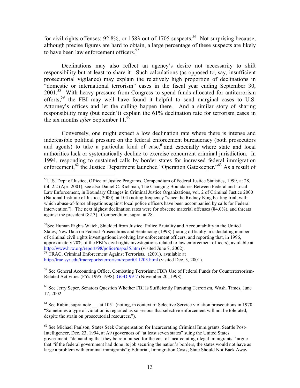for civil rights offenses:  $92.8\%$ , or 1583 out of 1705 suspects.<sup>56</sup> Not surprising because, although precise figures are hard to obtain, a large percentage of these suspects are likely to have been law enforcement officers.<sup>57</sup>

Declinations may also reflect an agency's desire not necessarily to shift responsibility but at least to share it. Such calculations (as opposed to, say, insufficient prosecutorial vigilance) may explain the relatively high proportion of declinations in "domestic or international terrorism" cases in the fiscal year ending September 30, 2001.<sup>58</sup> With heavy pressure from Congress to spend funds allocated for antiterrorism efforts,<sup>59</sup> the FBI may well have found it helpful to send marginal cases to U.S. Attorney's offices and let the culling happen there. And a similar story of sharing responsibility may (but needn't) explain the 61% declination rate for terrorism cases in the six months *after* September 11.<sup>60</sup>

Conversely, one might expect a low declination rate where there is intense and indefeasible political pressure on the federal enforcement bureaucracy (both prosecutors and agents) to take a particular kind of case,<sup>61</sup> and especially where state and local authorities lack or systematically decline to exercise concurrent criminal jurisdiction. In 1994, responding to sustained calls by border states for increased federal immigration enforcement,<sup>62</sup> the Justice Department launched "Operation Gatekeeper."<sup>63</sup> As a result of

http://trac.syr.edu/tracreports/terrorism/report011203.html (visited Dec. 3, 2001).

<sup>59</sup> See General Accounting Office, Combating Terrorism: FBI's Use of Federal Funds for Counterterrorism-Related Activities (FYs 1995-1998). GGD-99-7 (November 20, 1998).

<sup>60</sup> See Jerry Seper, Senators Question Whether FBI Is Sufficiently Pursuing Terrorism, Wash. Times, June 17, 2002.

 $<sup>61</sup>$  See Rabin, supra note , at 1051 (noting, in context of Selective Service violation prosecutions in 1970:</sup> "Sometimes a type of violation is regarded as so serious that selective enforcement will not be tolerated, despite the strain on prosecutorial resources.").

<sup>&</sup>lt;sup>56</sup>U.S. Dept of Justice, Office of Justice Programs, Compendium of Federal Justice Statistics, 1999, at 28, tbl. 2.2 (Apr. 2001); see also Daniel C. Richman, The Changing Boundaries Between Federal and Local Law Enforcement, in Boundary Changes in Criminal Justice Organizations, vol. 2 of Criminal Justice 2000 (National Institute of Justice, 2000), at 104 (noting frequency "since the Rodney King beating trial, with which abuse-of-force allegations against local police officers have been accompanied by calls for Federal intervention"). The next highest declination rates were for obscene material offenses  $(84.0\%)$ , and threats against the president (82.3). Compendium, supra. at 28.

 $57$ See Human Rights Watch, Shielded from Justice: Police Brutality and Accountability in the United States; New Data on Federal Prosecutions and Sentencing (1998) (noting difficulty in calculating number of criminal civil rights investigations involving law enforcement officers, and reporting that, in 1996, approximately 70% of the FBI's civil rights investigations related to law enforcement officers), available at http://www.hrw.org/reports98/police/uspo35.htm (visited June 7, 2002).<br><sup>58</sup> TRAC, Criminal Enforcement Against Terrorists, (2001), available at

 $^{62}$  See Michael Paulson. States Seek Compensation for Incarcerating Criminal Immigrants. Seattle Post-Intelligencer, Dec. 23, 1994, at A9 (governors of "at least seven states" suing the United States government, "demanding that they be reimbursed for the cost of incarcerating illegal immigrants," argue that "if the federal government had done its job securing the nation's borders, the states would not have as large a problem with criminal immigrants"); Editorial, Immigration Costs; State Should Not Back Away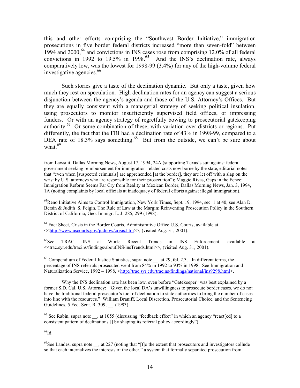this and other efforts comprising the "Southwest Border Initiative," immigration prosecutions in five border federal districts increased "more than seven-fold" between 1994 and 2000,<sup>64</sup> and convictions in INS cases rose from comprising 12.0% of all federal convictions in 1992 to 19.5% in 1998.<sup>65</sup> And the INS's declination rate, always comparatively low, was the lowest for 1998-99 (3.4%) for any of the high-volume federal investigative agencies.<sup>66</sup>

Such stories give a taste of the declination dynamic. But only a taste, given how much they rest on speculation. High declination rates for an agency can suggest a serious disjunction between the agency's agenda and those of the U.S. Attorney's Offices. But they are equally consistent with a managerial strategy of seeking political insulation, using prosecutors to monitor insufficiently supervised field offices, or impressing funders. Or with an agency strategy of regretfully bowing to prosecutorial gatekeeping authority.<sup>67</sup> Or some combination of these, with variation over districts or regions. Put differently, the fact that the FBI had a declination rate of 43% in 1998-99, compared to a DEA rate of 18.3% says something.<sup>68</sup> But from the outside, we can't be sure about what.<sup>69</sup>

from Lawsuit, Dallas Morning News, August 17, 1994, 24A (supporting Texas's suit against federal government seeking reimbursement for immigration-related costs now borne by the state, editorial notes that "even when [suspected criminals] are apprehended [at the border], they are let off with a slap on the wrist by U.S. attorneys who are responsible for their prosecution"); Maggie Rivas, Gaps in the Fence; Immigration Reform Seems Far Cry from Reality at Mexican Border, Dallas Morning News, Jan. 3, 1994, 1A (noting complaints by local officials at inadequacy of federal efforts against illegal immigration).

<sup>63</sup>Reno Initiative Aims to Control Immigration, New York Times, Sept. 19, 1994, sec. 1 at 40; see Alan D. Bersin & Judith S. Feigin, The Rule of Law at the Margin: Reinventing Prosecution Policy in the Southern District of California, Geo. Immigr. L. J. 285, 299 (1998).

<sup>64</sup> Fact Sheet, Crisis in the Border Courts, Administrative Office U.S. Courts, available at <<http://www.uscourts.gov/judnow/crisis.htm>>, (visited Aug. 31, 2001).

 ${}^{65}$ See TRAC, **INS** at Work; Recent Trends in INS Enforcement. available at <<trac.syr.edu/tracins/findings/aboutINS/insTrends.html>>, (visited Aug. 31, 2001).

 $^{66}$  Compendium of Federal Justice Statistics, supra note , at 29, tbl. 2.3. In different terms, the percentage of INS referrals prosecuted went from 84% in 1992 to 93% in 1998. See Immigration and Naturalization Service, 1992 – 1998, <http://trac.syr.edu/tracins/findings/national/ins9298.html>.

Why the INS declination rate has been low, even before "Gatekeeper" was best explained by a former S.D. Cal. U.S. Attorney: "Given the local DA's unwillingness to prosecute border cases, we do not have the traditional federal prosecutor's tool of declination to state authorities to bring the number of cases into line with the resources." William Braniff, Local Discretion, Prosecutorial Choice, and the Sentencing Guidelines, 5 Fed. Sent. R. 309, (1993).

 $^{67}$  See Rabin, supra note , at 1055 (discussing "feedback effect" in which an agency "react[ed] to a consistent pattern of declinations [] by shaping its referral policy accordingly").

 $^{68}\mathrm{Id}.$ 

 $^{69}$ See Landes, supra note , at 227 (noting that "[t]o the extent that prosecutors and investigators collude so that each internalizes the interests of the other," a system that formally separated prosecution from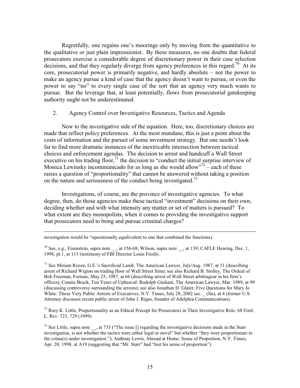Regretfully, one regains one's moorings only by moving from the quantitative to the qualitative or just plain impressionist. By these measures, no one doubts that federal prosecutors exercise a considerable degree of discretionary power in their case selection decisions, and that they regularly diverge from agency preferences in this regard.<sup>70</sup> At its core, prosecutorial power is primarily negative, and hardly absolute  $-$  not the power to make an agency pursue a kind of case that the agency doesn't want to pursue, or even the power to say "no" to every single case of the sort that an agency very much wants to pursue. But the leverage that, at least potentially, flows from prosecutorial gatekeeping authority ought not be underestimated.

#### Agency Control over Investigative Resources, Tactics and Agenda  $2.$

Now to the investigative side of the equation. Here, too, discretionary choices are made that reflect policy preferences. At the most mundane, this is just a point about the costs of information and the pursuit of some investment strategy. But one needn't look far to find more dramatic instances of the inextricable intersection between tactical choices and enforcement agendas. The decision to arrest and handcuff a Wall Street executive on his trading floor,  $71$  the decision to "conduct the initial surprise interview of Monica Lewinsky incommunicado for as long as she would allow"  $72$  – each of these raises a question of "proportionality" that cannot be answered without taking a position on the nature and seriousness of the conduct being investigated.<sup>73</sup>

Investigations, of course, are the province of investigative agencies. To what degree, then, do those agencies make these tactical "investment" decisions on their own, deciding whether and with what intensity any matter or set of matters is pursued? To what extent are they monopolists, when it comes to providing the investigative support that prosecutors need to bring and pursue criminal charges?

investigation would be "operationally equilivalent to one that combined the functions).

 $^{70}$  See, e.g., Eisenstein, supra note \_\_, at 156-68; Wilson, supra note \_\_, at 139; CAFLE Hearing, Dec. 1, 1998, pt.1, at 113 (testimony of FBI Director Louis Freeh).

<sup>71</sup> See Miriam Rozen, G.E.'s Sacrificial Lamb, The American Lawyer, July/Aug. 1987, at 31 (describing arrest of Richard Wigton on trading floor of Wall Street firm); see also Richard B. Stolley, The Ordeal of Bob Freeman, Fortune, May 25, 1987, at 66 (describing arrest of Wall Street arbitrageur in his firm's offices); Connie Bruck, Ten Years of Upheaval: Rudolph Giuliani, The American Lawyer, Mar. 1989, at 99 (discussing controversy surrounding the arrests); see also Jonathan D. Glater, Five Questions for Mary Jo White: Those Very Public Arrests of Executives, N.Y. Times, July 28, 2002 sec. (fin), at 4 (former U.S. Attorney discusses recent public arrest of John J. Rigas, founder of Adelphia Communications).

 $^{72}$  Rory K. Little, Proportionality as an Ethical Precept for Prosecutors in Their Investigative Role, 68 Ford. L. Rev. 723, 729 (1999).

 $^{73}$  See Little, supra note \_\_, at 733 ("The issue [] regarding the investigative decisions made in the Starr investigation, is not whether the tactics were either legal or novel" but whether "they were proportionate to the crime(s) under investigation."); Anthony Lewis, Abroad at Home: Sense of Proportion, N.Y. Times, Apr. 20, 1998, at A19 (suggesting that "Mr. Starr" had "lost his sense of proportion").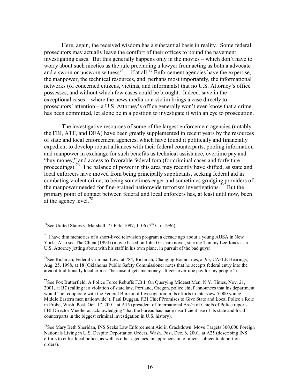Here, again, the received wisdom has a substantial basis in reality. Some federal prosecutors may actually leave the comfort of their offices to pound the pavement investigating cases. But this generally happens only in the movies – which don't have to worry about such niceties as the rule precluding a lawyer from acting as both a advocate and a sworn or unsworn witness<sup>74</sup> -- if at all.<sup>75</sup> Enforcement agencies have the expertise, the manpower, the technical resources, and, perhaps most importantly, the informational networks (of concerned citizens, victims, and informants) that no U.S. Attorney's office possesses, and without which few cases could be brought. Indeed, save in the exceptional cases – where the news media or a victim brings a case directly to prosecutors' attention  $- a U.S.$  Attorney's office generally won't even know that a crime has been committed, let alone be in a position to investigate it with an eye to prosecution.

The investigative resources of some of the largest enforcement agencies (notably the FBI, ATF, and DEA) have been greatly supplemented in recent years by the resources of state and local enforcement agencies, which have found it politically and financially expedient to develop robust alliances with their federal counterparts, pooling information and manpower in exchange for such benefits as technical assistance, overtime pay and "buy money," and access to favorable federal fora (for criminal cases and forfeiture proceedings).<sup>76</sup> The balance of power in this area may recently have shifted, as state and local enforcers have moved from being principally supplicants, seeking federal aid in combating violent crime, to being sometimes eager and sometimes grudging providers of the manpower needed for fine-grained nationwide terrorism investigations.<sup>77</sup> But the primary point of contact between federal and local enforcers has, at least until now, been at the agency level.<sup>78</sup>

<sup>76</sup>See Richman, Federal Criminal Law, at 784; Richman, Changing Boundaries, at 95; CAFLE Hearings, Aug. 25, 1998, at 18 (Oklahoma Public Safety Commissioner notes that he accepts federal entry into the area of traditionally local crimes "because it gets me money. It gets overtime pay for my people.").

<sup>77</sup>See Fox Butterfield, A Police Force Rebuffs F.B.I. On Querying Mideast Men, N.Y. Times, Nov. 21, 2001, at B7 (calling it a violation of state law, Portland, Oregon, police chief announces that his department would "not cooperate with the Federal Bureau of Investigation in its efforts to interview 5,000 young Middle Eastern men nationwide"); Paul Duggan, FBI Chief Promises to Give State and Local Police a Role in Probe, Wash. Post, Oct. 17, 2001, at A15 (president of International Ass'n of Chiefs of Police reports FBI Director Mueller as acknowledging "that the bureau has made insufficient use of its state and local counterparts in the biggest criminal investigation in U.S. history).

<sup>78</sup>See Mary Beth Sheridan. INS Seeks Law Enforcement Aid in Crackdown: Move Targets 300,000 Foreign Nationals Living in U.S. Despite Deportation Orders, Wash. Post, Dec. 6, 2001, at A25 (describing INS efforts to enlist local police, as well as other agencies, in apprehension of aliens subject to deportion orders).

<sup>&</sup>lt;sup>74</sup>See United States v. Marshall, 75 F.3d 1097, 1106 ( $7^{\text{th}}$  Cir. 1996).

 $^{75}$  I have dim memories of a short-lived television program a decade ago about a young AUSA in New York. Also see The Client (1994) (movie based on John Grisham novel, starring Tommy Lee Jones as a U.S. Attorney jetting about with his staff in his own plane, in pursuit of the bad guys).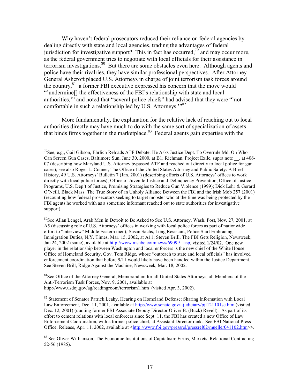Why haven't federal prosecutors reduced their reliance on federal agencies by dealing directly with state and local agencies, trading the advantages of federal jurisdiction for investigative support? This in fact has occurred,  $\frac{75}{9}$  and may occur more, as the federal government tries to negotiate with local officials for their assistance in terrorism investigations.<sup>80</sup> But there are some obstacles even here. Although agents and police have their rivalries, they have similar professional perspectives. After Attorney General Ashcroft placed U.S. Attorneys in charge of joint terrorism task forces around the country,<sup>81</sup> a former FBI executive expressed his concern that the move would "undermine] the effectiveness of the FBI's relationship with state and local authorities," and noted that "several police chiefs" had advised that they were "not comfortable in such a relationship led by U.S. Attorneys."<sup>82</sup>

More fundamentally, the explanation for the relative lack of reaching out to local authorities directly may have much to do with the same sort of specialization of assets that binds firms together in the marketplace.<sup>83</sup> Federal agents gain expertise with the

<sup>80</sup>See Allan Lengel, Arab Men in Detroit to Be Asked to See U.S. Attorney, Wash. Post, Nov. 27, 2001, at A5 (discussing role of U.S. Attorneys' offices in working with local police forces as part of nationwide effort to "interview" Middle Eastern men); Susan Sachs, Long Resistant, Police Start Embracing Immigration Duties, N.Y. Times, Mar. 15, 2002, at A11; Steven Brill, The FBI Gets Religion, Newsweek, Jan 24, 2002 (same), available at http://www.msnbc.com/news/690991.asp, visited 1/24/02. One new player in the relationship between Washington and local enforcers is the new chief of the White House Office of Homeland Security, Gov. Tom Ridge, whose "outreach to state and local officials" has involved enforcement coordination that before 9/11 would likely have been handled within the Justice Department. See Steven Brill, Ridge Against the Machine, Newsweek, Mar. 18, 2002.

<sup>81</sup>See Office of the Attorney General, Memorandum for all United States Attorneys, all Members of the Anti-Terrorism Task Forces, Nov. 9, 2001, available at http://www.usdoj.gov/ag/readingroom/terrorism1.htm (visited Apr. 3, 2002).

<sup>79</sup> See. e.g., Gail Gibson, Ehrlich Reloads ATF Debate: He Asks Justice Dept. To Overrule Md. On Who Can Screen Gun Cases, Baltimore Sun, June 30, 2000, at B1; Richman, Project Exile, supra note, at 406-07 (describing how Maryland U.S. Attorney bypassed ATF and reached out directly to local police for gun cases); see also Roger L. Conner, The Office of the United States Attorney and Public Safety: A Brief History, 49 U.S. Attorneys' Bulletin 7 (Jan. 2001) (describing efforts of U.S. Attorneys' offices to work directly with local police forces); Office of Juvenile Justice and Delinquency Prevention, Office of Justice Programs, U.S. Dep't of Justice, Promising Strategies to Reduce Gun Violence (1999); Dick Lehr & Gerard O'Neill, Black Mass: The True Story of an Unholy Alliance Between the FBI and the Irish Mob 257 (2001) (recounting how federal prosecutors seeking to target mobster who at the time was being protected by the FBI agents he worked with as a sometime informant reached out to state authorities for investigative support).

<sup>&</sup>lt;sup>82</sup> Statement of Senator Patrick Leahy, Hearing on Homeland Defense: Sharing Information with Local Law Enforcement, Dec. 11, 2001, available at http://www.senate.gov/~judiciary/pil121101sc.htm (visited Dec. 12, 2001) (quoting former FBI Associate Deputy Director Oliver B. (Buck) Revell). As part of its effort to cement relations with local enforcers since Sept. 11, the FBI has created a new Office of Law Enforcement Coordination, with a former police chief, at Assistant Director rank. See FBI National Press Office, Release, Apr. 11, 2002, available at <http://www.fbi.gov/pressrel/pressrel02/mueller041102.htm>>.

<sup>83</sup> See Oliver Williamson, The Economic Institutions of Capitalism: Firms, Markets, Relational Contracting 52-56 (1985).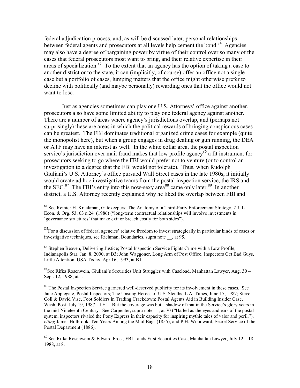federal adjudication process, and, as will be discussed later, personal relationships between federal agents and prosecutors at all levels help cement the bond.<sup>84</sup> Agencies may also have a degree of bargaining power by virtue of their control over so many of the cases that federal prosecutors most want to bring, and their relative expertise in their areas of specialization.<sup>85</sup> To the extent that an agency has the option of taking a case to another district or to the state, it can (implicitly, of course) offer an office not a single case but a portfolio of cases, lumping matters that the office might otherwise prefer to decline with politically (and maybe personally) rewarding ones that the office would not want to lose.

Just as agencies sometimes can play one U.S. Attorneys' office against another, prosecutors also have some limited ability to play one federal agency against another. There are a number of areas where agency's jurisdictions overlap, and (perhaps not surprisingly) these are areas in which the political rewards of bringing conspicuous cases can be greatest. The FBI dominates traditional organized crime cases for example (quite the monopolist here), but when a group engages in drug dealing or gun running, the DEA or ATF may have an interest as well. In the white collar area, the postal inspection service's jurisdiction over mail fraud makes that low profile agency<sup>86</sup> a fit instrument for prosecutors seeking to go where the FBI would prefer not to venture (or to control an investigation to a degree that the FBI would not tolerate). Thus, when Rudolph Giuliani's U.S. Attorney's office pursued Wall Street cases in the late 1980s, it initially would create ad hoc investigative teams from the postal inspection service, the IRS and the SEC.<sup>87</sup> The FBI's entry into this now-sexy area<sup>88</sup> came only later.<sup>89</sup> In another district, a U.S. Attorney recently explained why he liked the overlap between FBI and

<sup>86</sup> Stephen Beaven, Delivering Justice; Postal Inspection Service Fights Crime with a Low Profile, Indianapolis Star, Jan. 8, 2000, at B3; John Waggoner, Long Arm of Post Office; Inspectors Get Bad Guys, Little Attention, USA Today, Apr 16, 1993, at B1.

<sup>87</sup>See Rifka Rosenwein, Giuliani's Securities Unit Struggles with Caseload, Manhattan Lawyer, Aug. 30 -Sept. 12, 1988, at 1.

<sup>88</sup> The Postal Inspection Service garnered well-deserved publicity for its involvement in these cases. See Jane Applegate, Postal Inspectors; The Unsung Heroes of U.S. Sleuths, L.A. Times, June 17, 1987; Steve Coll & David Vise, Foot Soldiers in Trading Crackdown; Postal Agents Aid in Building Insider Case, Wash. Post, July 19, 1987, at H1. But the coverage was but a shadow of that in the Service's glory years in the mid-Nineteenth Century. See Carpenter, supra note , at 70 ("Hailed as the eyes and ears of the postal system, inspectors rivaled the Pony Express in their capacity for inspiring mythic tales of valor and peril."), citing James Holbrook, Ten Years Among the Mail Bags (1855), and P.H. Woodward, Secret Service of the Postal Department (1886).

<sup>&</sup>lt;sup>84</sup> See Reinier H. Kraakman, Gatekeepers: The Anatomy of a Third-Party Enforcement Strategy, 2 J. L. Econ. & Org. 53, 63 n.24 (1986) ("long-term contractual relationships will involve investments in 'governance structures' that make exit or breach costly for both sides").

<sup>&</sup>lt;sup>85</sup> For a discussion of federal agencies' relative freedom to invest strategically in particular kinds of cases or investigative techniques, see Richman, Boundaries, supra note , at 95.

<sup>&</sup>lt;sup>89</sup> See Rifka Rosenwein & Edward Frost, FBI Lands First Securities Case, Manhattan Lawyer, July 12 – 18, 1988, at 8.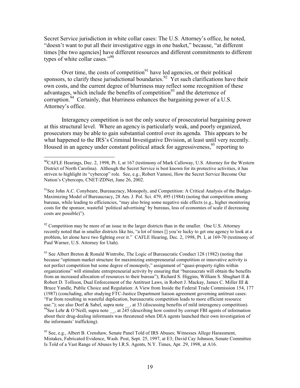Secret Service jurisdiction in white collar cases: The U.S. Attorney's office, he noted, "doesn't want to put all their investigative eggs in one basket," because, "at different" times [the two agencies] have different resources and different commitments to different types of white collar cases."<sup>90</sup>

Over time, the costs of competition<sup>91</sup> have led agencies, or their political sponsors, to clarify these jurisdictional boundaries.<sup>92</sup> Yet such clarifications have their own costs, and the current degree of blurriness may reflect some recognition of these advantages, which include the benefits of competition<sup>93</sup> and the deterrence of corruption.<sup>94</sup> Certainly, that blurriness enhances the bargaining power of a U.S. Attorney's office.

Interagency competition is not the only source of prosecutorial bargaining power at this structural level. Where an agency is particularly weak, and poorly organized, prosecutors may be able to gain substantial control over its agenda. This appears to be what happened to the IRS's Criminal Investigative Division, at least until very recently. Housed in an agency under constant political attack for aggressiveness,<sup>95</sup> reporting to

 $92$  Competition may be more of an issue in the larger districts than in the smaller. One U.S. Attorney recently noted that in smaller districts like his, "a lot of times [] you're lucky to get one agency to look at a problem, let alone have two fighting over it." CAFLE Hearing, Dec. 2, 1998, Pt. I, at 169-70 (testimony of Paul Warner, U.S. Attorney for Utah).

<sup>93</sup> See Albert Breton & Ronald Wintrobe, The Logic of Bureaucratic Conduct 128 (1982) (noting that because "optimum market structure for maximizing entrepreneurial competition or innovative activity is not perfect competition but some degree of monopoly," assignment of "quasi-property rights within organizations" will stimulate entrepreneurial activity by ensuring that "bureaucrats will obtain the benefits from an increased allocation of resources to their bureau"); Richard S. Higgins, William S. Shughart II & Robert D. Tollison, Dual Enforcement of the Antitrust Laws, in Robert J. Mackay, James C. Miller III & Bruce Yandle, Public Choice and Regulation: A View from Inside the Federal Trade Commission 154, 177 (1987) (concluding, after studying FTC-Justice Department liaison agreement governing antitrust cases: "Far from resulting in wasteful duplication, bureaucratic competition leads to more efficient resource use."); see also Dorf & Sabel, supra note , at 33 (discussing benefits of mild interagency competition). <sup>94</sup>See Lehr & O'Neill, supra note , at  $245$  (describing how control by corrupt FBI agents of information about their drug-dealing informants was threatened when DEA agents launched their own investigation of the informants' trafficking).

<sup>95</sup> See, e.g., Albert B. Crenshaw, Senate Panel Told of IRS Abuses; Witnesses Allege Harassment, Mistakes, Fabricated Evidence, Wash. Post, Sept. 25, 1997, at E3; David Cay Johnson, Senate Committee Is Told of a Vast Range of Abuses by I.R.S. Agents, N.Y. Times, Apr. 29, 1998, at A16.

 $^{90}$ CAFLE Hearings, Dec. 2, 1998, Pt. I, at 167 (testimony of Mark Calloway, U.S. Attorney for the Western District of North Carolina). Although the Secret Service is best known for its protective activities, it has striven to highlight its "cybercop" role. See, e.g., Robert Vamosi, How the Secret Service Become Our Nation's Cybercops, CNET/ZDNet, June 26, 2002.

 $91$ See John A.C. Conybeare, Bureaucracy, Monopoly, and Competition: A Critical Analysis of the Budget-Maximizing Model of Bureaucracy, 28 Am. J. Pol. Sci. 479, 495 (1984) (noting that competition among bureaus, while leading to efficiencies, "may also bring some negative side effects (e.g., higher monitoring costs for the sponsor, wasteful 'political advertising' by bureaus, loss of economies of scale if decreasing costs are possible)").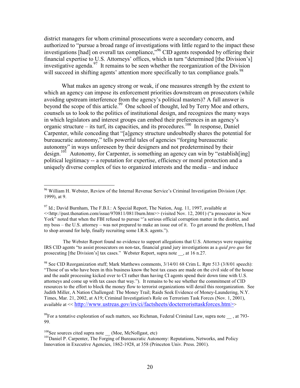district managers for whom criminal prosecutions were a secondary concern, and authorized to "pursue a broad range of investigations with little regard to the impact these investigations [had] on overall tax compliance,<sup>396</sup> CID agents responded by offering their financial expertise to U.S. Attorneys' offices, which in turn "determined [the Division's] investigative agenda.  $97$  It remains to be seen whether the reorganization of the Division will succeed in shifting agents' attention more specifically to tax compliance goals.<sup>98</sup>

What makes an agency strong or weak, if one measures strength by the extent to which an agency can impose its enforcement priorities downstream on prosecutors (while avoiding upstream interference from the agency's political masters)? A full answer is beyond the scope of this article.<sup>99</sup> One school of thought, led by Terry Moe and others, counsels us to look to the politics of institutional design, and recognizes the many ways in which legislators and interest groups can embed their preferences in an agency's organic structure – its turf, its capacities, and its procedures.<sup>100</sup> In response, Daniel Carpenter, while conceding that "[a]gency structure undoubtedly shares the potential for bureaucratic autonomy," tells powerful tales of agencies "forging bureaucratic autonomy" in ways unforeseen by their designers and not predetermined by their design.<sup>101</sup> Autonomy, for Carpenter, is something an agency can win by "establish [ing] political legitimacy -- a reputation for expertise, efficiency or moral protection and a uniquely diverse complex of ties to organized interests and the media – and induce

The Webster Report found no evidence to support allegations that U.S. Attorneys were requiring IRS CID agents "to assist prosecutors on non-tax, financial grand jury investigations as a *quid pro quo* for prosecuting [the Division's] tax cases." Webster Report, supra note , at 16 n.27.

<sup>&</sup>lt;sup>96</sup> William H. Webster, Review of the Internal Revenue Service's Criminal Investigation Division (Apr. 1999), at 9.

<sup>&</sup>lt;sup>97</sup> Id.; David Burnham, The F.B.I.: A Special Report, The Nation, Aug. 11, 1997, available at <<http://past.thenation.com/issue/970811/0811burn.htm>> (visited Nov. 12, 2001) ("a prosecutor in New York" noted that when the FBI refused to pursue "a serious official corruption matter in the district, and my boss – the U.S. attorney – was not prepared to make an issue out of it. To get around the problem, I had to shop around for help, finally recruiting some I.R.S. agents.").

<sup>&</sup>lt;sup>98</sup> See CID Reorganization stuff; Mark Matthews comments, 3/14/01 68 Crim L. Rptr 513 (3/8/01 speech): "Those of us who have been in this business know the best tax cases are made on the civil side of the house and the audit processing kicked over to CI rather than having CI agents spend their down time with U.S. attorneys and come up with tax cases that way."). It remains to be see whether the commitment of CID resources to the effort to block the money flow to terrorist organizations will derail this reorganization. See Judith Miller, A Nation Challenged: The Money Trail; Raids Seek Evidence of Money-Laundering, N.Y. Times, Mar. 21, 2002, at A19; Criminal Investigation's Role on Terrorism Task Forces (Nov. 1, 2001), available at << http://www.ustreas.gov/irs/ci/factsheets/docterroristtaskforces.htm>>

 $^{99}$ For a tentative exploration of such matters, see Richman, Federal Criminal Law, supra note , at 793-99.

<sup>&</sup>lt;sup>100</sup>See sources cited supra note \_\_ (Moe, McNollgast, etc)

<sup>&</sup>lt;sup>101</sup>Daniel P. Carpenter, The Forging of Bureaucratic Autonomy: Reputations, Networks, and Policy Innovation in Executive Agencies, 1862-1928, at 358 (Princeton Univ. Press. 2001).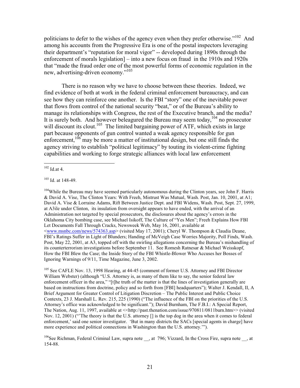politicians to defer to the wishes of the agency even when they prefer otherwise."<sup>102</sup> And among his accounts from the Progressive Era is one of the postal inspectors leveraging their department's "reputation for moral vigor" -- developed during 1890s through the enforcement of morals legislation] – into a new focus on fraud in the 1910s and 1920s that "made the fraud order one of the most powerful forms of economic regulation in the new, advertising-driven economy."<sup>103</sup>

There is no reason why we have to choose between these theories. Indeed, we find evidence of both at work in the federal criminal enforcement bureaucracy, and can see how they can reinforce one another. Is the FBI "story" one of the inevitable power that flows from control of the national security "beat," or of the Bureau's ability to manage its relationships with Congress, the rest of the Executive branch, and the media? It is surely both. And however beleagured the Bureau may seem today,  $104$  no prosecutor will discount its clout.<sup>105</sup> The limited bargaining power of ATF, which exists in large part because opponents of gun control wanted a weak agency responsible for gun enforcement,  $106$  may be more a matter of institutional design, but one still finds the agency striving to establish "political legitimacy" by touting its violent-crime fighting capabilities and working to forge strategic alliances with local law enforcement

<sup>104</sup>While the Bureau may have seemed particularly autonomous during the Clinton years, see John F. Harris & David A. Vise, The Clinton Years: With Freeh, Mistrust Was Mutual, Wash. Post, Jan. 10, 2001, at A1; David A. Vise & Lorraine Adams, Rift Between Justice Dept. and FBI Widens, Wash. Post, Sept. 27, 1999, at A3ile under Clinton, its insulation from oversight appears to have ended, with the arrival of an Administration not targeted by special prosecutors, the disclosures about the agency's errors in the Oklahoma City bombing case, see Michael Isikoff, The Culture of "Yes Men"; Freeh Explains How FBI Let Documents Fall Through Cracks, Newsweek Web, May 16, 2001, available at <www.msnbc.com/news/574363.asp> (visited May 17, 2001); Cheryl W. Thompson & Claudia Deane, FBI's Ratings Suffer in Light of Blunders; Handing of McVeigh Case Worries Majority, Poll Finds, Wash. Post, May 22, 2001, at A3, topped off with the swirling allegations concerning the Bureau's mishandling of its counterterrorism investigations before September 11. See Romesh Ratnesar & Michael Weisskopf, How the FBI Blew the Case; the Inside Story of the FBI Whistle-Blower Who Accuses her Bosses of Ignoring Warnings of 9/11, Time Magazine, June 3, 2002.

<sup>105</sup> See CAFLE Nov. 13, 1998 Hearing, at 44-45 (comment of former U.S. Attorney and FBI Director William Webster) (although "U.S. Attorney is, as many of them like to say, the senior federal law enforcement officer in the area," "[t]he truth of the matter is that the lines of investigation generally are based on instructions from doctrine, policy and so forth from [FBI] headquarters"); Walter J. Kendall, II, A Brief Argument for Greater Control of Litigation Discretion - The Public Interest and Public Choice Contexts, 23 J. Marshall L. Rev. 215, 225 (1990) ("The influence of the FBI on the priorities of the U.S. Attorney's office was acknowledged to be significant."); David Burnham, The F.B.I.: A Special Report, The Nation, Aug. 11, 1997, available at  $\leq$ http://past.thenation.com/issue/970811/0811burn.htm>> (visited Nov. 12, 2001) ("The theory is that the U.S. attorney [] is the top dog in the area when it comes to federal enforcement,' said one senior investigator. 'But in many districts the SACs [special agents in charge] have more experience and political connections in Washington than the U.S. attorney."".

 $102$  Id.at 4.

 $103$  Id. at 148-49.

<sup>&</sup>lt;sup>106</sup>See Richman, Federal Criminal Law, supra note , at 796; Vizzard, In the Cross Fire, supra note \_\_, at 154-88.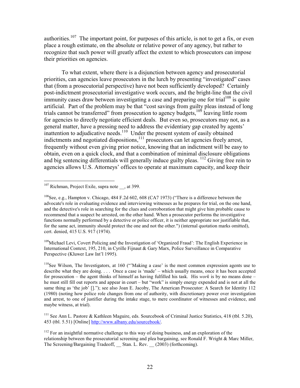authorities.<sup>107</sup> The important point, for purposes of this article, is not to get a fix, or even place a rough estimate, on the absolute or relative power of any agency, but rather to recognize that such power will greatly affect the extent to which prosecutors can impose their priorities on agencies.

To what extent, where there is a disjunction between agency and prosecutorial priorities, can agencies leave prosecutors in the lurch by presenting "investigated" cases that (from a prosecutorial perspective) have not been sufficiently developed? Certainly post-indictment prosecutorial investigative work occurs, and the bright-line that the civil immunity cases draw between investigating a case and preparing one for trial<sup>108</sup> is quite artificial. Part of the problem may be that "cost savings from guilty pleas instead of long trials cannot be transferred" from prosecution to agency budgets, <sup>109</sup> leaving little room for agencies to directly negotiate efficient deals. But even so, prosecutors may not, as a general matter, have a pressing need to address the evidentiary gap created by agents' inattention to adjudicative needs.<sup>110</sup> Under the present system of easily obtained indictments and negotiated dispositions,  $\frac{111}{11}$  prosecutors can let agencies freely arrest, frequently without even giving prior notice, knowing that an indictment will be easy to obtain, even on a quick clock, and that a combination of minimal disclosure obligations and big sentencing differentials will generally induce guilty pleas. <sup>112</sup> Giving free rein to agencies allows U.S. Attorneys' offices to operate at maximum capacity, and keep their

<sup>109</sup>Michael Levi, Covert Policing and the Investigation of 'Organized Fraud': The English Experience in International Context, 195, 210, in Cyrille Fijnaut & Gary Marx, Police Surveillance in Comparative Perspective (Kluwer Law Int'l 1995).

<sup>110</sup>See Wilson, The Investigators, at 160 ("Making a case' is the most common expression agents use to describe what they are doing.... Once a case is 'made' – which usually means, once it has been accepted for prosecution – the agent thinks of himself as having fulfilled his task. His *work* is by no means done – he must still fill out reports and appear in court – but "work" is simply energy expended and is not at all the same thing as 'the job' []."); see also Joan E. Jacoby, The American Prosecutor: A Search for Identity 112 (1980) (noting how police role changes from one of authority, with discretionary power over investigation and arrest, to one of justifier during the intake stage, to mere coordinator of witnesses and evidence, and maybe witness, at trial).

<sup>111</sup> See Ann L. Pastore & Kathleen Maguire, eds. Sourcebook of Criminal Justice Statistics, 418 (tbl. 5.20), 453 (tbl. 5.51) [Online] http://www.albany.edu/sourcebook/.

 $107$  Richman, Project Exile, supra note , at 399.

 $^{108}$ See, e.g., Hampton y. Chicago, 484 F.2d 602, 608 (CA7 1973) ("There is a difference between the advocate's role in evaluating evidence and interviewing witnesses as he prepares for trial, on the one hand, and the detective's role in searching for the clues and corroboration that might give him probable cause to recommend that a suspect be arrested, on the other hand. When a prosecutor performs the investigative functions normally performed by a detective or police officer, it is neither appropriate nor justifiable that, for the same act, immunity should protect the one and not the other.") (internal quotation marks omitted), cert. denied, 415 U.S. 917 (1974).

 $112$  For an insightful normative challenge to this way of doing business, and an exploration of the relationship between the prosecutorial screening and plea bargaining, see Ronald F. Wright & Marc Miller, The Screening/Bargaining Tradeoff, Stan. L. Rev. (2003) (forthcoming).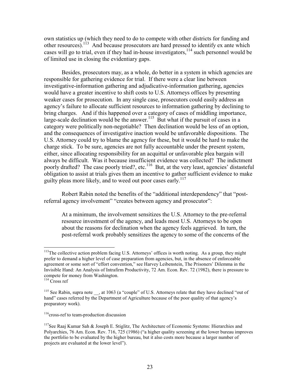own statistics up (which they need to do to compete with other districts for funding and other resources).<sup>113</sup> And because prosecutors are hard pressed to identify ex ante which cases will go to trial, even if they had in-house investigators, <sup>114</sup> such personnel would be of limited use in closing the evidentiary gaps.

Besides, prosecutors may, as a whole, do better in a system in which agencies are responsible for gathering evidence for trial. If there were a clear line between investigative-information gathering and adjudicative-information gathering, agencies would have a greater incentive to shift costs to U.S. Attorneys offices by presenting weaker cases for prosecution. In any single case, prosecutors could easily address an agency's failure to allocate sufficient resources to information gathering by declining to bring charges. And if this happened over a category of cases of middling importance, large-scale declination would be the answer.<sup>115</sup> But what if the pursuit of cases in a category were politically non-negotiable? Then declination would be less of an option, and the consequences of investigative inaction would be unfavorable dispositions. The U.S. Attorney could try to blame the agency for these, but it would be hard to make the charge stick. To be sure, agencies are not fully accountable under the present system, either, since allocating responsibility for an acquittal or unfavorable plea bargain will always be difficult. Was it because insufficient evidence was collected? The indictment poorly drafted? The case poorly tried?, etc.<sup>116</sup> But, at the very least, agencies' distasteful obligation to assist at trials gives them an incentive to gather sufficient evidence to make guilty pleas more likely, and to weed out poor cases early.<sup>117</sup>

Robert Rabin noted the benefits of the "additional interdependency" that "postreferral agency involvement" "creates between agency and prosecutor":

At a minimum, the involvement sensitizes the U.S. Attorney to the pre-referral resource investment of the agency, and leads most U.S. Attorneys to be open about the reasons for declination when the agency feels aggrieved. In turn, the post-referral work probably sensitizes the agency to some of the concerns of the

 $116$  cross-ref to team-production discussion

 $^{113}$ The collective action problem facing U.S. Attorneys' offices is worth noting. As a group, they might prefer to demand a higher level of case preparation from agencies, but, in the absence of enforceable agreement or some sort of "effort convention," see Harvey Leibenstein, The Prisoners' Dilemma in the Invisible Hand: An Analysis of Intrafirm Productivity, 72 Am. Econ. Rev. 72 (1982), there is pressure to compete for money from Washington.

 $114$  Cross ref

<sup>&</sup>lt;sup>115</sup> See Rabin, supra note , at 1063 (a "couple" of U.S. Attorneys relate that they have declined "out of hand" cases referred by the Department of Agriculture because of the poor quality of that agency's preparatory work).

<sup>&</sup>lt;sup>117</sup>See Raaj Kumar Sah & Joseph E. Stiglitz, The Architecture of Economic Systems: Hierarchies and Polyarchies, 76 Am. Econ. Rev. 716, 725 (1986) ("a higher quality screening at the lower bureau improves the portfolio to be evaluated by the higher bureau, but it also costs more because a larger number of projects are evaluated at the lower level").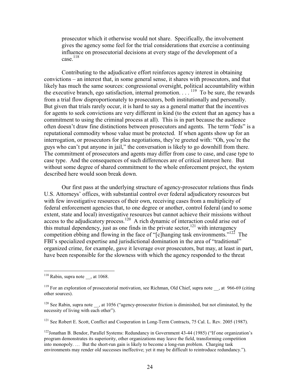prosecutor which it otherwise would not share. Specifically, the involvement gives the agency some feel for the trial considerations that exercise a continuing influence on prosecutorial decisions at every stage of the development of a  $case.$ <sup>118</sup>

Contributing to the adjudicative effort reinforces agency interest in obtaining convictions – an interest that, in some general sense, it shares with prosecutors, and that likely has much the same sources: congressional oversight, political accountability within the executive branch, ego satisfaction, internal promotion...  $^{119}$  To be sure, the rewards from a trial flow disproportionately to prosecutors, both institutionally and personally. But given that trials rarely occur, it is hard to say as a general matter that the incentives for agents to seek convictions are very different in kind (to the extent that an agency has a commitment to using the criminal process at all). This is in part because the audience often doesn't draw fine distinctions between prosecutors and agents. The term "feds" is a reputational commodity whose value must be protected. If when agents show up for an interrogation, or prosecutors for plea negotiations, they're greeted with: "Oh, you're the guys who can't put anyone in jail," the conversation is likely to go downhill from there. The commitment of prosecutors and agents may differ from case to case, and case type to case type. And the consequences of such differences are of critical interest here. But without some degree of shared commitment to the whole enforcement project, the system described here would soon break down.

Our first pass at the underlying structure of agency-prosecutor relations thus finds U.S. Attorneys' offices, with substantial control over federal adjudicatory resources but with few investigative resources of their own, receiving cases from a multiplicity of federal enforcement agencies that, to one degree or another, control federal (and to some extent, state and local) investigative resources but cannot achieve their missions without access to the adjudicatory process.<sup>120</sup> A rich dynamic of interaction could arise out of this mutual dependency, just as one finds in the private sector,  $^{121}$  with interagency competition ebbing and flowing in the face of "[c]hanging task environments."<sup>122</sup> The FBI's specialized expertise and jurisdictional domination in the area of "traditional" organized crime, for example, gave it leverage over prosecutors, but may, at least in part, have been responsible for the slowness with which the agency responded to the threat

<sup>121</sup> See Robert E. Scott, Conflict and Cooperation in Long-Term Contracts, 75 Cal. L. Rev. 2005 (1987).

 $118$  Rabin, supra note , at 1068.

<sup>&</sup>lt;sup>119</sup> For an exploration of prosecutorial motivation, see Richman, Old Chief, supra note , at 966-69 (citing other sources).

<sup>&</sup>lt;sup>120</sup> See Rabin, supra note , at 1056 ("agency-prosecutor friction is diminished, but not eliminated, by the necessity of living with each other").

<sup>&</sup>lt;sup>122</sup>Jonathan B. Bendor, Parallel Systems: Redundancy in Government 43-44 (1985) ("If one organization's program demonstrates its superiority, other organizations may leave the field, transforming competition into monopoly.... But the short-run gain is likely to become a long-run problem. Charging task environments may render old successes ineffective; yet it may be difficult to reintroduce redundancy.").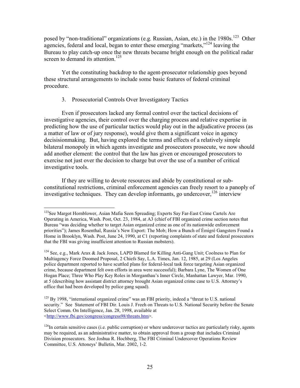posed by "non-traditional" organizations (e.g. Russian, Asian, etc.) in the 1980s.<sup>123</sup> Other agencies, federal and local, began to enter these emerging "markets,"<sup>124</sup> leaving the Bureau to play catch-up once the new threats became bright enough on the political radar screen to demand its attention.<sup>125</sup>

Yet the constituting backdrop to the agent-prosecutor relationship goes beyond these structural arrangements to include some basic features of federal criminal procedure.

# 3. Prosecutorial Controls Over Investigatory Tactics

Even if prosecutors lacked any formal control over the tactical decisions of investigative agencies, their control over the charging process and relative expertise in predicting how the use of particular tactics would play out in the adjudicative process (as a matter of law or of jury response), would give them a significant voice in agency decision making. But, having explored the terms and effects of a relatively simple bilateral monopoly in which agents investigate and prosecutors prosecute, we now should add another element: the control that the law has given or encouraged prosecutors to exercise not just over the decision to charge but over the use of a number of critical investigative tools.

If they are willing to devote resources and abide by constitutional or subconstitutional restrictions, criminal enforcement agencies can freely resort to a panoply of investigative techniques. They can develop informants, go undercover, <sup>126</sup> interview

<sup>&</sup>lt;sup>123</sup>See Margot Hornblower, Asian Mafia Seen Spreading; Experts Say Far-East Crime Cartels Are Operating in America, Wash. Post, Oct. 23, 1984, at A3 (chief of FBI organized crime section notes that Bureau "was deciding whether to target Asian organized crime as one of its nationwide enforcement priorities"); James Rosenthal, Russia's New Export: The Mob; How a Bunch of Émigré Gangsters Found a Home in Brooklyn, Wash. Post, June 24, 1990, at C1 (reporting complaints of state and federal prosecutors that the FBI was giving insufficient attention to Russian mobsters).

<sup>&</sup>lt;sup>124</sup> See, e.g., Mark Arax & Jack Jones, LAPD Blamed for Killing Anti-Gang Unit; Coolness to Plan for Multiagency Force Doomed Proposal, 2 Chiefs Say, L.A. Times, Jan. 12, 1985, at 29 (Los Angeles police department reported to have scuttled plans for federal-local task force targeting Asian organized crime, because department felt own efforts in area were successful); Barbara Lyne, The Women of One Hogan Place; Three Who Play Key Roles in Morganthau's Inner Circle, Manhattan Lawyer, Mar. 1990, at 5 (describing how assistant district attorney brought Asian organized crime case to U.S. Attorney's office that had been developed by police gang squad).

 $125$  By 1998, "international organized crime" was an FBI priority, indeed a "threat to U.S. national security." See Statement of FBI Dir. Louis J. Freeh on Threats to U.S. National Security before the Senate Select Comm. On Intelligence, Jan. 28, 1998, available at <http://www.fbi.gov/congress/congress98/threats.htm>.

 $^{126}$ In certain sensitive cases (i.e. public corruption) or where undercover tactics are particularly risky, agents may be required, as an administrative matter, to obtain approval from a group that includes Criminal Division prosecutors. See Joshua R. Hochberg, The FBI Criminal Undercover Operations Review Committee, U.S. Attoneys' Bulletin, Mar. 2002, 1-2.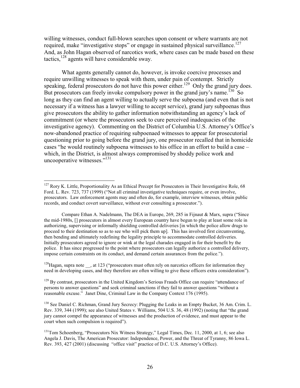willing witnesses, conduct full-blown searches upon consent or where warrants are not required, make "investigative stops" or engage in sustained physical surveillance.<sup>127</sup> And, as John Hagan observed of narcotics work, where cases can be made based on these tactics,  $^{128}$  agents will have considerable sway.

What agents generally cannot do, however, is invoke coercive processes and require unwilling witnesses to speak with them, under pain of contempt. Strictly speaking, federal prosecutors do not have this power either.<sup>129</sup> Only the grand jury does. But prosecutors can freely invoke compulsory power in the grand jury's name.  $^{130}$  So long as they can find an agent willing to actually serve the subpoena (and even that is not necessary if a witness has a lawyer willing to accept service), grand jury subpoenas thus give prosecutors the ability to gather information notwithstanding an agency's lack of commitment (or where the prosecutors seek to cure perceived inadequacies of the investigative agency). Commenting on the District of Columbia U.S. Attorney's Office's now-abandoned practice of requiring subpoenaed witnesses to appear for prosecutorial questioning prior to going before the grand jury, one prosecutor recalled that in homicide cases "he would routinely subpoena witnesses to his office in an effort to build a case – which, in the District, is almost always compromised by shoddy police work and uncooperative witnesses."<sup>131</sup>

<sup>128</sup>Hagan, supra note , at 123 ("prosecutors must often rely on narcotics officers for information they need in developing cases, and they therefore are often willing to give these officers extra consideration").

 $127$  Rory K. Little, Proportionality As an Ethical Precept for Prosecutors in Their Investigative Role, 68 Ford. L. Rev. 723, 737 (1999) ("Not all criminal investigative techniques require, or even involve, prosecutors. Law enforcement agents may and often do, for example, interview witnesses, obtain public records, and conduct covert surveillance, without ever consulting a prosecutor.").

Compare Ethan A. Nadelmann, The DEA in Europe, 269, 285 in Fijnaut & Marx, supra ("Since" the mid-1980s, [] prosecutors in almost every European country have begun to play at least some role in authorizing, supervising or informally shielding controlled deliveries [in which the police allow drugs to proceed to their destination so as to see who will pick them up]. This has involved first circumventing, then bending and ultimately redefining the legality principle to accommodate controlled deliveries. Initially prosecutors agreed to ignore or wink at the legal charades engaged in for their benefit by the police. It has since progressed to the point where prosecutors can legally authorize a controlled delivery, impose certain constraints on its conduct, and demand certain assurances from the police.").

 $129$  By contrast, prosecutors in the United Kingdom's Serious Frauds Office can require "attendance of persons to answer questions" and seek criminal sanctions if they fail to answer questions "without a reasonable excuse." Janet Dine, Criminal Law in the Company Context 176 (1995).

<sup>&</sup>lt;sup>130</sup> See Daniel C. Richman, Grand Jury Secrecy: Plugging the Leaks in an Empty Bucket, 36 Am. Crim. L. Rev. 339, 344 (1999); see also United States v. Williams, 504 U.S. 36, 48 (1992) (noting that "the grand jury cannot compel the appearance of witnesses and the production of evidence, and must appear to the court when such compulsion is required").

<sup>&</sup>lt;sup>131</sup>Tom Schoenberg, "Prosecutors Nix Witness Strategy," Legal Times, Dec. 11, 2000, at 1, 6; see also Angela J. Davis, The American Prosecutor: Independence, Power, and the Threat of Tyranny, 86 Iowa L. Rev. 393, 427 (2001) (discussing "office visit" practice of D.C. U.S. Attorney's Office).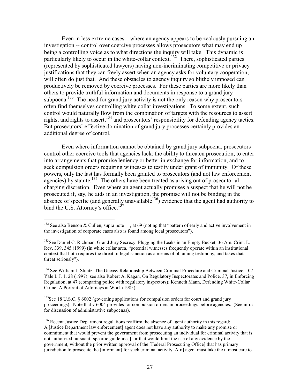Even in less extreme cases – where an agency appears to be zealously pursuing an investigation -- control over coercive processes allows prosecutors what may end up being a controlling voice as to what directions the inquiry will take. This dynamic is particularly likely to occur in the white-collar context.<sup>132</sup> There, sophisticated parties (represented by sophisticated lawyers) having non-incriminating competitive or privacy justifications that they can freely assert when an agency asks for voluntary cooperation, will often do just that. And these obstacles to agency inquiry so blithely imposed can productively be removed by coercive processes. For these parties are more likely than others to provide truthful information and documents in response to a grand jury subpoena.<sup>133</sup> The need for grand jury activity is not the only reason why prosecutors often find themselves controlling white collar investigations. To some extent, such control would naturally flow from the combination of targets with the resources to assert rights, and rights to assert,<sup>134</sup> and prosecutors' responsibility for defending agency tactics. But prosecutors' effective domination of grand jury processes certainly provides an additional degree of control.

Even where information cannot be obtained by grand jury subpoena, prosecutors control other coercive tools that agencies lack: the ability to threaten prosecution, to enter into arrangements that promise leniency or better in exchange for information, and to seek compulsion orders requiring witnesses to testify under grant of immunity. Of these powers, only the last has formally been granted to prosecutors (and not law enforcement  $\frac{1}{4}$  agencies) by statute.<sup>135</sup> The others have been treated as arising out of prosecutorial charging discretion. Even where an agent actually promises a suspect that he will not be prosecuted if, say, he aids in an investigation, the promise will not be binding in the absence of specific (and generally unavailable  $^{136}$ ) evidence that the agent had authority to bind the U.S. Attorney's office.<sup>137</sup>

<sup>&</sup>lt;sup>132</sup> See also Benson & Cullen, supra note \_\_, at 69 (noting that "pattern of early and active involvement in the investigation of corporate cases also is found among local prosecutors").

<sup>&</sup>lt;sup>133</sup>See Daniel C. Richman, Grand Jury Secrecy: Plugging the Leaks in an Empty Bucket, 36 Am. Crim. L. Rev. 339, 345 (1999) (in white collar area, "potential witnesses frequently operate within an institutional context that both requires the threat of legal sanction as a means of obtaining testimony, and takes that threat seriously").

<sup>&</sup>lt;sup>134</sup> See William J. Stuntz, The Uneasy Relationship Between Criminal Procedure and Criminal Justice, 107 Yale L.J. 1, 28 (1997); see also Robert A. Kagan, On Regulatory Inspectorates and Police, 37, in Enforcing Regulation, at 47 (comparing police with regulatory inspectors); Kenneth Mann, Defending White-Collar Crime: A Portrait of Attorneys at Work (1985).

<sup>&</sup>lt;sup>135</sup>See 18 U.S.C. § 6002 (governing applications for compulsion orders for court and grand jury proceedings). Note that  $\S 6004$  provides for compulsion orders in proceedings before agencies. (See infra for discussion of administrative subpoenas).

<sup>&</sup>lt;sup>136</sup> Recent Justice Department regulations reaffirm the absence of agent authority in this regard: A [Justice Department law enforcement] agent does not have any authority to make any promise or commitment that would prevent the government from prosecuting an individual for criminal activity that is not authorized pursuant [specific guidelines], or that would limit the use of any evidence by the government, without the prior written approval of the [Federal Prosecuting Office] that has primary jurisdiction to prosecute the [informant] for such criminal activity.  $A[n]$  agent must take the utmost care to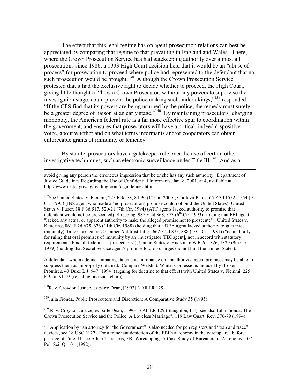The effect that this legal regime has on agent-prosecution relations can best be appreciated by comparing that regime to that prevailing in England and Wales. There, where the Crown Prosecution Service has had gate keeping authority over almost all prosecutions since 1986, a 1993 High Court decision held that it would be an "abuse of process" for prosecution to proceed where police had represented to the defendant that no such prosecution would be brought.<sup>138</sup> Although the Crown Prosecution Service protested that it had the exclusive right to decide whether to proceed, the High Court, giving little thought to "how a Crown Prosecutor, without any powers to supervise the investigation stage, could prevent the police making such undertakings,"<sup>139</sup> responded: "If the CPS find that its powers are being usurped by the police, the remedy must surely be a greater degree of liaison at an early stage."<sup>140</sup> By maintaining prosecutors' charging monopoly, the American federal rule is a far more effective spur to coordination within the government, and ensures that prosecutors will have a critical, indeed dispositive voice, about whether and on what terms informants and/or cooperators can obtain enforceable grants of immunity or leniency.

By statute, prosecutors have a gatekeeper role over the use of certain other investigative techniques, such as electronic surveillance under Title III.<sup>141</sup> And as a

<sup>137</sup>See United States v. Flemmi, 225 F.3d 78, 84-90 (1<sup>st</sup> Cir. 2000); Cordova-Perez, 65 F.3d 1552, 1554 (9<sup>th</sup>) Cir. 1995) (INS agent who made a "no prosecution" promise could not bind the United States): United States v. Fuzer, 18 F.3d 517, 520-21 (7th Cir. 1994) (ATF agents lacked authority to promise that defendant would not be prosecuted); Streebing, 987 F.2d 368, 373 ( $6<sup>th</sup>$  Cir. 1993) (finding that FBI agent "lacked any actual or apparent authority to make the alleged promise not to prosecute"); United States v. Kettering, 861 F.2d 675, 676 (11th Cir. 1988) (holding that a DEA agent lacked authority to guarantee immunity); In re Corrugated Container Antitrust Litig., 662 F.2d 875, 888 (D.C. Cir. 1981) ("no authority for ruling that oral promises of immunity by an investigator [FBI agent], not in accord with statutory requirements, bind all federal . . . prosecutors"); United States v. Hudson, 609 F.2d 1326, 1329 (9th Cir. 1979) (holding that Secret Service agent's promise to drop charges did not bind the United States).

A defendant who made incriminating statements in reliance on unauthorized agent promises may be able to suppress them as improperly obtained. Compare Welsh S. White, Confessions Induced by Broken Promises, 43 Duke L.J. 947 (1994) (arguing for doctrine to that effect) with United States v. Flemmi, 225 F.3d at 91-92 (rejecting one such claim).

 $138R$ , v. Croydon Justice, ex parte Dean, [1993] 3 All ER 129.

<sup>139</sup>Julia Fionda, Public Prosecutors and Discretion: A Comparative Study 35 (1995).

<sup>140</sup> R. v. Croydon Justice, ex parte Dean, [1993] 3 All ER 129 (Staughton, L.J); see also Julia Fionda, The Crown Prosecution Service and the Police: A Loveless Marriage?, 119 Law Quart. Rev. 376-79 (1994).

<sup>141</sup> Application by "an attorney for the Government" is also needed for pen registers and "trap and trace" devices, see 18 USC 3122. For a trenchant depiction of the FBI's autonomy in the wiretap area before passage of Title III, see Athan Theoharis, FBI Wiretapping: A Case Study of Bureaucratic Autonomy, 107 Pol. Sci. O. 101 (1992).

avoid giving any person the erroneous impression that he or she has any such authority. Department of Justice Guidelines Regarding the Use of Confidential Informants, Jan. 8, 2001, at 4; available at http://www.usdoj.gov/ag/readingroom/ciguidelines.htm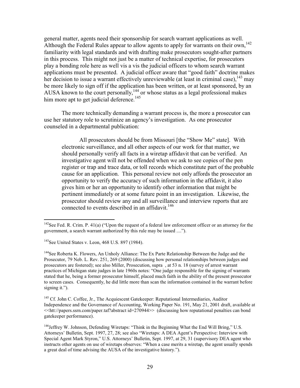general matter, agents need their sponsorship for search warrant applications as well. Although the Federal Rules appear to allow agents to apply for warrants on their own,<sup>142</sup> familiarity with legal standards and with drafting make prosecutors sought-after partners in this process. This might not just be a matter of technical expertise, for prosecutors play a bonding role here as well vis a vis the judicial officers to whom search warrant applications must be presented. A judicial officer aware that "good faith" doctrine makes her decision to issue a warrant effectively unreviewable (at least in criminal case),  $143$  may be more likely to sign off if the application has been written, or at least sponsored, by an AUSA known to the court personally,  $^{144}_{14}$  or whose status as a legal professional makes him more apt to get judicial deference.<sup>145</sup>

The more technically demanding a warrant process is, the more a prosecutor can use her statutory role to scrutinize an agency's investigation. As one prosecutor counseled in a departmental publication:

All prosecutors should be from Missouri [the "Show Me" state]. With electronic surveillance, and all other aspects of our work for that matter, we should personally verify all facts in a wiretap affidavit that can be verified. An investigative agent will not be offended when we ask to see copies of the pen register or trap and trace data, or toll records which constitute part of the probable cause for an application. This personal review not only affords the prosecutor an opportunity to verify the accuracy of such information in the affidavit, it also gives him or her an opportunity to identify other information that might be pertinent immediately or at some future point in an investigation. Likewise, the prosecutor should review any and all surveillance and interview reports that are connected to events described in an affidavit.<sup>146</sup>

<sup>144</sup>See Roberta K. Flowers, An Unholy Alliance: The Ex Parte Relationship Between the Judge and the Prosecutor, 79 Neb. L. Rev. 251, 269 (2000) (discussing how personal relationships between judges and prosecutors are fostered); see also Miller, Prosecution, supra, at 53 n, 18 (survey of arrest warrant practices of Michigan state judges in late 1960s notes: "One judge responsible for the signing of warrants stated that he, being a former prosecutor himself, placed much faith in the ability of the present prosecutor to screen cases. Consequently, he did little more than scan the information contained in the warrant before signing it.").

<sup>145</sup> Cf. John C. Coffee, Jr., The Acquiescent Gatekeeper: Reputational Intermediaries, Auditor Independence and the Governance of Accounting, Working Paper No. 191, May 21, 2001 draft, available at <<htt://papers.ssrn.com/paper.taf?abstract id=270944>> (discussing how reputational penalties can bond gatekeeper performance).

 $142$ See Fed. R. Crim. P. 41(a) ("Upon the request of a federal law enforcement officer or an attorney for the government, a search warrant authorized by this rule may be issued ....").

<sup>&</sup>lt;sup>143</sup>See United States v. Leon, 468 U.S. 897 (1984).

<sup>&</sup>lt;sup>146</sup>Jeffrey W. Johnson, Defending Wiretaps: "Think in the Beginning What the End Will Bring," U.S. Attorneys' Bulletin, Sept. 1997, 27, 28; see also "Wiretaps: A DEA Agent's Perspective: Interview with Special Agent Mark Styron," U.S. Attorneys' Bulletin, Sept. 1997, at 29, 31 (supervisory DEA agent who instructs other agents on use of wiretaps observes: "When a case merits a wiretap, the agent usually spends a great deal of time advising the AUSA of the investigative history.").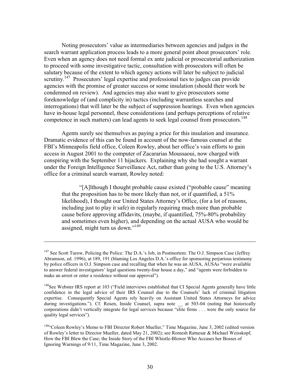Noting prosecutors' value as intermediaries between agencies and judges in the search warrant application process leads to a more general point about prosecutors' role. Even when an agency does not need formal ex ante judicial or prosecutorial authorization to proceed with some investigative tactic, consultation with prosecutors will often be salutary because of the extent to which agency actions will later be subject to judicial scrutiny.<sup>147</sup> Prosecutors' legal expertise and professional ties to judges can provide agencies with the promise of greater success or some insulation (should their work be condemned on review). And agencies may also want to give prosecutors some foreknowledge of (and complicity in) tactics (including warrantless searches and interrogations) that will later be the subject of suppression hearings. Even when agencies have in-house legal personnel, these considerations (and perhaps perceptions of relative competence in such matters) can lead agents to seek legal counsel from prosecutors.<sup>148</sup>

Agents surely see themselves as paying a price for this insulation and insurance. Dramatic evidence of this can be found in account of the now-famous counsel at the FBI's Minneapolis field office, Coleen Rowley, about her office's vain efforts to gain access in August 2001 to the computer of Zacararias Moussaoui, now charged with conspiring with the September 11 hijackers. Explaining why she had sought a warrant under the Foreign Intelligence Surveillance Act, rather than going to the U.S. Attorney's office for a criminal search warrant, Rowley noted:

"[A]] though I thought probable cause existed ("probable cause" meaning" that the proposition has to be more likely than not, or if quantified, a 51% likelihood), I thought our United States Attorney's Office, (for a lot of reasons, including just to play it safe) in regularly requiring much more than probable cause before approving affidavits, (maybe, if quantified, 75%-80% probability and sometimes even higher), and depending on the actual AUSA who would be assigned, might turn us down."<sup>149</sup>

 $147$  See Scott Turow, Policing the Police: The D.A.'s Job, in Postmortem: The O.J. Simpson Case (Jeffrey Abramson, ed. 1996), at 189, 191 (blaming Los Angeles D.A.'s office for sponsoring perjurious testimony by police officers in O.J. Simpson case and recalling that when he was an AUSA, AUSAs "were available to answer federal investigators' legal questions twenty-four house a day," and "agents were forbidden to make an arrest or enter a residence without our approval").

<sup>&</sup>lt;sup>148</sup>See Webster IRS report at 103 ("Field interviews established that CI Special Agents generally have little confidence in the legal advice of their IRS Counsel due to the Counsels' lack of criminal litigation expertise. Consequently Special Agents rely heavily on Assistant United States Attorneys for advice during investigations."). Cf. Rosen, Inside Counsel, supra note at 503-04 (noting that historically corporations didn't vertically integrate for legal services because "elite firms . . . were the only source for quality legal services").

<sup>&</sup>lt;sup>149</sup>"Coleen Rowley's Memo to FBI Director Robert Mueller," Time Magazine, June 3, 2002 (edited version of Rowley's letter to Director Mueller, dated May 21, 2002); see Romesh Ratnesar & Michael Weisskopf, How the FBI Blew the Case; the Inside Story of the FBI Whistle-Blower Who Accuses her Bosses of Ignoring Warnings of 9/11, Time Magazine, June 3, 2002.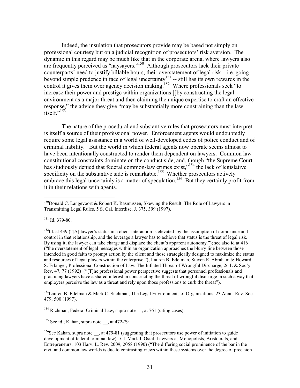Indeed, the insulation that prosecutors provide may be based not simply on professional courtesy but on a judicial recognition of prosecutors' risk aversion. The dynamic in this regard may be much like that in the corporate arena, where lawyers also are frequently perceived as "naysayers."<sup>150</sup> Although prosecutors lack their private counterparts' need to justify billable hours, their overstatement of legal risk  $-$  i.e. going beyond simple prudence in face of legal uncertainty<sup>151</sup> -- still has its own rewards in the control it gives them over agency decision making.<sup>152</sup> Where professionals seek "to increase their power and prestige within organizations []by constructing the legal environment as a major threat and then claiming the unique expertise to craft an effective response," the advice they give "may be substantially more constraining than the law itself<sup>",153</sup>

The nature of the procedural and substantive rules that prosecutors must interpret is itself a source of their professional power. Enforcement agents would undoubtedly require some legal assistance in a world of well-developed codes of police conduct and of criminal liability. But the world in which federal agents now operate seems almost to have been intentionally constructed to render them dependent on lawyers. Common law constitutional constraints dominate on the conduct side, and, though "the Supreme Court has studiously denied that federal common-law crimes exist,"<sup>154</sup> the lack of legislative specificity on the substantive side is remarkable.<sup>155</sup> Whether prosecutors actively embrace this legal uncertainly is a matter of speculation.<sup>156</sup> But they certainly profit from it in their relations with agents.

 $151$  Id. 379-80.

 $^{152}$ Id. at 439 ("[A] lawyer's status in a client interaction is elevated by the assumption of dominance and control in that relationship, and the leverage a lawyer has to achieve that status is the threat of legal risk. By using it, the lawyer can take charge and displace the client's apparent autonomy."); see also id at 416 ("the overstatement of legal messages within an organization approaches the blurry line between those intended in good faith to prompt action by the client and those strategically designed to maximize the status and resources of legal players within the enterprise."); Lauren B. Edelman, Steven E. Abraham & Howard S. Erlanger, Professional Construction of Law: The Inflated Threat of Wrongful Discharge, 26 L & Soc'y Rev. 47, 77 (1992) ("[T]he professional power perspective suggests that personnel professionals and practicing lawyers have a shared interest in constructing the threat of wrongful discharge in such a way that employers perceive the law as a threat and rely upon those professions to curb the threat").

<sup>153</sup> Lauren B. Edelman & Mark C. Suchman, The Legal Environments of Organizations, 23 Annu. Rev. Soc. 479, 500 (1997).

<sup>154</sup> Richman, Federal Criminal Law, supra note , at 761 (citing cases).

<sup>155</sup> See id.; Kahan, supra note , at 472-79.

<sup>&</sup>lt;sup>150</sup>Donald C. Langevoort & Robert K. Rasmussen, Skewing the Result: The Role of Lawyers in Transmitting Legal Rules, 5 S. Cal. Interdisc. J. 375, 399 (1997).

<sup>&</sup>lt;sup>156</sup>See Kahan, supra note , at 479-81 (suggesting that prosecutors use power of initiation to guide development of federal criminal law). Cf. Mark J. Osiel, Lawyers as Monopolists, Aristocrats, and Entrepreneurs, 103 Harv. L. Rev. 2009, 2058 (1990) ("The differing social prominence of the bar in the civil and common law worlds is due to contrasting views within these systems over the degree of precision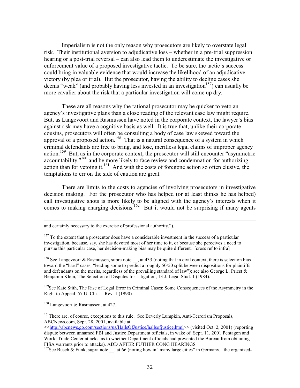Imperialism is not the only reason why prosecutors are likely to overstate legal risk. Their institutional aversion to adjudicative loss – whether in a pre-trial suppression hearing or a post-trial reversal – can also lead them to underestimate the investigative or enforcement value of a proposed investigative tactic. To be sure, the tactic's success could bring in valuable evidence that would increase the likelihood of an adjudicative victory (by plea or trial). But the prosecutor, having the ability to decline cases she deems "weak" (and probably having less invested in an investigation<sup>157</sup>) can usually be more cavalier about the risk that a particular investigation will come up dry.

These are all reasons why the rational prosecutor may be quicker to veto an agency's investigative plans than a close reading of the relevant case law might require. But, as Langevoort and Rasmussen have noted in the corporate context, the lawyer's bias against risk may have a cognitive basis as well. It is true that, unlike their corporate cousins, prosecutors will often be consulting a body of case law skewed toward the approval of a proposed action.<sup>158</sup> That is a natural consequence of a system in which criminal defendants are free to bring, and lose, meritless legal claims of improper agency action.<sup>159</sup> But, as in the corporate context, the prosecutor will still encounter "asymmetric" accountability,"<sup>160</sup> and be more likely to face review and condemnation for authorizing action than for vetoing it.<sup>161</sup> And with the costs of foregone action so often elusive, the temptations to err on the side of caution are great.

There are limits to the costs to agencies of involving prosecutors in investigative decision making. For the prosecutor who has helped (or at least thinks he has helped) call investigative shots is more likely to be aligned with the agency's interests when it comes to making charging decisions.<sup>162</sup> But it would not be surprising if many agents

<sup>158</sup> See Langevoort & Rasmussen, supra note , at 433 (noting that in civil context, there is selection bias toward the "hard" cases, "leading some to predict a roughly 50/50 split between dispositions for plaintiffs and defendants on the merits, regardless of the prevailing standard of law"); see also George L. Priest  $\&$ Benjamin Klein, The Selection of Disputes for Litigation, 13 J. Legal Stud. 1 (1984).

<sup>159</sup>See Kate Stith, The Rise of Legal Error in Criminal Cases: Some Consequences of the Asymmetry in the Right to Appeal, 57 U. Chi. L. Rev. 1 (1990).

<sup>160</sup> Langevoort & Rasmussen, at 427.

<sup>161</sup>There are, of course, exceptions to this rule. See Beverly Lumpkin, Anti-Terrorism Proposals, ABCNews.com, Sept. 28, 2001, available at

and certainly necessary to the exercise of professional authority.").

 $157$  To the extent that a prosecutor does have a considerable investment in the success of a particular investigation, because, say, she has devoted most of her time to it, or because she perceives a need to pursue this particular case, her decision-making bias may be quite different. [cross ref to infra]

<sup>&</sup>lt;<http://abcnews.go.com/sections/us/HallsOfJustice/hallsofjustice.html>> (visited Oct. 2, 2001) (reporting dispute between unnamed FBI and Justice Department officials, in wake of Sept. 11, 2001 Pentagon and World Trade Center attacks, as to whether Department officials had prevented the Bureau from obtaining FISA warrants prior to attacks). ADD AFTER FUTHER CONG HEARINGS

<sup>&</sup>lt;sup>162</sup>See Busch & Funk, supra note \_\_, at 66 (noting how in "many large cities" in Germany, "the organized-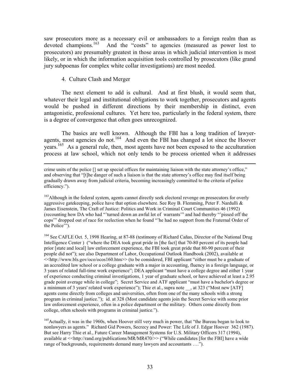saw prosecutors more as a necessary evil or ambassadors to a foreign realm than as devoted champions.<sup>163</sup> And the "costs" to agencies (measured as power lost to prosecutors) are presumably greatest in those areas in which judicial intervention is most likely, or in which the information acquisition tools controlled by prosecutors (like grand jury subpoenas for complex white collar investigations) are most needed.

# 4. Culture Clash and Merger

The next element to add is cultural. And at first blush, it would seem that, whatever their legal and institutional obligations to work together, prosecutors and agents would be pushed in different directions by their membership in distinct, even antagonistic, professional cultures. Yet here too, particularly in the federal system, there is a degree of convergence that often goes unrecognized.

The basics are well known. Although the FBI has a long tradition of lawyeragents, most agencies do not.<sup>164</sup> And even the FBI has changed a lot since the Hoover years.<sup>165</sup> As a general rule, then, most agents have not been exposed to the acculturation process at law school, which not only tends to be process oriented when it addresses

<sup>163</sup>Although in the federal system, agents cannot directly seek electoral revenge on prosecutors for overly aggressive gatekeeping, police have that option elsewhere. See Roy B. Flemming, Peter F. Nardulli  $\&$ James Eisenstein, The Craft of Justice: Politics and Work in Criminal Court Communities 46 (1992) (recounting how DA who had "'turned down an awful lot of warrants" and had thereby "pissed off the cops" dropped out of race for reelection when he found "'he had no support from the Fraternal Order of the Police"").

<sup>164</sup> See CAFLE Oct. 5, 1998 Hearing, at 87-88 (testimony of Richard Cañas, Director of the National Drug Intelligence Center) ("where the DEA took great pride in [the fact] that 70-80 percent of its people had prior [state and local] law enforcement experience, the FBI took great pride that 80-90 percent of their people did not"); see also Department of Labor, Occupational Outlook Handbook (2002), available at <<http://www.bls.gov/oco/ocos160.htm>> (to be considered, FBI applicant "either must be a graduate of an accredited law school or a college graduate with a major in accounting, fluency in a foreign language, or 3 years of related full-time work experience"; DEA applicant "must have a college degree and either 1 year of experience conducting criminal investigations, 1 year of graduate school, or have achieved at least a 2.95 grade point average while in college"; Secret Service and ATF applicant "must have a bachelor's degree or a minimum of 3 years' related work experience"); Thie et al., supra note \_\_, at 323 ("Most new [ATF] agents come directly from colleges and universities, often from one of the many schools with a strong program in criminal justice."); id. at 328 (Most candidate agents join the Secret Service with some prior law enforcement experience, often in a police department or the military. Others come directly from college, often schools with programs in criminal justice.").

<sup>165</sup>Actually, it was in the 1960s, when Hoover still very much in power, that "the Bureau began to look to nonlawyers as agents." Richard Gid Powers, Secrecy and Power: The Life of J. Edgar Hoover 362 (1987). But see Harry Thie et al., Future Career Management Systems for U.S. Military Officers 317 (1994), available at << http://rand.org/publications/MR/MR470/>> ("While candidates [for the FBI] have a wide range of backgrounds, requirements demand many lawyers and accountants ....").

crime units of the police [] set up special offices for maintaining liaison with the state attorney's office," and observing that "[t]he danger of such a liaison is that the state attorney's office may find itself being gradually drawn away from judicial criteria, becoming increasingly committed to the criteria of police efficiency.").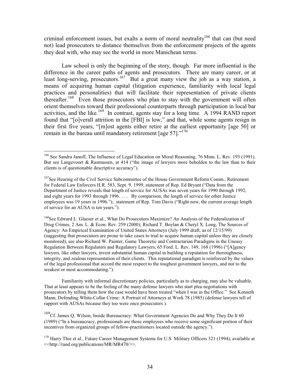criminal enforcement issues, but exalts a norm of moral neutrality<sup>166</sup> that can (but need not) lead prosecutors to distance themselves from the enforcement projects of the agents they deal with, who may see the world in more Manichean terms.

Law school is only the beginning of the story, though. Far more influential is the difference in the career paths of agents and prosecutors. There are many career, or at least long-serving, prosecutors.<sup>167</sup> But a great many view the job as a way station, a means of acquiring human capital (litigation experience, familiarity with local legal practices and personalities) that will facilitate their representation of private clients thereafter.<sup>168</sup> Even those prosecutors who plan to stay with the government will often orient themselves toward their professional counterparts through participation in local bar activities, and the like.<sup>169</sup> In contrast, agents stay for a long time. A 1994 RAND report found that "[o]verall attrition in the [FBI] is low," and that, while some agents resign in their first five years, "[m]ost agents either retire at the earliest opportunity [age 50] or remain in the bureau until mandatory retirement [age  $57$ ]."<sup>170</sup>

Familiarity with informal discretionary policies, particularly as to charging, may also be valuable. That at least appears to be the feeling of the many defense lawyers who start plea negotiations with prosecutors by telling them how the case would have been treated "when I was in the Office." See Kenneth Mann, Defending White-Collar Crime: A Portrait of Attorneys at Work 78 (1985) (defense lawyers tell of rapport with AUSAs because they too were once prosecutors).

<sup>169</sup>Cf. James Q. Wilson, Inside Bureaucracy: What Government Agencies Do and Why They Do It 60 (1989) ("In a bureaucracy, professionals are those employees who receive some significant portion of their incentives from organized groups of fellow-practitioners located outside the agency.").

<sup>&</sup>lt;sup>166</sup> See Sandra Janoff, The Influence of Legal Education on Moral Reasoning, 76 Minn. L. Rev. 193 (1991). But see Langevoort & Rasmussen, at 414 ("the image of lawyers more beholden to the law than to their clients is of questionable descriptive accuracy").

<sup>&</sup>lt;sup>167</sup>See Hearing of the Civil Service Subcommittee of the House Government Reform Comm., Retirement for Federal Law Enforcers H.R. 583, Sept. 9, 1999, statement of Rep. Ed Bryant ("Data from the Department of Justice reveals that length of service for AUSAs was seven years for 1990 through 1992, and eight years for 1993 through 1996.... By comparison, the length of service for other Justice employees was 19 years in 1996."); statement of Rep. Tom Davis ("Right now, the current average length of service for an AUSA is ten years.").

<sup>&</sup>lt;sup>168</sup>See Edward L. Glaeser et al., What Do Prosecutors Maximize? An Analysis of the Federalization of Drug Crimes, 2 Am. L. & Econ. Rev. 259 (2000); Richard T. Boylan & Cheryl X. Long, The Sources of Agency: An Empirical Examination of United States Attorneys (July 1999 draft, as of 12/15/99) (suggesting that prosecutors are prone to take cases to trial to acquire human capital unless they are closely monitored); see also Richard W. Painter, Game Theoretic and Contractarian Paradigms in the Uneasy Regulation Between Regulators and Regulatory Lawyers, 65 Ford, L. Rev. 149, 168 (1996) ("[Algency] lawyers, like other lawyers, invest substantial human capital in building a reputation for thoroughness, integrity, and zealous representation of their clients. This reputational paradigm is reinforced by the values of the legal professional that accord the most respect to the toughest government lawyers, and not to the weakest or most accommodating.").

<sup>&</sup>lt;sup>170</sup> Harry Thie et al., Future Career Management Systems for U.S. Military Officers 321 (1994), available at <<http://rand.org/publications/MR/MR470/>>.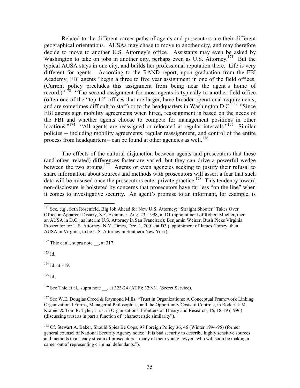Related to the different career paths of agents and prosecutors are their different geographical orientations. AUSAs may chose to move to another city, and may therefore decide to move to another U.S. Attorney's office. Assistants may even be asked by Washington to take on jobs in another city, perhaps even as U.S. Attorney.<sup>171</sup> But the typical AUSA stays in one city, and builds her professional reputation there. Life is very different for agents. According to the RAND report, upon graduation from the FBI Academy, FBI agents "begin a three to five year assignment in one of the field offices. (Current policy precludes this assignment from being near the agent's home of record.)"<sup>172</sup> "The second assignment for most agents is typically to another field office (often one of the "top 12" offices that are larger, have broader operational requirements, and are sometimes difficult to staff) or to the headquarters in Washington D.C.<sup>173</sup> "Since FBI agents sign mobility agreements when hired, reassignment is based on the needs of the FBI and whether agents choose to compete for management positions in other locations."<sup>174</sup> "All agents are reassigned or relocated at regular intervals."<sup>175</sup> Similar policies -- including mobility agreements, regular reassignment, and control of the entire process from headquarters – can be found at other agencies as well.<sup>176</sup>

The effects of the cultural disjunction between agents and prosecutors that these (and other, related) differences foster are varied, but they can drive a powerful wedge between the two groups.<sup>177</sup> Agents or even agencies seeking to justify their refusal to share information about sources and methods with prosecutors will assert a fear that such data will be misused once the prosecutors enter private practice.<sup>178</sup> This tendency toward non-disclosure is bolstered by concerns that prosecutors have far less "on the line" when it comes to investigative security. An agent's promise to an informant, for example, is

 $172$  Thie et al., supra note , at 317.

 $173$  Id.

<sup>174</sup> Id. at 319.

 $175$  Id

 $176$  See Thie et al., supra note , at 323-24 (ATF); 329-31 (Secret Service).

<sup>&</sup>lt;sup>171</sup> See, e.g., Seth Rosenfeld, Big Job Ahead for New U.S. Attorney; "Straight Shooter" Takes Over Office in Apparent Disarry, S.F. Examiner, Aug. 23, 1998, at D1 (appointment of Robert Mueller, then an AUSA in D.C., as interim U.S. Attorney in San Francisco); Benjamin Weiser, Bush Picks Virginia Prosecutor for U.S. Attorney, N.Y. Times, Dec. 1, 2001, at D3 (appointment of James Comey, then AUSA in Virginia, to be U.S. Attorney in Southern New York).

<sup>&</sup>lt;sup>177</sup> See W.E. Douglas Creed & Raymond Mills, "Trust in Organizations: A Conceptual Framework Linking Organizational Forms, Managerial Philosophies, and the Opportunity Costs of Controls, in Roderick M. Kramer & Tom R. Tyler, Trust in Organizations: Frontiers of Theory and Research, 16, 18-19 (1996) (discussing trust as in part a function of "characteristic similarity").

<sup>&</sup>lt;sup>178</sup> Cf. Stewart A. Baker, Should Spies Be Cops, 97 Foreign Policy 36, 46 (Winter 1994-95) (former general counsel of National Security Agency notes: "It is bad security to describe highly sensitive sources and methods to a steady stream of prosecutors – many of them young lawyers who will soon be making a career out of representing criminal defendants.").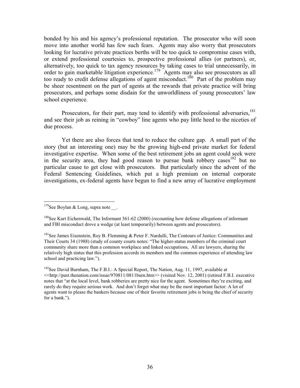bonded by his and his agency's professional reputation. The prosecutor who will soon move into another world has few such fears. Agents may also worry that prosecutors looking for lucrative private practices berths will be too quick to compromise cases with, or extend professional courtesies to, prospective professional allies (or partners), or, alternatively, too quick to tax agency resources by taking cases to trial unnecessarily, in order to gain marketable litigation experience.<sup>179</sup> Agents may also see prosecutors as all too ready to credit defense allegations of agent misconduct.<sup>180</sup> Part of the problem may be sheer resentment on the part of agents at the rewards that private practice will bring prosecutors, and perhaps some disdain for the unworldliness of young prosecutors' law school experience.

Prosecutors, for their part, may tend to identify with professional adversaries, <sup>181</sup> and see their job as reining in "cowboy" line agents who pay little heed to the niceties of due process.

Yet there are also forces that tend to reduce the culture gap. A small part of the story (but an interesting one) may be the growing high-end private market for federal investigative expertise. When some of the best retirement jobs an agent could seek were in the security area, they had good reason to pursue bank robbery cases<sup>182</sup> but no particular cause to get close with prosecutors. But particularly since the advent of the Federal Sentencing Guidelines, which put a high premium on internal corporate investigations, ex-federal agents have begun to find a new array of lucrative employment

<sup>&</sup>lt;sup>179</sup>See Boylan & Long, supra note.

 $180$ See Kurt Eichenwald, The Informant 361-62 (2000) (recounting how defense allegations of informant and FBI misconduct drove a wedge (at least temporarily) between agents and prosecutors).

<sup>&</sup>lt;sup>181</sup>See James Eisenstein, Roy B. Flemming & Peter F. Nardulli, The Contours of Justice: Communities and Their Courts 34 (1988) (study of county courts notes: "The higher-status members of the criminal court community share more than a common workplace and linked occupations. All are lawyers, sharing the relatively high status that this profession accords its members and the common experience of attending law school and practicing law.").

<sup>&</sup>lt;sup>182</sup>See David Burnham, The F.B.I.: A Special Report, The Nation, Aug. 11, 1997, available at <<http://past.thenation.com/issue/970811/0811burn.htm>> (visited Nov. 12, 2001) (retired F.B.I. executive notes that "at the local level, bank robberies are pretty nice for the agent. Sometimes they're exciting, and rarely do they require serious work. And don't forget what may be the most important factor: A lot of agents want to please the bankers because one of their favorite retirement jobs is being the chief of security for a bank.").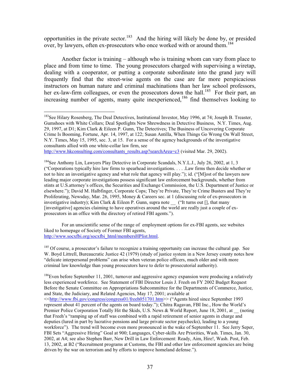opportunities in the private sector.<sup>183</sup> And the hiring will likely be done by, or presided over, by lawyers, often ex-prosecutors who once worked with or around them.<sup>184</sup>

Another factor is training – although who is training whom can vary from place to place and from time to time. The young prosecutors charged with supervising a wiretap, dealing with a cooperator, or putting a corporate subordinate into the grand jury will frequently find that the street-wise agents on the case are far more perspicacious instructors on human nature and criminal machinations than her law school professors, her ex-law-firm colleagues, or even the prosecutors down the hall.<sup>185</sup> For their part, an increasing number of agents, many quite inexperienced,<sup>186</sup> find themselves looking to

http://www.hkconsulting.com/consultants\_results.asp?searchArea=c3 (visited Mar. 29, 2002).

<sup>184</sup>See Anthony Lin, Lawyers Play Detective in Corporate Scandals, N.Y.L.J., July 26, 2002, at 1, 3 ("Corporations typically hire law firms to spearhead investigations.... Law firms then decide whether or not to hire an investigative agency and what role that agency will play."); id. ("[M]ost of the lawyers now leading major corporate investigations possess significant law enforcement backgrounds, whether from stints at U.S. attorney's offices, the Securities and Exchange Commission, the U.S. Department of Justice or elsewhere."); David M. Halbfinger, Corporate Cops; They're Private, They're Crime Busters and They're Proliferating, Newsday, Mar. 26, 1995, Money & Careers sec. at 1 (discussing role of ex-prosecutors in investigative industry); Kim Clark & Eileen P. Gunn, supra note \_\_ ("It turns out [], that many [investigative] agencies claiming to have operatives around the world are really just a couple of exprosecutors in an office with the directory of retired FBI agents.").

For an unscientific sense of the range of employment options for ex-FBI agents, see websites liked to homepage of Society of Former FBI agents, http://www.socxfbi.org/socxfbi html/membersHPlist.html.

<sup>185</sup> Of course, a prosecutor's failure to recognize a training opportunity can increase the cultural gap. See W. Boyd Littrell, Bureaucratic Justice 42 (1979) (study of justice system in a New Jersey county notes how "delicate interpersonal problems" can arise when veteran police officers, much older and with more criminal law knowledge than young prosecutors have to defer to prosecutorial authority).

 $186$  Even before September 11, 2001, turnover and aggressive agency expansion were producing a relatively less experienced workforce. See Statement of FBI Director Louis J. Freeh on FY 2002 Budget Request Before the Senate Committee on Appropriations Subcommittee for the Departments of Commerce, Justice, and State, the Judiciary, and Related Agencies, May 17, 2001; available at <<http://www.fbi.gov/congress/congress01/freeh051701.htm>> ("Agents hired since September 1993 represent about 41 percent of the agents on board today."); Chitra Ragavan, FBI Inc., How the World's Premier Police Corporation Totally Hit the Skids, U.S. News & World Report, June 18, 2001, at (noting that Freeh's "ramping up of staff was combined with a rapid retirement of senior agents in charge and deputies (lured in part by lucrative pensions and large private sector paychecks), leading to a young workforce"). The trend will become even more pronounced in the wake of September 11. See Jerry Seper, FBI Sets "Aggressive Hiring" Goal at 900; Languages, Cyber-skills Are Priorities, Wash. Times, Jan. 30, 2002, at A4; see also Stephen Barr, New Drill in Law Enforcement: Ready, Aim, Hire!, Wash. Post, Feb. 13, 2002, at B2 ("Recruitment programs at Customs, the FBI and other law enforcement agencies are being driven by the war on terrorism and by efforts to improve homeland defense.").

<sup>&</sup>lt;sup>183</sup>See Hilary Rosenberg, The Deal Detectives, Institutional Investor, May 1996, at 74; Joseph B. Treaster, Gumshoes with White Collars; Deal Spotlights New Shrewdness in Detective Business, N.Y. Times, Aug. 29, 1997, at D1; Kim Clark & Eileen P. Gunn, The Detectives; The Business of Uncovering Corporate Crime Is Booming, Fortune, Apr. 14, 1997, at 122; Susan Antilla, When Things Go Wrong On Wall Street, N.Y. Times, May 15, 1995, sec. 3, at 15. For a sense of the agency backgrounds of the investigative consultants allied with one white-collar law firm, see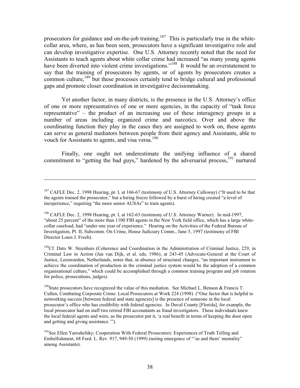prosecutors for guidance and on-the-job training.<sup>187</sup> This is particularly true in the whitecollar area, where, as has been seen, prosecutors have a significant investigative role and can develop investigative expertise. One U.S. Attorney recently noted that the need for Assistants to teach agents about white collar crime had increased "as many young agents" have been diverted into violent crime investigations."<sup>188</sup> It would be an overstatement to say that the training of prosecutors by agents, or of agents by prosecutors creates a common culture,<sup>189</sup> but these processes certainly tend to bridge cultural and professional gaps and promote closer coordination in investigative decisionmaking.

Yet another factor, in many districts, is the presence in the U.S. Attorney's office of one or more representatives of one or more agencies, in the capacity of "task force" representative" – the product of an increasing use of these interagency groups in a number of areas including organized crime and narcotics. Over and above the coordinating function they play in the cases they are assigned to work on, these agents can serve as general mediators between people from their agency and Assistants, able to vouch for Assistants to agents, and visa versa.<sup>190</sup>

Finally, one ought not underestimate the unifying influence of a shared commitment to "getting the bad guys," hardened by the adversarial process,<sup>191</sup> nurtured

<sup>&</sup>lt;sup>187</sup> CAFLE Dec. 2, 1998 Hearing, pt. I, at 166-67 (testimony of U.S. Attorney Calloway) ("It used to be that the agents trained the prosecutor," but a hiring freeze followed by a burst of hiring created "a level of inexperience," requiring "the more senior AUSAs" to train agents).

<sup>&</sup>lt;sup>188</sup> CAFLE Dec. 2, 1998 Hearing, pt. I, at 162-63 (testimony of U.S. Attorney Warner). In mid-1997, "about 25 percent" of the more than 1100 FBI agents in the New York field office, which has a large whitecollar caseload, had "under one year of experience." Hearing on the Activities of the Federal Bureau of Investigation, Pt. II, Subcomm. On Crime, House Judiciary Comm., June 5, 1997 (testimony of FBI Director Louis J. Freeh).

<sup>&</sup>lt;sup>189</sup>Cf. Dato W. Steenhuis (Coherence and Coordination in the Administration of Criminal Justice, 229, in Criminal Law in Action (Jan van Dijk, et al. eds, 1986), at 243-45 (Advocate-General at the Court of Justice, Leeuwarden, Netherlands, notes that, in absence of structural changes, "an important instrument to achieve the coordination of production in the criminal justice system would be the adoption of a common organisational culture," which could be accomplished through a common training program and job rotation for police, prosecutions, judges).

<sup>&</sup>lt;sup>190</sup>State prosecutors have recognized the value of this mediation. See Michael L. Benson & Francis T. Cullen, Combating Corporate Crime: Local Prosecutors at Work 224 (1998) ("One factor that is helpful to networking success [between federal and state agencies] is the presence of someone in the local prosecutor's office who has credibility with federal agencies. In Duval County [Florida], for example, the local prosecutor had on staff two retired FBI accountants as fraud investigators. These individuals knew the local federal agents and were, as the prosecutor put it, 'a real benefit in terms of keeping the door open and getting and giving assistance."").

<sup>&</sup>lt;sup>191</sup>See Ellen Yaroshefsky; Cooperation With Federal Prosecutors: Experiences of Truth Telling and Embellishment, 68 Ford. L. Rev. 917, 949-50 (1999) (noting emergence of "'us and them' mentality" among Assistants).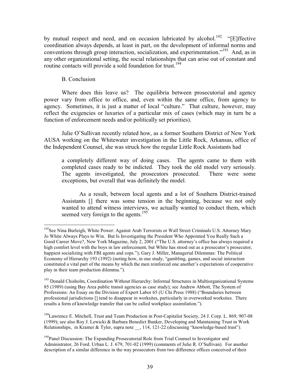by mutual respect and need, and on occasion lubricated by alcohol.<sup>192</sup> "[E]ffective coordination always depends, at least in part, on the development of informal norms and conventions through group interaction, socialization, and experimentation."<sup>193</sup> And, as in any other organizational setting, the social relationships that can arise out of constant and routine contacts will provide a sold foundation for trust.<sup>194</sup>

### **B.** Conclusion

Where does this leave us? The equilibria between prosecutorial and agency power vary from office to office, and, even within the same office, from agency to agency. Sometimes, it is just a matter of local "culture." That culture, however, may reflect the exigencies or luxuries of a particular mix of cases (which may in turn be a function of enforcement needs and/or politically set priorities).

Julie O'Sullivan recently related how, as a former Southern District of New York AUSA working on the Whitewater investigation in the Little Rock, Arkansas, office of the Independent Counsel, she was struck how the regular Little Rock Assistants had

a completely different way of doing cases. The agents came to them with completed cases ready to be indicted. They took the old model very seriously. The agents investigated, the prosecutors prosecuted. There were some exceptions, but overall that was definitely the model.

As a result, between local agents and a lot of Southern District-trained Assistants [] there was some tension in the beginning, because we not only wanted to attend witness interviews, we actually wanted to conduct them, which seemed very foreign to the agents.<sup>195</sup>

<sup>194</sup> Lawrence E. Mitchell, Trust and Team Production in Post-Capitalist Society, 24 J. Corp. L. 869, 907-08 (1999); see also Roy J. Lewicki & Barbara Benedict Bunker, Developing and Maintaining Trust in Work Relationships, in Kramer & Tyler, supra note , 114, 121-22 (discussing "knowledge-based trust").

<sup>&</sup>lt;sup>192</sup>See Nina Burleigh, White Power: Against Arab Terrorists or Wall Street Criminals U.S. Attorney Mary Jo White Always Plays to Win. But Is Investigating the President Who Appointed You Really Such a Good Career Move?, New York Magazine, July 2, 2001 ("The U.S. attorney's office has always required a high comfort level with the boys in law enforcement, but White has stood out as a prosecutor's prosecutor, happiest socializing with FBI agents and cops."); Gary J. Miller, Managerial Dilemmas: The Political Economy of Hierarchy 193 (1992) (noting how, in one study, "gambling, games, and social interaction constituted a vital part of the means by which the men reinforced one another's expectations of cooperative play in their team production dilemma.").

<sup>&</sup>lt;sup>193</sup> Donald Chisholm, Coordination Without Hierarchy: Informal Structures in Multiorganizational Systems 85 (1989) (using Bay Area public transit agencies as case study); see Andrew Abbott, The System of Professions: An Essay on the Division of Expert Labor 65 (U Chi Press 1988) ("Boundaries between professional jurisdictions [] tend to disappear in worksites, particularly in overworked worksites. There results a form of knowledge transfer that can be called workplace assimilation.").

<sup>&</sup>lt;sup>195</sup>Panel Discussion: The Expanding Prosecutorial Role from Trial Counsel to Investigator and Administrator, 26 Ford. Urban L. J. 679, 701-02 (1999) (comments of Julie R. O'Sullivan). For another description of a similar difference in the way prosecutors from two difference offices conceived of their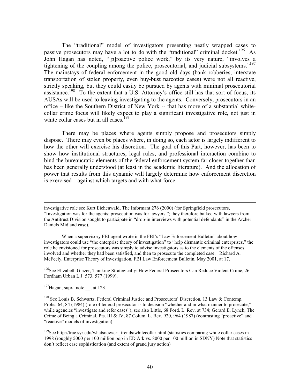The "traditional" model of investigators presenting neatly wrapped cases to passive prosecutors may have a lot to do with the "traditional" criminal docket.<sup>196</sup> As John Hagan has noted, "[p]roactive police work," by its very nature, "involves a tightening of the coupling among the police, prosecutorial, and judicial subsystems."<sup>197</sup> The mainstays of federal enforcement in the good old days (bank robberies, interstate transportation of stolen property, even buy-bust narcotics cases) were not all reactive, strictly speaking, but they could easily be pursued by agents with minimal prosecutorial assistance.<sup>198</sup> To the extent that a U.S. Attorney's office still has that sort of focus, its AUSAs will be used to leaving investigating to the agents. Conversely, prosecutors in an office – like the Southern District of New York -- that has more of a substantial whitecollar crime focus will likely expect to play a significant investigative role, not just in white collar cases but in all cases.  $199$ 

There may be places where agents simply propose and prosecutors simply dispose. There may even be places where, in doing so, each actor is largely indifferent to how the other will exercise his discretion. The goal of this Part, however, has been to show how institutional structures, legal rules, and professional interaction combine to bind the bureaucratic elements of the federal enforcement system far closer together than has been generally understood (at least in the academic literature). And the allocation of power that results from this dynamic will largely determine how enforcement discretion is exercised – against which targets and with what force.

When a supervisory FBI agent wrote in the FBI's "Law Enforcement Bulletin" about how investigators could use "the enterprise theory of investigation" to "help dismantle criminal enterprises," the role he envisioned for prosecutors was simply to advise investigators as to the elements of the offenses involved and whether they had been satisfied, and then to prosecute the completed case. Richard A. McFeely, Enterprise Theory of Investigation, FBI Law Enforcement Bulletin, May 2001, at 17.

<sup>196</sup>See Elizabeth Glazer, Thinking Strategically: How Federal Prosecutors Can Reduce Violent Crime, 26 Fordham Urban L.J. 573, 577 (1999).

 $^{197}$ Hagan, supra note , at 123.

<sup>198</sup> See Louis B. Schwartz, Federal Criminal Justice and Prosecutors' Discretion, 13 Law & Contemp. Probs. 64, 84 (1984) (role of federal prosecutor is to decision "whether and in what manner to prosecute," while agencies "investigate and refer cases"); see also Little, 68 Ford. L. Rev. at 734; Gerard E. Lynch, The Crime of Being a Criminal, Pts. III & IV, 87 Colum. L. Rev. 920, 964 (1987) (contrasting "proactive" and "reactive" models of investigation).

<sup>199</sup>See http://trac.syr.edu/whatsnew/cri trends/whitecollar.html (statistics comparing white collar cases in 1998 (roughly 5000 per 100 million pop in ED Ark vs. 8000 per 100 million in SDNY) Note that statistics don't reflect case sophistication (and extent of grand jury action)

investigative role see Kurt Eichenwald, The Informant 276 (2000) (for Springfield prosecutors, "Investigation was for the agents: prosecution was for lawyers.": they therefore balked with lawyers from the Antitrust Division sought to participate in "drop-in interviews with potential defendants" in the Archer Daniels Midland case).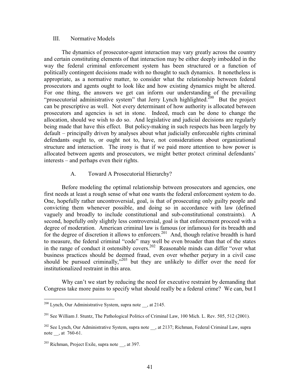#### III. Normative Models

The dynamics of prosecutor-agent interaction may vary greatly across the country and certain constituting elements of that interaction may be either deeply imbedded in the way the federal criminal enforcement system has been structured or a function of politically contingent decisions made with no thought to such dynamics. It nonetheless is appropriate, as a normative matter, to consider what the relationship between federal prosecutors and agents ought to look like and how existing dynamics might be altered. For one thing, the answers we get can inform our understanding of the prevailing "prosecutorial administrative system" that Jerry Lynch highlighted.<sup>200</sup> But the project can be prescriptive as well. Not every determinant of how authority is allocated between prosecutors and agencies is set in stone. Indeed, much can be done to change the allocation, should we wish to do so. And legislative and judicial decisions are regularly being made that have this effect. But policy-making in such respects has been largely by default – principally driven by analyses about what judicially enforceable rights criminal defendants ought to, or ought not to, have, not considerations about organizational structure and interaction. The irony is that if we paid more attention to how power is allocated between agents and prosecutors, we might better protect criminal defendants' interests – and perhaps even their rights.

#### Toward A Prosecutorial Hierarchy?  $A<sub>1</sub>$

Before modeling the optimal relationship between prosecutors and agencies, one first needs at least a rough sense of what one wants the federal enforcement system to do. One, hopefully rather uncontroversial, goal, is that of prosecuting only guilty people and convicting them whenever possible, and doing so in accordance with law (defined vaguely and broadly to include constitutional and sub-constitutional constraints). A second, hopefully only slightly less controversial, goal is that enforcement proceed with a degree of moderation. American criminal law is famous (or infamous) for its breadth and for the degree of discretion it allows to enforcers.<sup>201</sup> And, though relative breadth is hard to measure, the federal criminal "code" may well be even broader than that of the states<br>in the range of conduct it ostensibly covers.<sup>202</sup> Reasonable minds can differ "over what business practices should be deemed fraud, even over whether perjury in a civil case should be pursued criminally," 203 but they are unlikely to differ over the need for institutionalized restraint in this area.

Why can't we start by reducing the need for executive restraint by demanding that Congress take more pains to specify what should really be a federal crime? We can, but I

 $^{200}$  Lynch, Our Administrative System, supra note , at 2145.

 $^{201}$  See William J. Stuntz, The Pathological Politics of Criminal Law, 100 Mich. L. Rev. 505, 512 (2001).

<sup>&</sup>lt;sup>202</sup> See Lynch, Our Administrative System, supra note , at 2137; Richman, Federal Criminal Law, supra note \_\_, at  $760-61$ .

 $^{203}$  Richman, Project Exile, supra note , at 397.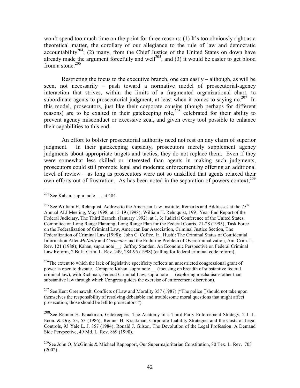won't spend too much time on the point for three reasons: (1) It's too obviously right as a theoretical matter, the corollary of our allegiance to the rule of law and democratic accountability<sup>204</sup>; (2) many, from the Chief Justice of the United States on down have already made the argument forcefully and well<sup>205</sup>; and (3) it would be easier to get blood from a stone. $206$ 

Restricting the focus to the executive branch, one can easily – although, as will be seen, not necessarily – push toward a normative model of prosecutorial-agency interaction that strives, within the limits of a fragmented organizational chart, to subordinate agents to prosecutorial judgment, at least when it comes to saying no.  $207$  In this model, prosecutors, just like their corporate cousins (though perhaps for different reasons) are to be exalted in their gatekeeping role,<sup>208</sup> celebrated for their ability to prevent agency misconduct or excessive zeal, and given every tool possible to enhance their capabilities to this end.

An effort to bolster prosecutorial authority need not rest on any claim of superior In their gate keeping capacity, prosecutors merely supplement agency judgment. judgments about appropriate targets and tactics, they do not replace them. Even if they were somewhat less skilled or interested than agents in making such judgments, prosecutors could still promote legal and moderate enforcement by offering an additional level of review – as long as prosecutors were not so unskilled that agents relaxed their own efforts out of frustration. As has been noted in the separation of powers context.<sup>209</sup>

 $^{206}$ The extent to which the lack of legislative specificity reflects an unrestricted congressional grant of power is open to dispute. Compare Kahan, supra note (focusing on breadth of substantive federal criminal law), with Richman, Federal Criminal Law, supra note (exploring mechanisms other than substantive law through which Congress guides the exercise of enforcement discretion).

<sup>207</sup> See Kent Greenawalt. Conflicts of Law and Morality 357 (1987) ("The police []should not take upon themselves the responsibility of resolving debatable and troublesome moral questions that might affect prosecution: those should be left to prosecutors.").

<sup>208</sup>See Reinier H. Kraakman, Gatekeepers: The Anatomy of a Third-Party Enforcement Strategy, 2 J. L. Econ. & Org. 53, 53 (1986); Reinier H. Kraakman, Corporate Liability Strategies and the Costs of Legal Controls, 93 Yale L. J. 857 (1984); Ronald J. Gilson, The Devolution of the Legal Profession: A Demand Side Perspective, 49 Md. L. Rev. 869 (1990).

 $204$  See Kahan, supra note \_\_, at 484.

<sup>&</sup>lt;sup>205</sup> See William H. Rehnquist, Address to the American Law Institute, Remarks and Addresses at the 75<sup>th</sup> Annual ALI Meeting, May 1998, at 15-19 (1998); William H. Rehnquist, 1991 Year-End Report of the Federal Judiciary, The Third Branch, (January 1992), at 1, 3; Judicial Conference of the United States, Committee on Long Range Planning, Long Range Plan for the Federal Courts, 21-28 (1995); Task Force on the Federalization of Criminal Law, American Bar Association, Criminal Justice Section, The Federalization of Criminal Law (1998); John C. Coffee, Jr., Hush!: The Criminal Status of Confidential Information After McNally and Carpenter and the Enduring Problem of Overcriminalization, Am. Crim. L. Rev. 121 (1988); Kahan, supra note : Jeffrey Standen, An Economic Perspective on Federal Criminal Law Reform, 2 Buff. Crim. L. Rev. 249, 284-95 (1998) (calling for federal criminal code reform).

<sup>&</sup>lt;sup>209</sup>See John O. McGinnis & Michael Rappaport, Our Supermajoritarian Constitution, 80 Tex. L. Rev. 703  $(2002).$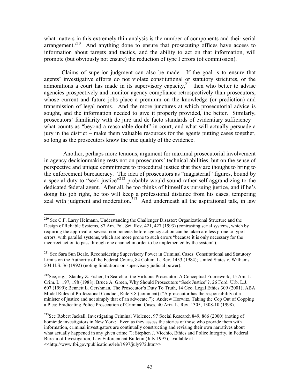what matters in this extremely thin analysis is the number of components and their serial arrangement.<sup>210</sup> And anything done to ensure that prosecuting offices have access to information about targets and tactics, and the ability to act on that information, will promote (but obviously not ensure) the reduction of type I errors (of commission).

Claims of superior judgment can also be made. If the goal is to ensure that agents' investigative efforts do not violate constitutional or statutory strictures, or the admonitions a court has made in its supervisory capacity,  $2^{11}$  then who better to advise agencies prospectively and monitor agency compliance retrospectively than prosecutors, whose current and future jobs place a premium on the knowledge (or prediction) and transmission of legal norms. And the more junctures at which prosecutorial advice is sought, and the information needed to give it properly provided, the better. Similarly, prosecutors' familiarity with de jure and de facto standards of evidentiary sufficiency – what counts as "beyond a reasonable doubt" in court, and what will actually persuade a jury in the district – make them valuable resources for the agents putting cases together, so long as the prosecutors know the true quality of the evidence.

Another, perhaps more tenuous, argument for maximal prosecutorial involvement in agency decisionmaking rests not on prosecutors' technical abilities, but on the sense of perspective and unique commitment to procedural justice that they are thought to bring to the enforcement bureaucracy. The idea of prosecutors as "magisterial" figures, bound by a special duty to "seek justice"<sup>212</sup> probably would sound rather self-aggrandizing to the dedicated federal agent. After all, he too thinks of himself as pursuing justice, and if he's doing his job right, he too will keep a professional distance from his cases, tempering zeal with judgment and moderation.<sup>213</sup> And underneath all the aspirational talk, in law

<sup>&</sup>lt;sup>210</sup> See C.F. Larry Heimann, Understanding the Challenger Disaster: Organizational Structure and the Design of Reliable Systems, 87 Am. Pol. Sci. Rev. 421, 427 (1993) (contrasting serial systems, which by requiring the approval of several components before agency action can be taken are less prone to type I errors, with parallel systems, which are more prone to such errors "because it is only necessary for the incorrect action to pass through one channel in order to be implemented by the system").

<sup>&</sup>lt;sup>211</sup> See Sara Sun Beale, Reconsidering Supervisory Power in Criminal Cases: Constitutional and Statutory Limits on the Authority of the Federal Courts, 84 Colum. L. Rev. 1433 (1984): United States v. Williams, 504 U.S. 36 (1992) (noting limitations on supervisory judicial power).

<sup>&</sup>lt;sup>212</sup>See, e.g., Stanley Z. Fisher, In Search of the Virtuous Prosecutor: A Conceptual Framework, 15 Am. J. Crim. L. 197, 198 (1988); Bruce A. Green, Why Should Prosecutors "Seek Justice"?, 26 Ford. Urb. L.J. 607 (1999); Bennett L. Gershman, The Prosecutor's Duty To Truth, 14 Geo. Legal Ethics 309 (2001); ABA Model Rules of Professional Conduct, Rule 3.8 (comment) ("A prosecutor has the responsibility of a minister of justice and not simply that of an advocate."); Andrew Horwitz, Taking the Cop Out of Copping a Plea: Eradicating Police Prosecution of Criminal Cases, 40 Ariz. L. Rev. 1305, 1308-10 (1998).

<sup>&</sup>lt;sup>213</sup>See Robert Jackall, Investigating Criminal Violence, 97 Social Research 849, 866 (2000) (noting of homicide investigators in New York: "Even as they assess the stories of those who provide them with information, criminal investigators are continually constructing and revising their own narratives about what actually happened in any given crime."); Stephen J. Vicchio, Ethics and Police Integrity, in Federal Bureau of Investigation, Law Enforcement Bulletin (July 1997), available at <<http://www.fbi.gov/publications/leb/1997/july972.htm>>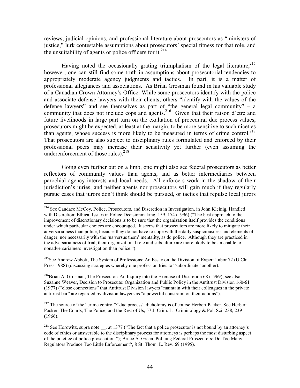reviews, judicial opinions, and professional literature about prosecutors as "ministers of justice," lurk contestable assumptions about prosecutors' special fitness for that role, and the unsuitability of agents or police officers for it.<sup>214</sup>

Having noted the occasionally grating triumphalism of the legal literature,  $215$ however, one can still find some truth in assumptions about prosecutorial tendencies to appropriately moderate agency judgments and tactics. In part, it is a matter of professional allegiances and associations. As Brian Grosman found in his valuable study of a Canadian Crown Attorney's Office: While some prosecutors identify with the police and associate defense lawyers with their clients, others "identify with the values of the defense lawyers" and see themselves as part of "the general legal community"  $-$  a community that does not include cops and agents.<sup>216</sup> Given that their raison d'etre and future livelihoods in large part turn on the exaltation of procedural due process values, prosecutors might be expected, at least at the margin, to be more sensitive to such niceties than agents, whose success is more likely to be measured in terms of crime control.<sup>217</sup> That prosecutors are also subject to disciplinary rules formulated and enforced by their professional peers may increase their sensitivity yet further (even assuming the underenforcement of those rules).<sup>218</sup>

Going even further out on a limb, one might also see federal prosecutors as better reflectors of community values than agents, and as better intermediaries between parochial agency interests and local needs. All enforcers work in the shadow of their jurisdiction's juries, and neither agents nor prosecutors will gain much if they regularly pursue cases that jurors don't think should be pursued, or tactics that repulse local jurors

<sup>215</sup>See Andrew Abbott, The System of Professions: An Essay on the Division of Expert Labor 72 (U Chi Press 1988) (discussing strategies whereby one profession tries to "subordinate" another).

 $^{216}$ Brian A. Grosman, The Prosecutor: An Inquiry into the Exercise of Discretion 68 (1969); see also Suzanne Weaver, Decision to Prosecute: Organization and Public Policy in the Antitrust Division 160-61 (1977) ("close connections" that Antitrust Division lawyers "maintain with their colleagues in the private antitrust bar" are regarded by division lawyers as "a powerful constraint on their actions").

<sup>217</sup> The source of the "crime control"/" due process" dichotomy is of course Herbert Packer. See Herbert Packer, The Courts, The Police, and the Rest of Us, 57 J. Crim. L., Criminology & Pol. Sci. 238, 239  $(1966).$ 

<sup>&</sup>lt;sup>214</sup> See Candace McCoy, Police, Prosecutors, and Discretion in Investigation, in John Kleinig, Handled with Discretion: Ethical Issues in Police Decisionmaking, 159, 174 (1996) ("The best approach to the improvement of discretionary decisions is to be sure that the organization itself provides the conditions under which particular choices are encouraged. It seems that prosecutors are more likely to mitigate their adversarialness than police, because they do not have to cope with the daily suspiciousness and elements of danger, nor necessarily with the 'us versus them' mentality, as do police. Although they are practiced in the adversarialness of trial, their organizational role and subculture are more likely to be amenable to nonadversarialness investigation than police.").

<sup>&</sup>lt;sup>218</sup> See Horowitz, supra note , at 1377 ("The fact that a police prosecutor is not bound by an attorney's code of ethics or answerable to the disciplinary process for attorneys is perhaps the most disturbing aspect of the practice of police prosecution."); Bruce A. Green, Policing Federal Prosecutors: Do Too Many Regulators Produce Too Little Enforcement?, 8 St. Thom. L. Rev. 69 (1995).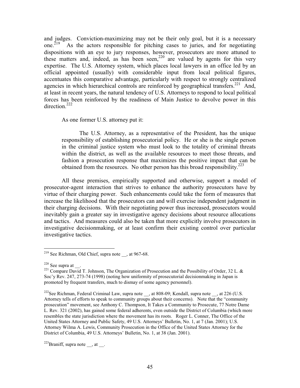and judges. Conviction-maximizing may not be their only goal, but it is a necessary one.<sup> $219$ </sup> As the actors responsible for pitching cases to juries, and for negotiating dispositions with an eye to jury responses, however, prosecutors are more attuned to these matters and, indeed, as has been seen,<sup>220</sup> are valued by agents for this very expertise. The U.S. Attorney system, which places local lawyers in an office led by an official appointed (usually) with considerable input from local political figures, accentuates this comparative advantage, particularly with respect to strongly centralized agencies in which hierarchical controls are reinforced by geographical transfers.<sup>221</sup> And, at least in recent years, the natural tendency of U.S. Attorneys to respond to local political forces has been reinforced by the readiness of Main Justice to devolve power in this direction  $^{222}$ 

As one former U.S. attorney put it:

The U.S. Attorney, as a representative of the President, has the unique responsibility of establishing prosecutorial policy. He or she is the single person in the criminal justice system who must look to the totality of criminal threats within the district, as well as the available resources to meet those threats, and fashion a prosecution response that maximizes the positive impact that can be obtained from the resources. No other person has this broad responsibility.<sup>223</sup>

All these premises, empirically supported and otherwise, support a model of prosecutor-agent interaction that strives to enhance the authority prosecutors have by virtue of their charging power. Such enhancements could take the form of measures that increase the likelihood that the prosecutors can and will exercise independent judgment in their charging decisions. With their negotiating power thus increased, prosecutors would inevitably gain a greater say in investigative agency decisions about resource allocations and tactics. And measures could also be taken that more explicitly involve prosecutors in investigative decision making, or at least confirm their existing control over particular investigative tactics.

 $^{219}$  See Richman, Old Chief, supra note , at 967-68.

 $220$  See supra at \_\_.

<sup>&</sup>lt;sup>221</sup> Compare David T. Johnson, The Organization of Prosecution and the Possibility of Order, 32 L. & Soc'y Rev. 247, 273-74 (1998) (noting how uniformity of prosecutorial decisionmaking in Japan is promoted by frequent transfers, much to dismay of some agency personnel).

<sup>&</sup>lt;sup>222</sup>See Richman, Federal Criminal Law, supra note , at 808-09; Kendall, supra note \_\_, at 226 (U.S. Attorney tells of efforts to speak to community groups about their concerns). Note that the "community prosecution" movement, see Anthony C. Thompson, It Takes a Community to Prosecute, 77 Notre Dame L. Rev. 321 (2002), has gained some federal adherents, even outside the District of Columbia (which more resembles the state jurisdiction where the movement has its roots. Roger L. Conner, The Office of the United States Attorney and Public Safety, 49 U.S. Attorneys' Bulletin, No. 1, at 7 (Jan. 2001); U.S. Attorney Wilma A. Lewis, Community Prosecution in the Office of the United States Attorney for the District of Columbia, 49 U.S. Attorneys' Bulletin, No. 1, at 38 (Jan. 2001).

 $^{223}$ Braniff, supra note, at.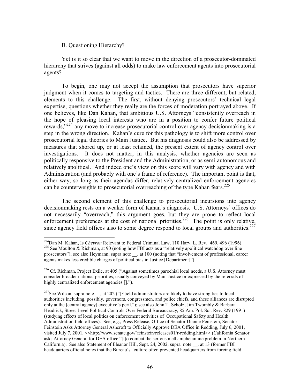#### B. Questioning Hierarchy?

Yet is it so clear that we want to move in the direction of a prosecutor-dominated hierarchy that strives (against all odds) to make law enforcement agents into prosecutorial agents?

To begin, one may not accept the assumption that prosecutors have superior judgment when it comes to targeting and tactics. There are three different, but related, elements to this challenge. The first, without denying prosecutors' technical legal expertise, questions whether they really are the forces of moderation portrayed above. If one believes, like Dan Kahan, that ambitious U.S. Attorneys "consistently overreach in the hope of pleasing local interests who are in a position to confer future political rewards,"<sup>224</sup> any move to increase prosecutorial control over agency decision making is a step in the wrong direction. Kahan's cure for this pathology is to shift more control over prosecutorial legal theories to Main Justice. But his diagnosis could also be addressed by measures that shored up, or at least retained, the present extent of agency control over investigations. It does not matter, in this analysis, whether agencies are seen as politically responsive to the President and the Administration, or as semi-autonomous and relatively apolitical. And indeed one's view on this score will vary with agency and with Administration (and probably with one's frame of reference). The important point is that, either way, so long as their agendas differ, relatively centralized enforcement agencies can be counterweights to prosecutorial overreaching of the type Kahan fears.<sup>225</sup>

The second element of this challenge to prosecutorial incursions into agency decision making rests on a weaker form of Kahan's diagnosis. U.S. Attorneys' offices do not necessarily "overreach," this argument goes, but they are prone to reflect local enforcement preferences at the cost of national priorities.<sup>226</sup> The point is only relative, since agency field offices also to some degree respond to local groups and authorities.<sup>227</sup>

 $^{224}$ Dan M. Kahan, Is Chevron Relevant to Federal Criminal Law, 110 Harv. L. Rev. 469, 496 (1996). <sup>225</sup> See Moulton & Richman, at 90 (noting how FBI acts as a "relatively apolitical watchdog over line prosecutors"); see also Heymann, supra note , at 100 (noting that "involvement of professional, career agents makes less credible charges of political bias in Justice [Department]").

<sup>&</sup>lt;sup>226</sup> Cf. Richman, Project Exile, at 405 ("Against sometimes parochial local needs, a U.S. Attorney must consider broader national priorities, usually conveyed by Main Justice or expressed by the referrals of highly centralized enforcement agencies [1.").

<sup>&</sup>lt;sup>227</sup>See Wilson, supra note , at 202 ("[F]ield administrators are likely to have strong ties to local authorities including, possibly, governors, congressmen, and police chiefs, and these alliances are disrupted only at the [central agency] executive's peril."); see also John T. Scholz, Jim Twombly & Barbara Headrick, Street-Level Political Controls Over Federal Bureaucracy, 85 Am. Pol. Sci. Rev. 829 (1991) (studying effects of local politics on enforcement activities of Occupational Safety and Health Administration field offices). See, e.g., Press Release, Office of Senator Dianne Feinstein, Senator Feinstein Asks Attorney General Ashcroft to Officially Approve DEA Office in Redding, July 6, 2001, visited July 7, 2001, <<http://www.senate.gov/`feinstein/releases01/r-redding.html>> (California Senator) asks Attorney General for DEA office "[t]o combat the serious methamphetamine problem in Northern California). See also Statement of Eleanor Hill, Sept. 24, 2002, supra note , at 13 (former FBI headquarters official notes that the Bureau's "culture often prevented headquarters from forcing field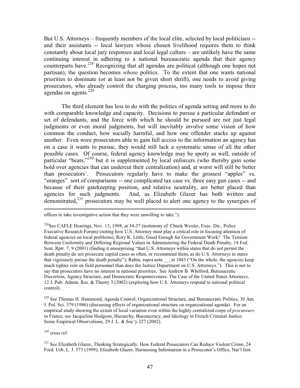But U.S. Attorneys – frequently members of the local elite, selected by local politicians -and their assistants -- local lawyers whose chosen livelihood requires them to think constantly about local jury responses and local legal culture  $-$  are unlikely have the same continuing interest in adhering to a national bureaucratic agenda that their agency counterparts have.<sup>228</sup> Recognizing that all agendas are political (although one hopes not partisan), the question becomes *whose* politics. To the extent that one wants national priorities to dominate (or at least not be given short shrift), one needs to avoid giving prosecutors, who already control the charging process, too many tools to impose their agendas on agents.  $229$ 

The third element has less to do with the politics of agenda setting and more to do with comparable knowledge and capacity. Decisions to pursue a particular defendant or set of defendants, and the force with which he should be pursued are not just legal judgments or even moral judgments, but will inevitably involve some vision of how common the conduct, how socially harmful, and how one offender stacks up against another. Even were prosecutors able to gain full access to the information an agency has on a case it wants to pursue, they would still lack a systematic sense of all the other possible cases. Of course, federal agency knowledge may be spotty as well, outside of particular "beats,"<sup>230</sup> but it is supplemented by local enforcers (who thereby gain some hold over agencies that can undercut their centralization) and, at worst will still be better than prosecutors'. Prosecutors regularly have to make the grossest "apples" vs. "oranges" sort of comparisons -- one complicated tax case vs. three easy gun cases -- and because of their gatekeeping position, and relative neutrality, are better placed than agencies for such judgments. And, as Elizabeth Glazer has both written and demonstrated, $231$  prosecutors may be well placed to alert one agency to the synergies of

<sup>229</sup> See Thomas H. Hammond, Agenda Control, Organizational Structure, and Bureaucratic Politics, 30 Am. J. Pol. Sci. 379 (1986) (discussing effects of organizational structure on organizational agenda). For an empirical study showing the extent of local variation even within the highly centralized corps of *procureurs* in France, see Jacqueline Hodgson, Hierarchy, Bureaucracy, and Ideology in French Criminal Justice: Some Empirical Observations, 29 J. L. & Soc'y 227 (2002).

 $^{\rm 230}$  cross ref

<sup>231</sup> See Elizabeth Glazer, Thinking Strategically: How Federal Prosecutors Can Reduce Violent Crime, 24 Ford. Urb. L. J. 573 (1999); Elizabeth Glazer, Harnessing Information in a Prosecutor's Office, Nat'l Inst.

offices to take investigative action that they were unwilling to take.").

<sup>&</sup>lt;sup>228</sup>See CAFLE Hearings, Nov. 13, 1998, at 34-37 (testimony of Chuck Wexler, Exec. Dir., Police Executive Research Forum) (noting how U.S. Attorney must play a critical role in focusing attention of federal agencies on local problems); Rory K. Little, Good Enough for Government Work? The Tension Between Uniformity and Differing Regional Values in Administering the Federal Death Penalty, 14 Fed. Sent. Rptr. 7, 9 (2001) (finding it unsurprising "that U.S. Attorneys within states that do not permit the death penalty do not prosecute capital cases as often, or recommend them, as do U.S. Attorneys in states that vigorously pursue the death penalty"); Rabin, supra note , at 1043 ("On the whole, the agencies keep much tighter rein on field personnel than does the Justice Department on U.S. Attorneys."). This is not to say that prosecutors have no interest in national priorities. See Andrew B. Whitford, Bureaucratic Discretion, Agency Structure, and Democratic Responsiveness: The Case of the United States Attorneys, 12 J. Pub. Admin. Res. & Theory 3 (2002) (exploring how U.S. Attorneys respond to national political control).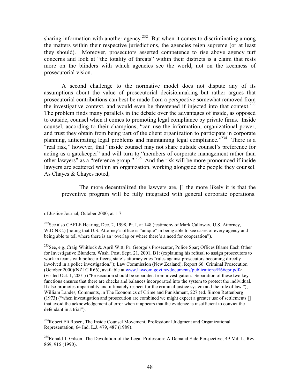sharing information with another agency.<sup>232</sup> But when it comes to discriminating among the matters within their respective jurisdictions, the agencies reign supreme (or at least they should). Moreover, prosecutors asserted competence to rise above agency turf concerns and look at "the totality of threats" within their districts is a claim that rests more on the blinders with which agencies see the world, not on the keenness of prosecutorial vision.

A second challenge to the normative model does not dispute any of its assumptions about the value of prosecutorial decision making but rather argues that prosecutorial contributions can best be made from a perspective somewhat removed from the investigative context, and would even be threatened if injected into that context.<sup>233</sup> The problem finds many parallels in the debate over the advantages of inside, as opposed to outside, counsel when it comes to promoting legal compliance by private firms. Inside counsel, according to their champions, "can use the information, organizational power, and trust they obtain from being part of the client organization to participate in corporate planning, anticipating legal problems and maintaining legal compliance."<sup>234</sup> There is a "real risk," however, that "inside counsel may not share outside counsel's preference for acting as a gatekeeper" and will turn to "members of corporate management rather than other lawyers" as a "reference group." <sup>235</sup> And the risk will be more pronounced if inside lawyers are scattered within an organization, working alongside the people they counsel. As Chayes & Chayes noted,

The more decentralized the lawyers are, [] the more likely it is that the preventive program will be fully integrated with general corporate operations.

<sup>233</sup>See, e.g.,Craig Whitlock & April Witt, Pr. George's Prosecutor, Police Spar; Offices Blame Each Other for Investigative Blunders, Wash. Post, Sept. 21, 2001, B1: (explaining his refusal to assign prosecutors to work in teams with police officers, state's attorney cites "rules against prosecutors becoming directly involved in a police investigation."); Law Commission (New Zealand), Report 66: Criminal Prosecution (October 2000)(NZLC R66), available at www.lawcom.govt.nz/documents/publications/R66cpr.pdf> (visited Oct. 1, 2001) ("Prosecution should be separated from investigation. Separation of these two key functions ensures that there are checks and balances incorporated into the system to protect the individual. It also promotes impartiality and ultimately respect for the criminal justice system and the rule of law."); William Landes, Comments, in The Economics of Crime and Punishment, 227 (ed. Simon Rottenberg (1973) ("when investigation and prosecution are combined we might expect a greater use of settlements [] that avoid the acknowledgement of error when it appears that the evidence is insufficient to convict the defendant in a trial").

<sup>234</sup>Robert Eli Rosen, The Inside Counsel Movement, Professional Judgment and Organizational Representation, 64 Ind. L.J. 479, 487 (1989).

<sup>235</sup>Ronald J. Gilson, The Devolution of the Legal Profession: A Demand Side Perspective, 49 Md. L. Rev. 869, 915 (1990).

of Justice Journal, October 2000, at 1-7.

 $^{232}$ See also CAFLE Hearing, Dec. 2, 1998, Pt. I, at 148 (testimony of Mark Calloway, U.S. Attorney, W.D.N.C.) (noting that U.S. Attorney's office is "unique" in being able to see cases of every agency and being able to tell where there is an "overlap or where there's a need for cooperation").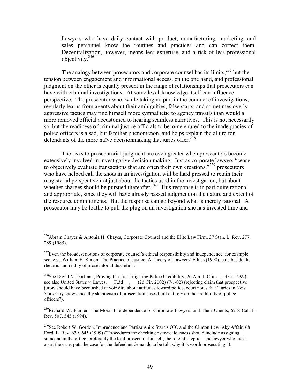Lawyers who have daily contact with product, manufacturing, marketing, and sales personnel know the routines and practices and can correct them. Decentralization, however, means less expertise, and a risk of less professional objectivity. $^{236}$ 

The analogy between prosecutors and corporate counsel has its limits, <sup>237</sup> but the tension between engagement and informational access, on the one hand, and professional judgment on the other is equally present in the range of relationships that prosecutors can have with criminal investigations. At some level, knowledge itself can influence perspective. The prosecutor who, while taking no part in the conduct of investigations, regularly learns from agents about their ambiguities, false starts, and sometimes overly aggressive tactics may find himself more sympathetic to agency travails than would a more removed official accustomed to hearing seamless narratives. This is not necessarily so, but the readiness of criminal justice officials to become enured to the inadequacies of police officers is a sad, but familiar phenomenon, and helps explain the allure for defendants of the more naïve decision making that juries offer.  $238$ 

The risks to prosecutorial judgment are even greater when prosecutors become extensively involved in investigative decision making. Just as corporate lawyers "cease" to objectively evaluate transactions that are often their own creations,"<sup>239</sup> prosecutors who have helped call the shots in an investigation will be hard pressed to retain their magisterial perspective not just about the tactics used in the investigation, but about whether charges should be pursued thereafter.<sup>240</sup> This response is in part quite rational and appropriate, since they will have already passed judgment on the nature and extent of the resource commitments. But the response can go beyond what is merely rational. A prosecutor may be loathe to pull the plug on an investigation she has invested time and

<sup>239</sup>Richard W. Painter, The Moral Interdependence of Corporate Lawyers and Their Clients, 67 S Cal. L. Rev. 507, 545 (1994).

<sup>&</sup>lt;sup>236</sup>Abram Chayes & Antonia H. Chayes, Corporate Counsel and the Elite Law Firm, 37 Stan. L. Rev. 277, 289 (1985).

<sup>&</sup>lt;sup>237</sup>Even the broadest notions of corporate counsel's ethical responsibility and independence, for example, see, e.g., William H. Simon, The Practice of Justice: A Theory of Lawyers' Ethics (1998), pale beside the rhetoric and reality of prosecutorial discretion.

<sup>&</sup>lt;sup>238</sup>See David N. Dorfman, Proving the Lie: Litigating Police Credibility, 26 Am. J. Crim. L. 455 (1999); see also United States v. Lawes, F.3d \_, (2d Cir. 2002) (7/1/02) (rejecting claim that prospective jurors should have been asked at voir dire about attitudes toward police, court notes that "juries in New York City show a healthy skepticism of prosecution cases built entirely on the credibility of police officers").

<sup>&</sup>lt;sup>240</sup>See Robert W. Gordon, Imprudence and Partisanship: Starr's OIC and the Clinton Lewinsky Affair, 68 Ford. L. Rev. 639, 645 (1999) ("Procedures for checking over-zealousness should include assigning someone in the office, preferably the lead prosecutor himself, the role of skeptic – the lawyer who picks apart the case, puts the case for the defendant demands to be told why it is worth prosecuting.").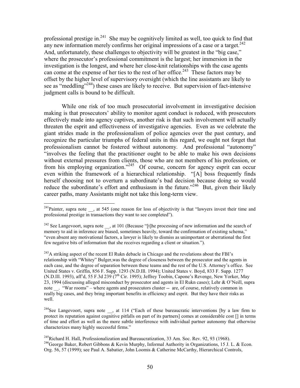professional prestige in.<sup>241</sup> She may be cognitively limited as well, too quick to find that any new information merely confirms her original impressions of a case or a target.<sup>242</sup> And, unfortunately, these challenges to objectivity will be greatest in the "big case," where the prosecutor's professional commitment is the largest; her immersion in the investigation is the longest, and where her close-knit relationships with the case agents can come at the expense of her ties to the rest of her office.<sup>243</sup> These factors may be offset by the higher level of supervisory oversight (which the line assistants are likely to see as "meddling"<sup>244</sup>) these cases are likely to receive. But supervision of fact-intensive judgment calls is bound to be difficult.

While one risk of too much prosecutorial involvement in investigative decision making is that prosecutors' ability to monitor agent conduct is reduced, with prosecutors effectively made into agency captives, another risk is that such involvement will actually threaten the esprit and effectiveness of investigative agencies. Even as we celebrate the giant strides made in the professionalism of police agencies over the past century, and recognize the particular triumphs of federal units in this regard, we ought not forget that professionalism cannot be fostered without autonomy. And professional "autonomy" "involves the feeling that the practitioner ought to be able to make his own decisions without external pressures from clients, those who are not members of his profession, or from his employing organization."<sup>245</sup> Of course, concern for agency esprit can occur even within the framework of a hierarchical relationship. "[A] boss frequently finds herself choosing not to overturn a subordinate's bad decision because doing so would reduce the subordinate's effort and enthusiasm in the future."<sup>246</sup> But, given their likely career paths, many Assistants might not take this long-term view.

<sup>&</sup>lt;sup>241</sup>Painter, supra note , at 545 (one reason for loss of objectivity is that "lawyers invest their time and professional prestige in transactions they want to see completed").

<sup>&</sup>lt;sup>242</sup> See Langevoort, supra note , at 101 (Because "[t] he processing of new information and the search of memory to aid in inference are biased, sometimes heavily, toward the confirmation of existing schema," "even absent any motivational factors, a lawyer is likely to dismiss as unimportant or aberrational the first few negative bits of information that she receives regarding a client or situation.").

<sup>&</sup>lt;sup>243</sup>A striking aspect of the recent El Rukn debacle in Chicago and the revelations about the FBI's relationship with "Whitey" Bulger, was the degree of closeness between the prosecutor and the agents in each case, and the degree of separation between these teams and the rest of the U.S. Attorney's office. See United States v. Griffin, 856 F. Supp. 1293 (N.D.Ill. 1994); United States v. Boyd, 833 F. Supp. 1277 (N.D.Ill. 1993), aff'd, 55 F.3d 239 ( $7<sup>th</sup>$  Cir. 1995); Jeffrey Toobin, Capone's Revenge, New Yorker, May 23, 1994 (discussing alleged misconduct by prosecutor and agents in El Rukn cases); Lehr & O'Neill, supra note . "War rooms" – where agents and prosecutors cluster -- are, of course, relatively common in really big cases, and they bring important benefits in efficiency and esprit. But they have their risks as well.

<sup>&</sup>lt;sup>244</sup>See Langevoort, supra note , at 114 ("Each of these bureaucratic interventions [by a law firm to protect its reputation against cognitive pitfalls on part of its partners] comes at considerable cost [] in terms of time and effort as well as the more subtle interference with individual partner autonomy that otherwise characterizes many highly successful firms."

<sup>&</sup>lt;sup>245</sup>Richard H. Hall, Professionalization and Bureaucratization, 33 Am. Soc. Rev. 92, 93 (1968). <sup>246</sup> George Baker, Robert Gibbons & Kevin Murphy, Informal Authority in Organizations, 15 J. L. & Econ. Org. 56, 57 (1999); see Paul A. Sabatier, John Loomis & Catherine McCarthy, Hierarchical Controls,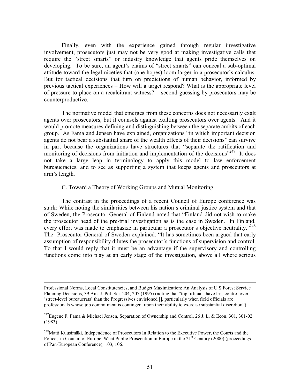Finally, even with the experience gained through regular investigative involvement, prosecutors just may not be very good at making investigative calls that require the "street smarts" or industry knowledge that agents pride themselves on developing. To be sure, an agent's claims of "street smarts" can conceal a sub-optimal attitude toward the legal niceties that (one hopes) loom larger in a prosecutor's calculus. But for tactical decisions that turn on predictions of human behavior, informed by previous tactical experiences – How will a target respond? What is the appropriate level of pressure to place on a recalcitrant witness? – second-guessing by prosecutors may be counterproductive.

The normative model that emerges from these concerns does not necessarily exalt agents over prosecutors, but it counsels against exalting prosecutors over agents. And it would promote measures defining and distinguishing between the separate ambits of each group. As Fama and Jensen have explained, organizations "in which important decision agents do not bear a substantial share of the wealth effects of their decisions" can survive in part because the organizations have structures that "separate the ratification and monitoring of decisions from initiation and implementation of the decisions<sup>"247</sup> It does not take a large leap in terminology to apply this model to law enforcement bureaucracies, and to see as supporting a system that keeps agents and prosecutors at arm's length.

#### C. Toward a Theory of Working Groups and Mutual Monitoring

The contrast in the proceedings of a recent Council of Europe conference was stark: While noting the similarities between his nation's criminal justice system and that of Sweden, the Prosecutor General of Finland noted that "Finland did not wish to make the prosecutor head of the pre-trial investigation as is the case in Sweden. In Finland, every effort was made to emphasize in particular a prosecutor's objective neutrality."<sup>248</sup> The Prosecutor General of Sweden explained: "It has sometimes been argued that early assumption of responsibility dilutes the prosecutor's functions of supervision and control. To that I would reply that it must be an advantage if the supervisory and controlling functions come into play at an early stage of the investigation, above all where serious

Professional Norms, Local Constitutencies, and Budget Maximization: An Analysis of U.S Forest Service Planning Decisions, 39 Am. J. Pol. Sci. 204, 207 (1995) (noting that "top officials have less control over 'street-level bureaucrats' than the Progressives envisioned [], particularly when field officials are professionals whose job commitment is contingent upon their ability to exercise substantial discretion").

<sup>&</sup>lt;sup>247</sup>Eugene F. Fama & Michael Jensen, Separation of Ownership and Control, 26 J. L. & Econ. 301, 301-02  $(1983).$ 

<sup>&</sup>lt;sup>248</sup>Matti Kuusimäki, Independence of Prosecutors In Relation to the Executive Power, the Courts and the Police, in Council of Europe, What Public Prosecution in Europe in the 21<sup>st</sup> Century (2000) (proceedings of Pan-European Conference), 103, 106.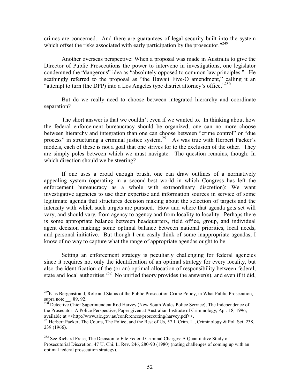crimes are concerned. And there are guarantees of legal security built into the system which offset the risks associated with early participation by the prosecutor."<sup>249</sup>

Another overseas perspective: When a proposal was made in Australia to give the Director of Public Prosecutions the power to intervene in investigations, one legislator condemned the "dangerous" idea as "absolutely opposed to common law principles." He scathingly referred to the proposal as "the Hawaii Five-O amendment," calling it an "attempt to turn (the DPP) into a Los Angeles type district attorney's office."<sup>250</sup>

But do we really need to choose between integrated hierarchy and coordinate separation?

The short answer is that we couldn't even if we wanted to. In thinking about how the federal enforcement bureaucracy should be organized, one can no more choose between hierarchy and integration than one can choose between "crime control" or "due process" in structuring a criminal justice system.<sup>251</sup> As was true with Herbert Packer's models, each of these is not a goal that one strives for to the exclusion of the other. They are simply poles between which we must navigate. The question remains, though: In which direction should we be steering?

If one uses a broad enough brush, one can draw outlines of a normatively appealing system (operating in a second-best world in which Congress has left the enforcement bureaucracy as a whole with extraordinary discretion): We want investigative agencies to use their expertise and information sources in service of some legitimate agenda that structures decision making about the selection of targets and the intensity with which such targets are pursued. How and where that agenda gets set will vary, and should vary, from agency to agency and from locality to locality. Perhaps there is some appropriate balance between headquarters, field office, group, and individual agent decision making; some optimal balance between national priorities, local needs, and personal initiative. But though I can easily think of some inappropriate agendas, I know of no way to capture what the range of appropriate agendas ought to be.

Setting an enforcement strategy is peculiarly challenging for federal agencies since it requires not only the identification of an optimal strategy for every locality, but also the identification of the (or an) optimal allocation of responsibility between federal, state and local authorities.<sup>252</sup> No unified theory provides the answer(s), and even if it did,

<sup>&</sup>lt;sup>249</sup>Klas Bergenstrand, Role and Status of the Public Prosecution Crime Policy, in What Public Prosecution, supra note  $\sim$ , 89, 92.<br><sup>250</sup> Detective Chief Superintendent Rod Harvey (New South Wales Police Service), The Independence of

the Prosecutor: A Police Perspective, Paper given at Australian Institute of Criminology, Apr. 18, 1996; available at << http://www.aic.gov.au/conferences/prosecuting/harvey.pdf>>.

<sup>&</sup>lt;sup>251</sup>Herbert Packer, The Courts, The Police, and the Rest of Us, 57 J. Crim. L., Criminology & Pol. Sci. 238, 239 (1966).

<sup>&</sup>lt;sup>252</sup> See Richard Frase, The Decision to File Federal Criminal Charges: A Quantitative Study of Prosecutorial Discretion, 47 U. Chi. L. Rev. 246, 280-90 (1980) (noting challenges of coming up with an optimal federal prosecution strategy).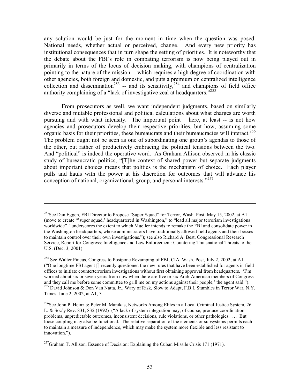any solution would be just for the moment in time when the question was posed. National needs, whether actual or perceived, change. And every new priority has institutional consequences that in turn shape the setting of priorities. It is noteworthy that the debate about the FBI's role in combating terrorism is now being played out in primarily in terms of the locus of decision making, with champions of centralization pointing to the nature of the mission -- which requires a high degree of coordination with other agencies, both foreign and domestic, and puts a premium on centralized intelligence collection and dissemination<sup>253</sup> -- and its sensitivity,<sup>254</sup> and champions of field office authority complaining of a "lack of investigative zeal at headquarters."<sup>255</sup>

From prosecutors as well, we want independent judgments, based on similarly diverse and mutable professional and political calculations about what charges are worth pursuing and with what intensity. The important point – here, at least -- is not how agencies and prosecutors develop their respective priorities, but how, assuming some organic basis for their priorities, these bureaucrats and their bureaucracies will interact.<sup>256</sup> The problem ought not be seen as one of subordinating one group's agendas to those of the other, but rather of productively embracing the political tensions between the two. And "political" is indeed the operative word. As Graham Allison observed in his classic study of bureaucratic politics, "[T]he context of shared power but separate judgments about important choices means that politics is the mechanism of choice. Each player pulls and hauls with the power at his discretion for outcomes that will advance his conception of national, organizational, group, and personal interests."<sup>257</sup>

<sup>&</sup>lt;sup>253</sup>See Dan Eggen, FBI Director to Propose "Super Squad" for Terror, Wash. Post, May 15, 2002, at A1 (move to create "super squad,' headquartered in Washington," to "lead all major terrorism investigations worldwide" "underscores the extent to which Mueller intends to remake the FBI and consolidate power in the Washington headquarters, whose administrators have traditionally allowed field agents and their bosses to maintain control over their own investigations."); see also Richard A. Best, Congressional Research Service, Report for Congress: Intelligence and Law Enforcement: Countering Transnational Threats to the U.S. (Dec. 3, 2001).

<sup>&</sup>lt;sup>254</sup> See Walter Pincus, Congress to Postpone Revamping of FBI, CIA, Wash. Post, July 2, 2002, at A1 ("One longtime FBI agent [] recently questioned the new rules that have been established for agents in field offices to initiate counterterrorism investigations without first obtaining approval from headquarters. 'I'm worried about six or seven years from now when there are five or six Arab-American members of Congress and they call me before some committee to grill me on my actions against their people,' the agent said.").<br><sup>255</sup> David Johnson & Don Van Natta, Jr., Wary of Risk, Slow to Adapt, F.B.I. Stumbles in Terror War, N.Y. Times, June 2, 2002, at A1, 31.

<sup>&</sup>lt;sup>256</sup>See John P. Heinz & Peter M. Manikas, Networks Among Elites in a Local Criminal Justice System, 26 L. & Soc'y Rev. 831, 832 (1992) ("A lack of system integration may, of course, produce coordination problems, unpredictable outcomes, inconsistent decisions, rule violations, or other pathologies. ... But loose coupling may also be functional. The relative separation of the elements or subsystems permits each to maintain a measure of independence, which may make the system more flexible and less resistant to innovation.").

 $^{257}$ Graham T. Allison, Essence of Decision: Explaining the Cuban Missile Crisis 171 (1971).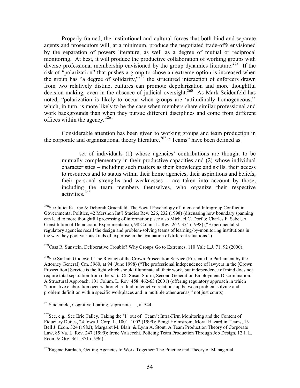Properly framed, the institutional and cultural forces that both bind and separate agents and prosecutors will, at a minimum, produce the negotiated trade-offs envisioned by the separation of powers literature, as well as a degree of mutual or reciprocal monitoring. At best, it will produce the productive collaboration of working groups with diverse professional membership envisioned by the group dynamics literature.<sup>258</sup> If the risk of "polarization" that pushes a group to chose an extreme option is increased when the group has "a degree of solidarity," the structured interaction of enforcers drawn from two relatively distinct cultures can promote depolarization and more thoughtful decision-making, even in the absence of judicial oversight.<sup>260</sup> As Mark Seidenfeld has noted, "polarization is likely to occur when groups are 'attitudinally homogeneous," which, in turn, is more likely to be the case when members share similar professional and work backgrounds than when they pursue different disciplines and come from different offices within the agency."<sup>261</sup>

Considerable attention has been given to working groups and team production in the corporate and organizational theory literature.<sup>262</sup> "Teams" have been defined as

set of individuals (1) whose agencies' contributions are thought to be mutually complementary in their productive capacities and (2) whose individual characteristics – including such matters as their knowledge and skills, their access to resources and to status within their home agencies, their aspirations and beliefs, their personal strengths and weaknesses – are taken into account by those, including the team members themselves, who organize their respective activities.<sup>263</sup>

<sup>259</sup>Cass R. Sunstein, Deliberative Trouble? Why Groups Go to Extremes, 110 Yale L.J. 71, 92 (2000).

<sup>260</sup>See Sir Iain Glidewell. The Review of the Crown Prosecution Service (Presented to Parliament by the Attorney General) Cm. 3960, at 94 (June 1998) ("The professional independence of lawyers in the [Crown Prosecution] Service is the light which should illuminate all their work, but independence of mind does not require total separation from others."). Cf. Susan Sturm, Second Generation Employment Discrimination: A Structural Approach, 101 Colum. L. Rev. 458, 462-63 (2001) (offering regulatory approach in which "normative elaboration occurs through a fluid, interactive relationship between problem solving and problem definition within specific workplaces and in multiple other arenas," not just courts).

 $^{261}$ Seidenfeld, Cognitive Loafing, supra note , at 544.

<sup>&</sup>lt;sup>258</sup>See Juliet Kaarbo & Deborah Gruenfeld, The Social Psychology of Inter- and Intragroup Conflict in Governmental Politics, 42 Mershon Int'l Studies Rev. 226, 232 (1998) (discussing how boundary spanning can lead to more thoughtful processing of information); see also Michael C. Dorf & Charles F. Sabel, A Constitution of Democratic Experimentalism, 98 Colum. L. Rev. 267, 354 (1998) ("Experimentalist regulatory agencies recall the design and problem-solving teams of learning-by-monitoring institutions in the way they pool various kinds of expertise in the evaluation of different situations.").

 $^{262}$ See, e.g., See Eric Talley, Taking the "I" out of "Team": Intra-Firm Monitoring and the Content of Fiduciary Duties, 24 Iowa J. Corp. L. 1001, 1002 (1999); Bengt Holmstrom, Moral Hazard in Teams, 13 Bell J. Econ. 324 (1982); Margaret M. Blair & Lynn A. Stout, A Team Production Theory of Corporate Law, 85 Va. L. Rev. 247 (1999); Irene Valsecchi, Policing Team Production Through Job Design, 12 J. L. Econ. & Org. 361, 371 (1996).

<sup>&</sup>lt;sup>263</sup>Eugene Bardach, Getting Agencies to Work Together: The Practice and Theory of Managerial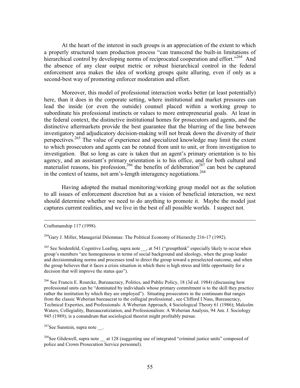At the heart of the interest in such groups is an appreciation of the extent to which a properly structured team production process "can transcend the built-in limitations of hierarchical control by developing norms of reciprocated cooperation and effort."<sup>264</sup> And the absence of any clear output metric or robust hierarchical control in the federal enforcement area makes the idea of working groups quite alluring, even if only as a second-best way of promoting enforcer moderation and effort.

Moreover, this model of professional interaction works better (at least potentially) here, than it does in the corporate setting, where institutional and market pressures can lead the inside (or even the outside) counsel placed within a working group to subordinate his professional instincts or values to more entrepreneurial goals. At least in the federal context, the distinctive institutional homes for prosecutors and agents, and the distinctive aftermarkets provide the best guarantee that the blurring of the line between investigatory and adjudicatory decision-making will not break down the diversity of their perspectives.<sup>265</sup> The value of experience and specialized knowledge may limit the extent to which prosecutors and agents can be rotated from unit to unit, or from investigation to investigation. But so long as care is taken that an agent's primary orientation is to his agency, and an assistant's primary orientation is to his office, and for both cultural and materialist reasons, his profession,<sup>266</sup> the benefits of deliberation<sup>267</sup> can best be captured in the context of teams, not arm's-length interagency negotiations.<sup>268</sup>

Having adopted the mutual monitoring/working group model not as the solution to all issues of enforcement discretion but as a vision of beneficial interaction, we next should determine whether we need to do anything to promote it. Maybe the model just captures current realities, and we live in the best of all possible worlds. I suspect not.

<sup>264</sup>Gary J. Miller, Managerial Dilemmas: The Political Economy of Hierarchy 216-17 (1992).

<sup>265</sup> See Seidenfeld, Cognitive Loafing, supra note \_\_, at 541 ("groupthink" especially likely to occur when group's members "are homogeneous in terms of social background and ideology, when the group leader and decisionmaking norms and processes tend to direct the group toward a preselected outcome, and when the group believes that it faces a crisis situation in which there is high stress and little opportunity for a decision that will improve the status quo").

<sup>266</sup> See Francis E. Rourcke, Bureaucracy, Politics, and Public Policy, 18 (3d ed. 1984) (discussing how professional units can be "dominated by individuals whose primary commitment is to the skill they practice rather the institution by which they are employed"). Situating prosecutors in the continuum that ranges from the classic Weberian bureaucrat to the collegial professional, see Clifford I Nass, Bureaucracy, Technical Experties, and Professionals: A Weberian Approach, 4 Sociological Theory 61 (1986); Malcolm Waters, Collegiality, Bureaucratiziation, and Professionalism: A Weberian Analysis, 94 Am. J. Sociology 945 (1989); is a conundrum that sociological theorist might profitably pursue.

 $267$ See Sunstein, supra note.

 $^{268}$ See Glidewell, supra note at 128 (suggesting use of integrated "criminal justice units" composed of police and Crown Prosecution Service personnel).

Craftsmanship 117 (1998).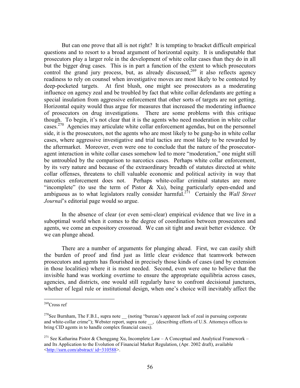But can one prove that all is not right? It is tempting to bracket difficult empirical questions and to resort to a broad argument of horizontal equity. It is undisputable that prosecutors play a larger role in the development of white collar cases than they do in all but the bigger drug cases. This is in part a function of the extent to which prosecutors control the grand jury process, but, as already discussed,<sup>269</sup> it also reflects agency readiness to rely on counsel when investigative moves are most likely to be contested by deep-pocketed targets. At first blush, one might see prosecutors as a moderating influence on agency zeal and be troubled by fact that white collar defendants are getting a special insulation from aggressive enforcement that other sorts of targets are not getting. Horizontal equity would thus argue for measures that increased the moderating influence of prosecutors on drug investigations. There are some problems with this critique though. To begin, it's not clear that it is the agents who need moderation in white collar cases.<sup>270</sup> Agencies may articulate white collar enforcement agendas, but on the personnel side, it is the prosecutors, not the agents who are most likely to be gung-ho in white collar cases, where aggressive investigative and trial tactics are most likely to be rewarded by the aftermarket. Moreover, even were one to conclude that the nature of the prosecutoragent interaction in white collar cases somehow led to more "moderation," one might still be untroubled by the comparison to narcotics cases. Perhaps white collar enforcement, by its very nature and because of the extraordinary breadth of statutes directed at white collar offenses, threatens to chill valuable economic and political activity in way that narcotics enforcement does not. Perhaps white-collar criminal statutes are more "incomplete" (to use the term of Pistor  $\&$  Xu), being particularly open-ended and ambiguous as to what legislators really consider harmful.<sup>271</sup> Certainly the *Wall Street Journal*'s editorial page would so argue.

In the absence of clear (or even semi-clear) empirical evidence that we live in a suboptimal world when it comes to the degree of coordination between prosecutors and agents, we come an expository crossroad. We can sit tight and await better evidence. Or we can plunge ahead.

There are a number of arguments for plunging ahead. First, we can easily shift the burden of proof and find just as little clear evidence that teamwork between prosecutors and agents has flourished in precisely those kinds of cases (and by extension in those localities) where it is most needed. Second, even were one to believe that the invisible hand was working overtime to ensure the appropriate equilibria across cases, agencies, and districts, one would still regularly have to confront decisional junctures, whether of legal rule or institutional design, when one's choice will inevitably affect the

 $269$ Cross ref

<sup>&</sup>lt;sup>270</sup>See Burnham, The F.B.I., supra note  $\_\_$  (noting "bureau's apparent lack of zeal in pursuing corporate and white-collar crime"); Webster report, supra note (describing efforts of U.S. Attorneys offices to bring CID agents in to handle complex financial cases).

<sup>&</sup>lt;sup>271</sup> See Katharina Pistor & Chenggang Xu, Incomplete Law – A Conceptual and Analytical Framework – and Its Application to the Evolution of Financial Market Regulation, (Apr. 2002 draft), available <http://ssrn.com/abstract/id=310588>.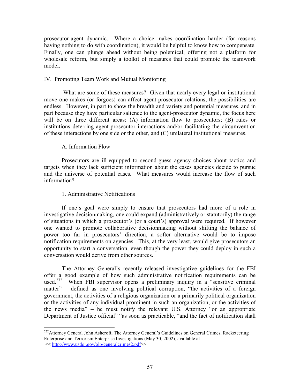prosecutor-agent dynamic. Where a choice makes coordination harder (for reasons having nothing to do with coordination), it would be helpful to know how to compensate. Finally, one can plunge ahead without being polemical, offering not a platform for wholesale reform, but simply a toolkit of measures that could promote the teamwork model.

### IV. Promoting Team Work and Mutual Monitoring

What are some of these measures? Given that nearly every legal or institutional move one makes (or forgoes) can affect agent-prosecutor relations, the possibilities are endless. However, in part to show the breadth and variety and potential measures, and in part because they have particular salience to the agent-prosecutor dynamic, the focus here will be on three different areas: (A) information flow to prosecutors; (B) rules or institutions deterring agent-prosecutor interactions and/or facilitating the circumvention of these interactions by one side or the other, and (C) unilateral institutional measures.

# A. Information Flow

Prosecutors are ill-equipped to second-guess agency choices about tactics and targets when they lack sufficient information about the cases agencies decide to pursue and the universe of potential cases. What measures would increase the flow of such information?

# 1. Administrative Notifications

If one's goal were simply to ensure that prosecutors had more of a role in investigative decision making, one could expand (administratively or statutorily) the range of situations in which a prosecutor's (or a court's) approval were required. If however one wanted to promote collaborative decision making without shifting the balance of power too far in prosecutors' direction, a softer alternative would be to impose notification requirements on agencies. This, at the very least, would give prosecutors an opportunity to start a conversation, even though the power they could deploy in such a conversation would derive from other sources.

The Attorney General's recently released investigative guidelines for the FBI offer a good example of how such administrative notification requirements can be used.<sup>272</sup> When FBI supervisor opens a preliminary inquiry in a "sensitive criminal" matter" – defined as one involving political corruption, "the activities of a foreign government, the activities of a religious organization or a primarily political organization or the activities of any individual prominent in such an organization, or the activities of the news media" - he must notify the relevant U.S. Attorney "or an appropriate Department of Justice official" "as soon as practicable, "and the fact of notification shall

<sup>&</sup>lt;sup>272</sup>Attorney General John Ashcroft, The Attorney General's Guidelines on General Crimes, Racketeering Enterprise and Terrorism Enterprise Investigations (May 30, 2002), available at << http://www.usdoi.gov/olp/generalcrimes2.pdf>>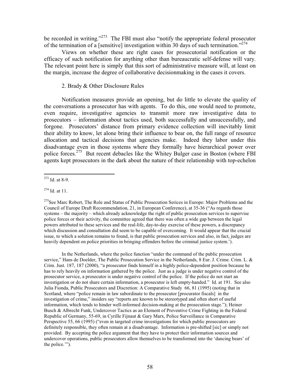be recorded in writing."<sup>273</sup> The FBI must also "notify the appropriate federal prosecutor" of the termination of a [sensitive] investigation within 30 days of such termination."<sup>274</sup>

Views on whether these are right cases for prosecutorial notification or the efficacy of such notification for anything other than bureaucratic self-defense will vary. The relevant point here is simply that this sort of administrative measure will, at least on the margin, increase the degree of collaborative decision making in the cases it covers.

# 2. Brady & Other Disclosure Rules

Notification measures provide an opening, but do little to elevate the quality of the conversations a prosecutor has with agents. To do this, one would need to promote, even require, investigative agencies to transmit more raw investigative data to prosecutors – information about tactics used, both successfully and unsuccessfully, and forgone. Prosecutors' distance from primary evidence collection will inevitably limit their ability to know, let alone bring their influence to bear on, the full range of resource allocation and tactical decisions that agencies make. Indeed they labor under this disadvantage even in those systems where they formally have hierarchical power over police forces.<sup>275</sup> But recent debacles like the Whitey Bulger case in Boston (where FBI agents kept prosecutors in the dark about the nature of their relationship with top-echelon

<sup>275</sup>See Marc Robert, The Role and Status of Public Prosecution Serices in Europe: Major Problems and the Council of Europe Draft Recommendation, 21, in European Conference), at 35-36 ("As regards those systems – the majority – which already acknowledge the right of public prosecution services to supervise police forces or their activity, the committee agreed that there was often a wide gap between the legal powers attributed to these services and the real-life, day-to-day exercise of these powers, a discrepancy which discussion and consultation did seem to be capable of overcoming. It would appear that the crucial issue, to which a solution remains to found, is that public prosecution services and also, in fact, judges are heavily dependent on police priorities in bringing offenders before the criminal justice system.').

In the Netherlands, where the police function "under the command of the public prosecution" service," Hans de Doelder, The Public Prosecution Service in the Netherlands, 8 Eur. J. Crime. Crim. L. & Crim. Just. 187, 187 (2000), "a prosecutor finds himself in a highly police-dependent position because he has to rely heavily on information gathered by the police. Just as a judge is under negative control of the prosecutor service, a prosecutor is under negative control of the police. If the police do not start an investigation or do not share certain information, a prosecutor is left empty-handed." Id. at 191. See also Julia Fionda, Public Prosecutors and Discretion: A Comparative Study 66, 81 (1995) (noting that in Scotland, where "police remain in law subordinate to the prosecutor [procurator fiscals] in the investigation of crime," insiders say "reports are known to be stereotyped and often short of useful information, which tends to hinder well-informed decision-making at the prosecution stage."); Heiner Busch & Albrecht Funk, Undercover Tactics as an Element of Preventive Crime Fighting in the Federal Republic of Germany, 55-69, in Cyrille Fijnaut & Gary Marx, Police Surveillance in Comparative Perspective 55, 66 (1995) ("even in targeted crime investigations for which public prosecutors are definitely responsible, they often remain at a disadvantage. Information is pre-shifted [sic] or simply not provided. By accepting the police argument that they have to protect their information sources and undercover operations, public prosecutors allow themselves to be transformed into the 'dancing bears' of the police."").

 $273$  Id. at 8-9.

 $274$  Id. at 11.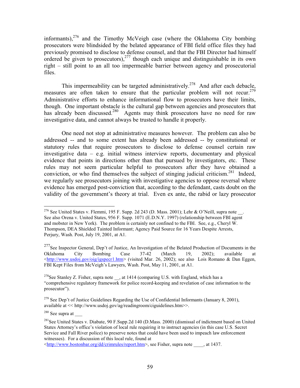informants),  $276$  and the Timothy McVeigh case (where the Oklahoma City bombing prosecutors were blindsided by the belated appearance of FBI field office files they had previously promised to disclose to defense counsel, and that the FBI Director had himself ordered be given to prosecutors),  $277$  though each unique and distinguishable in its own right – still point to an all too impermeable barrier between agency and prosecutorial files.

This impermeability can be targeted administratively.<sup>278</sup> And after each debacle, measures are often taken to ensure that the particular problem will not recur.<sup>279</sup> Administrative efforts to enhance informational flow to prosecutors have their limits, though. One important obstacle is the cultural gap between agencies and prosecutors that has already been discussed.<sup>280</sup> Agents may think prosecutors have no need for raw investigative data, and cannot always be trusted to handle it properly.

One need not stop at administrative measures however. The problem can also be addressed -- and to some extent has already been addressed -- by constitutional or statutory rules that require prosecutors to disclose to defense counsel certain raw investigative data  $-$  e.g. initial witness interview reports, documentary and physical evidence that points in directions other than that pursued by investigators, etc. These rules may not seem particular helpful to prosecutors after they have obtained a conviction, or who find themselves the subject of stinging judicial criticism.<sup>281</sup> Indeed, we regularly see prosecutors joining with investigative agencies to oppose reversal where evidence has emerged post-conviction that, according to the defendant, casts doubt on the validity of the government's theory at trial. Even ex ante, the rabid or lazy prosecutor

 $280$  See supra at

<http://www.bostonbar.org/dd/crimrules/report.htm>, see Fisher, supra note at 1437.

<sup>&</sup>lt;sup>276</sup> See United States v. Flemmi, 195 F. Supp. 2d 243 (D. Mass. 2001); Lehr & O'Neill, supra note. See also Orena v. United States, 956 F. Supp. 1071 (E.D.N.Y. 1997) (relationship between FBI agent and mobster in New York). The problem is certainly not confined to the FBI. See, e.g., Cheryl W. Thompson, DEA Shielded Tainted Informant; Agency Paid Source for 16 Years Despite Arrests, Perjury, Wash. Post, July 19, 2001, at A1.

<sup>&</sup>lt;sup>277</sup>See Inspector General, Dep't of Justice, An Investigation of the Belated Production of Documents in the Oklahoma City Bombing Case  $37 - 42$ (March 19.  $2002$ : available at  $\lt$ http://www.usdoj.gov/oig/igspecr1.htm> (visited Mar. 26, 2002); see also Lois Romano & Dan Eggen, FBI Kept Files from McVeigh's Lawyers, Wash. Post, May 11, 2001, at A1.

<sup>&</sup>lt;sup>278</sup>See Stanley Z. Fisher, supra note , at 1414 (comparing U.S. with England, which has a "comprehensive regulatory framework for police record-keeping and revelation of case information to the prosecutor").

<sup>&</sup>lt;sup>279</sup> See Dep't of Justice Guidelines Regarding the Use of Confidential Informants (January 8, 2001), available at  $<<$  http://www.usdoj.gov/ag/readingroom/ciguidelines.htm>>.

<sup>&</sup>lt;sup>281</sup>See United States v. Diabate, 90 F.Supp.2d 140 (D.Mass. 2000) (dismissal of indictment based on United States Attorney's office's violation of local rule requiring it to instruct agencies (in this case U.S. Secret Service and Fall River police) to preserve notes that could have been used to impeach law enforcement witnesses). For a discussion of this local rule, found at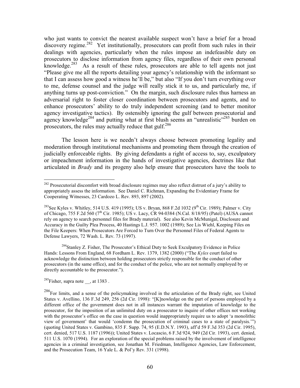who just wants to convict the nearest available suspect won't have a brief for a broad discovery regime.<sup>282</sup> Yet institutionally, prosecutors can profit from such rules in their dealings with agencies, particularly when the rules impose an indefeasible duty on prosecutors to disclose information from agency files, regardless of their own personal knowledge.<sup>283</sup> As a result of these rules, prosecutors are able to tell agents not just "Please give me all the reports detailing your agency's relationship with the informant so that I can assess how good a witness he'll be," but also "If you don't turn everything over to me, defense counsel and the judge will really stick it to us, and particularly me, if anything turns up post-conviction." On the margin, such disclosure rules thus harness an adversarial right to foster closer coordination between prosecutors and agents, and to enhance prosecutors' ability to do truly independent screening (and to better monitor agency investigative tactics). By ostensibly ignoring the gulf between prosecutorial and agency knowledge<sup>284</sup> and putting what at first blush seems an "unrealistic"<sup>285</sup> burden on prosecutors, the rules may actually reduce that gulf.<sup>286</sup>

The lesson here is we needn't always choose between promoting legality and moderation through institutional mechanisms and promoting them through the creation of judicially enforceable rights. By giving defendants a right of access to, say, exculpatory or impeachment information in the hands of investigative agencies, doctrines like that articulated in *Brady* and its progeny also help ensure that prosecutors have the tools to

<sup>284</sup>Stanley Z. Fisher, The Prosecutor's Ethical Duty to Seek Exculpatory Evidence in Police Hands: Lessons From England, 68 Fordham L. Rev. 1379, 1382 (2000) ("The Kyles court failed to acknowledge the distinction between holding prosecutors strictly responsible for the conduct of other prosecutors (in the same office), and for the conduct of the police, who are not normally employed by or directly accountable to the prosecutor.").

<sup>285</sup>Fisher, supra note , at 1383.

<sup>&</sup>lt;sup>282</sup> Prosecutorial discomfort with broad disclosure regimes may also reflect distrust of a jury's ability to appropriately assess the information. See Daniel C. Richman, Expanding the Evidentiary Frame for Cooperating Witnesses, 23 Cardozo L. Rev. 893, 897 (2002).

<sup>&</sup>lt;sup>283</sup>See Kyles v. Whitley, 514 U.S. 419 (1995); US v. Bryan, 868 F.2d 1032 (9<sup>th</sup> Cir. 1989); Palmer v. City of Chicago, 755 F.2d 560 (7<sup>th</sup> Cir. 1985); US v. Lacy, CR 94-0384 (N.Cal. 8/18/95) (Patel) (AUSA cannot rely on agency to search personnel files for Brady material). See also Kevin McMunigal, Disclosure and Accuracy in the Guilty Plea Process, 40 Hastings L.J. 957, 1002 (1989); See Lis Wiehl, Keeping Files on the File Keepers: When Prosecutors Are Forced to Turn Over the Personnel Files of Federal Agents to Defense Lawyers, 72 Wash. L. Rev. 73 (1997).

<sup>&</sup>lt;sup>286</sup>For limits, and a sense of the policymaking involved in the articulation of the Brady right, see United States v. Avellino, 136 F.3d 249, 256 (2d Cir. 1998): "[K] nowledge on the part of persons employed by a different office of the government does not in all instances warrant the imputation of knowledge to the prosecutor, for the imposition of an unlimited duty on a prosecutor to inquire of other offices not working with the prosecutor's office on the case in question would inappropriately require us to adopt 'a monolithic view of government' that would 'condemn the prosecution of criminal cases to a state of paralysis."" (quoting United States v. Gambino, 835 F. Supp. 74, 95 (E.D.N.Y. 1993), aff'd 59 F.3d 353 (2d Cir. 1995), cert. denied, 517 U.S. 1187 (1996)); United States v. Locascio, 6 F.3d 924, 949 (2d Cir. 1993), cert. denied, 511 U.S. 1070 (1994). For an exploration of the special problems raised by the involvement of intelligence agencies in a criminal investigation, see Jonathan M. Friedman, Intelligence Agencies, Law Enforcement, and the Prosecution Team, 16 Yale L. & Pol'y Rev. 331 (1998).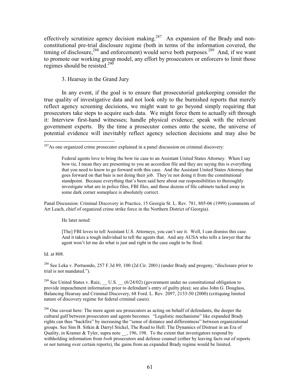effectively scrutinize agency decision making.<sup>287</sup> An expansion of the Brady and nonconstitutional pre-trial disclosure regime (both in terms of the information covered, the timing of disclosure,<sup>288</sup> and enforcement) would serve both purposes.<sup>289</sup> And, if we want to promote our working group model, any effort by prosecutors or enforcers to limit those regimes should be resisted.<sup>290</sup>

### 3. Hearsay in the Grand Jury

In any event, if the goal is to ensure that prosecutorial gate keeping consider the true quality of investigative data and not look only to the burnished reports that merely reflect agency screening decisions, we might want to go beyond simply requiring that prosecutors take steps to acquire such data. We might force them to actually sift through it: Interview first-hand witnesses; handle physical evidence; speak with the relevant government experts. By the time a prosecutor comes onto the scene, the universe of potential evidence will inevitably reflect agency selection decisions and may also be

Panal Discussion: Criminal Discovery in Practice, 15 Georgia St. L. Rev. 781, 805-06 (1999) (comments of Art Leach, chief of organized crime strike force in the Northern District of Georgia).

He later noted:

[The] FBI loves to tell Assistant U.S. Attorneys, you can't see it. Well, I can dismiss this case. And it takes a tough individual to tell the agents that. And any AUSA who tells a lawyer that the agent won't let me do what is just and right in the case ought to be fired.

Id. at 808.

<sup>288</sup> See Leka v. Portuondo, 257 F.3d 89, 100 (2d Cir. 2001) (under Brady and progeny, "disclosure prior to trial is not mandated.").

<sup>289</sup> See United States v. Ruiz, \_\_ U.S. \_\_ (6/24/02) (government under no constitutional obligation to provide impeachment information prior to defendant's entry of guilty plea); see also John G. Douglass, Balancing Hearsay and Criminal Discovery, 68 Ford. L. Rev. 2097, 2133-50 (2000) (critiquing limited nature of discovery regime for federal criminal cases).

 $^{290}$  One caveat here: The more agent see prosecutors as acting on behalf of defendants, the deeper the cultural gulf between prosecutors and agents becomes. "Legalistic mechanisms" like expanded Brady rights can thus "backfire" by increasing the "sense of distance and differentness" between organizational groups. See Sim B. Sitkin & Darryl Stickel, The Road to Hell: The Dynamics of Distrust in an Era of Quality, in Kramer  $\&$  Tyler, supra note  $\,$ , 196, 198. To the extent that investigators respond by withholding information from *both* prosecutors and defense counsel (either by leaving facts out of reports or not turning over certain reports), the gains from an expanded Brady regime would be limited.

<sup>&</sup>lt;sup>287</sup>As one organized crime prosecutor explained in a panel discussion on criminal discovery:

Federal agents love to bring the bow tie case to an Assistant United States Attorney. When I say bow tie, I mean they are presenting to you an accordion file and they are saying this is everything that you need to know to go forward with this case. And the Assistant United States Attorney that goes forward on that bais is not doing their job. They're not doing it from the constitutional standpoint. Because everything that's been said here about our responsibilities to thoroughly investigate what are in police files, FBI files, and those dozens of file cabinets tucked away in some dark corner someplace is absolutely correct.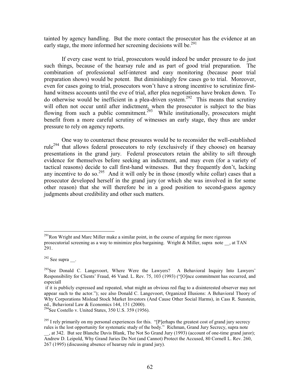tainted by agency handling. But the more contact the prosecutor has the evidence at an early stage, the more informed her screening decisions will be.<sup>291</sup>

If every case went to trial, prosecutors would indeed be under pressure to do just such things, because of the hearsay rule and as part of good trial preparation. The combination of professional self-interest and easy monitoring (because poor trial preparation shows) would be potent. But diminishingly few cases go to trial. Moreover, even for cases going to trial, prosecutors won't have a strong incentive to scrutinize firsthand witness accounts until the eve of trial, after plea negotiations have broken down. To do otherwise would be inefficient in a plea-driven system.<sup>292</sup> This means that scrutiny will often not occur until after indictment, when the prosecutor is subject to the bias flowing from such a public commitment.<sup>293</sup> While institutionally, prosecutors might benefit from a more careful scrutiny of witnesses an early stage, they thus are under pressure to rely on agency reports.

One way to counteract these pressures would be to reconsider the well-established rule<sup>294</sup> that allows federal prosecutors to rely (exclusively if they choose) on hearsay presentations in the grand jury. Federal prosecutors retain the ability to sift through evidence for themselves before seeking an indictment, and may even (for a variety of tactical reasons) decide to call first-hand witnesses. But they frequently don't, lacking any incentive to do so.<sup>295</sup> And it will only be in those (mostly white collar) cases that a prosecutor developed herself in the grand jury (or which she was involved in for some other reason) that she will therefore be in a good position to second-guess agency judgments about credibility and other such matters.

 $^{291}$ Ron Wright and Marc Miller make a similar point, in the course of arguing for more rigorous prosecutorial screening as a way to minimize plea bargaining. Wright & Miller, supra note \_\_, at TAN 291.

 $292$  See supra ...

<sup>&</sup>lt;sup>293</sup>See Donald C. Langevoort, Where Were the Lawyers? A Behavioral Inquiry Into Lawyers' Responsibility for Clients' Fraud, 46 Vand. L. Rev. 75, 103 (1993) ("[O]nce commitment has occurred, and especiall

if it is publicly expressed and repeated, what might an obvious red flag to a disinterested observer may not appear such to the actor."); see also Donald C. Langevoort, Organized Illusions: A Behavioral Theory of Why Corporations Mislead Stock Market Investors (And Cause Other Social Harms), in Cass R. Sunstein, ed., Behavioral Law & Economics 144, 151 (2000).

<sup>&</sup>lt;sup>294</sup>See Costello v. United States, 350 U.S. 359 (1956).

 $^{295}$  I rely primarily on my personal experiences for this. "[P] erhaps the greatest cost of grand jury secrecy rules is the lost opportunity for systematic study of the body." Richman, Grand Jury Secrecy, supra note

\_, at 342. But see Blanche Davis Blank, The Not So Grand Jury (1993) (account of one-time grand juror);<br>Andrew D. Leipold, Why Grand Juries Do Not (and Cannot) Protect the Accused, 80 Cornell L. Rev. 260, 267 (1995) (discussing absence of hearsay rule in grand jury).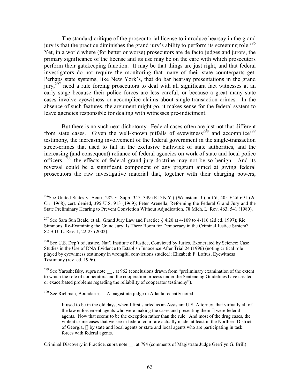The standard critique of the prosecutorial license to introduce hearsay in the grand jury is that the practice diminishes the grand jury's ability to perform its screening role.<sup>296</sup> Yet, in a world where (for better or worse) prosecutors are de facto judges and jurors, the primary significance of the license and its use may be on the care with which prosecutors perform their gate keeping function. It may be that things are just right, and that federal investigators do not require the monitoring that many of their state counterparts get. Perhaps state systems, like New York's, that do bar hearsay presentations in the grand jury,<sup>297</sup> need a rule forcing prosecutors to deal with all significant fact witnesses at an early stage because their police forces are less careful, or because a great many state cases involve eyewitness or accomplice claims about single-transaction crimes. In the absence of such features, the argument might go, it makes sense for the federal system to leave agencies responsible for dealing with witnesses pre-indictment.

But there is no such neat dichotomy. Federal cases often are just not that different from state cases. Given the well-known pitfalls of eyewitness<sup>298</sup> and accomplice<sup>299</sup> testimony, the increasing involvement of the federal government in the single-transaction street-crimes that used to fall in the exclusive bailiwick of state authorities, and the increasing (and consequent) reliance of federal agencies on work of state and local police officers,  $300$  the effects of federal grand jury doctrine may not be so benign. And its reversal could be a significant component of any program aimed at giving federal prosecutors the raw investigative material that, together with their charging powers,

<sup>298</sup> See U.S. Dep't of Justice, Nat'l Institute of Justice, Convicted by Juries, Exonerated by Science: Case Studies in the Use of DNA Evidence to Establish Innocence After Trial 24 (1996) (noting critical role played by eyewitness testimony in wrongful convictions studied); Elizabeth F. Loftus, Eyewitness Testimony (rev. ed. 1996).

<sup>300</sup> See Richman, Boundaries. A magistrate judge in Atlanta recently noted:

Criminal Discovery in Practice, supra note , at 794 (comments of Magistrate Judge Gerrilyn G. Brill).

<sup>&</sup>lt;sup>296</sup>See United States v. Acuri, 282 F. Supp. 347, 349 (E.D.N.Y.) (Weinstein, J.), aff d, 405 F.2d 691 (2d) Cir. 1968), cert. denied, 395 U.S. 913 (1969); Peter Arenella, Reforming the Federal Grand Jury and the State Preliminary Hearing to Prevent Conviction Without Adjudication, 78 Mich. L. Rev. 463, 541 (1980).

<sup>&</sup>lt;sup>297</sup> See Sara Sun Beale, et al., Grand Jury Law and Practice § 4:20 at 4-109 to 4-116 (2d ed. 1997); Ric Simmons, Re-Examining the Grand Jury: Is There Room for Democracy in the Criminal Justice System? 82 B.U. L. Rev. 1, 22-23 (2002).

<sup>&</sup>lt;sup>299</sup> See Yaroshefsky, supra note , at 962 (conclusions drawn from "preliminary examination of the extent to which the role of cooperators and the cooperation process under the Sentencing Guidelines have created or exacerbated problems regarding the reliability of cooperator testimony").

It used to be in the old days, when I first started as an Assistant U.S. Attorney, that virtually all of the law enforcement agents who were making the cases and presenting them [] were federal agents. Now that seems to be the exception rather than the rule. And most of the drug cases, the violent crime cases that we see in federal court are actually made, at least in the Northern District of Georgia, [] by state and local agents or state and local agents who are participating in task forces with federal agents.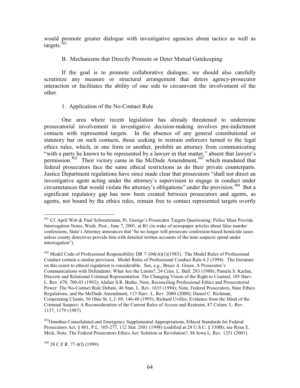would promote greater dialogue with investigative agencies about tactics as well as targets. $301$ 

### B. Mechanisms that Directly Promote or Deter Mutual Gatekeeping

If the goal is to promote collaborative dialogue, we should also carefully scrutinize any measure or structural arrangement that deters agency-prosecutor interaction or facilitates the ability of one side to circumvent the involvement of the other.

# 1. Application of the No-Contact Rule

One area where recent legislation has already threatened to undermine prosecutorial involvement in investigative decision-making involves pre-indictment contacts with represented targets. In the absence of any general constitutional or statutory bar on such contacts, those seeking to restrain enforcers turned to the legal ethics rules, which, in one form or another, prohibit an attorney from communicating "with a party he knows to be represented by a lawyer in that matter," absent that lawyer's permission.<sup>302</sup> Their victory came in the McDade Amendment,<sup>303</sup> which mandated that federal prosecutors face the same ethical restrictions as do their private counterparts. Justice Department regulations have since made clear that prosecutors "shall not direct an investigative agent acting under the attorney's supervision to engage in conduct under circumstances that would violate the attorney's obligations" under the provision.<sup>304</sup> But a significant regulatory gap has now been created between prosecutors and agents, as agents, not bound by the ethics rules, remain free to contact represented targets overtly

<sup>303</sup>Omnibus Consolidated and Emergency Supplemental Appropriations, Ethical Standards for Federal Prosecutors Act, § 801, P.L. 105-277, 112 Stat, 2681 (1998) (codified at 28 U.S.C. § 530B); see Ryan E. Mick, Note, The Federal Prosecutors Ethics Act: Solution or Revolution?, 86 Iowa L. Rev. 1251 (2001).

 $304$  28 C.F.R. 77.4(f) (1999).

<sup>&</sup>lt;sup>301</sup> Cf. April Witt & Paul Schwartzman, Pr. George's Prosecutor Targets Questioning: Police Must Provide Interrogation Notes, Wash. Post., June 7, 2001, at B1 (in wake of newspaper articles about false murder confessions, State's Attorney announces that "he no longer will prosecute confession-based homicide cases unless county detectives provide him with detailed written accounts of the time suspects spend under interrogation").

 $302$  Model Code of Professional Responsibility DR 7-104(A)(1)(1983). The Model Rules of Professional Conduct contain a similar provision. Model Rules of Professional Conduct Rule 4.2 (1994). The literature on this resort to ethical regulation is considerable. See, e.g., Bruce A. Green, A Prosecutor's Communications with Defendants: What Are the Limits?, 24 Crim. L. Bull. 283 (1988); Pamela S. Karlan, Discrete and Relational Criminal Representation: The Changing Vision of the Right to Counsel, 105 Harv. L. Rev. 670, 700-03 (1992); Alafair S.R. Burke, Note, Reconciling Professional Ethics and Prosecutorial Power: The No-Contact Rule Debate, 46 Stan. L. Rev. 1635 (1994); Note, Federal Prosecutors, State Ethics Regulations, and the McDade Amendment, 113 Hary, L. Rev. 2080 (2000); Daniel C. Richman, Cooperating Clients, 56 Ohio St. L.J. 69, 146-48 (1995); Richard Uviller, Evidence from the Mind of the Criminal Suspect: A Reconsideration of the Current Rules of Access and Restraint, 87 Colum. L. Rev. 1137, 1179 (1987).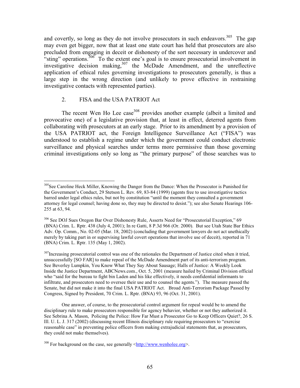and covertly, so long as they do not involve prosecutors in such endeavors.<sup>305</sup> The gap may even get bigger, now that at least one state court has held that prosecutors are also precluded from engaging in deceit or dishonesty of the sort necessary in undercover and "sting" operations.<sup>306</sup> To the extent one's goal is to ensure prosecutorial involvement in investigative decision making,<sup>307</sup> the McDade Amendment, and the unreflective application of ethical rules governing investigations to prosecutors generally, is thus a large step in the wrong direction (and unlikely to prove effective in restraining investigative contacts with represented parties).

#### $2.$ FISA and the USA PATRIOT Act

The recent Wen Ho Lee case<sup>308</sup> provides another example (albeit a limited and provocative one) of a legislative provision that, at least in effect, deterred agents from collaborating with prosecutors at an early stage. Prior to its amendment by a provision of the USA PATRIOT act, the Foreign Intelligence Surveillance Act ("FISA") was understood to establish a regime under which the government could conduct electronic surveillance and physical searches under terms more permissive than those governing criminal investigations only so long as "the primary purpose" of those searches was to

One answer, of course, to the prosecutorial control argument for repeal would be to amend the disciplinary rule to make prosecutors responsible for agency behavior, whether or not they authorized it. See Sebrina A. Mason, Policing the Police: How Far Must a Prosecutor Go to Keep Officers Quiet?, 26 S. Ill. U. L. J. 317 (2002) (discussing recent Illinois disciplinary rule requiring prosecutors to "exercise" reasonable case" in preventing police officers from making extrajudicial statements that, as prosecutors, they could not make themselves).

<sup>305</sup> See Caroline Heck Miller, Knowing the Danger from the Dance: When the Prosecutor is Punished for the Government's Conduct, 29 Stetson L. Rev. 69, 83-84 (1999) (agents free to use investigative tactics barred under legal ethics rules, but not by constitution "until the moment they consulted a government attorney for legal counsel; having done so, they may be directed to desist."); see also Senate Hearings 106-255 at 63, 94.

<sup>&</sup>lt;sup>306</sup> See DOJ Sues Oregon Bar Over Dishonesty Rule, Asserts Need for "Prosecutorial Exception," 69 (BNA) Crim. L. Rptr. 438 (July 4, 2001); In re Gatti, 8 P.3d 966 (Or. 2000). But see Utah State Bar Ethics Adv. Op. Comm., No. 02-05 (Mar. 18, 2002) (concluding that government lawyers do not act unethically merely by taking part in or supervising lawful covert operations that involve use of deceit), reported in 71 (BNA) Crim. L. Rptr. 135 (May 1, 2002).

<sup>&</sup>lt;sup>307</sup>Increasing prosecutorial control was one of the rationales the Department of Justice cited when it tried, unsuccessfully [SO FAR] to make repeal of the McDade Amendment part of its anti-terrorism program. See Beverley Lumpkin, You Know What They Say About Sausage; Halls of Justice: A Weekly Look Inside the Justice Department, ABCNews.com., Oct. 5, 2001 (measure hailed by Criminal Division official who "said for the bureau to fight bin Laden and his like effectively, it needs confidential informants to infiltrate, and prosecutors need to oversee their use and to counsel the agents."). The measure passed the Senate, but did not make it into the final USA PATRIOT Act. Broad Anti-Terrorism Package Passed by Congress, Signed by President, 70 Crim. L. Rptr. (BNA) 93, 96 (Oct. 31, 2001).

 $308$  For background on the case, see generally  $\langle$ http://www.wenholee.org>.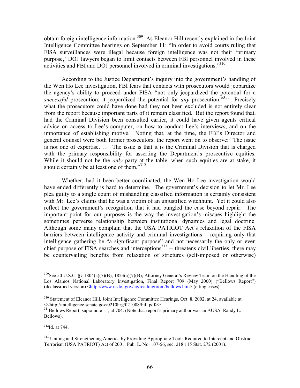obtain foreign intelligence information.<sup>309</sup> As Eleanor Hill recently explained in the Joint Intelligence Committee hearings on September 11: "In order to avoid courts ruling that FISA surveillances were illegal because foreign intelligence was not their 'primary purpose,' DOJ lawyers began to limit contacts between FBI personnel involved in these activities and FBI and DOJ personnel involved in criminal investigations."<sup>310</sup>

According to the Justice Department's inquiry into the government's handling of the Wen Ho Lee investigation, FBI fears that contacts with prosecutors would jeopardize the agency's ability to proceed under FISA "not only jeopardized the potential for a *successful* prosecution; it jeopardized the potential for *any* prosecution."<sup>311</sup> Precisely what the prosecutors could have done had they not been excluded is not entirely clear from the report because important parts of it remain classified. But the report found that, had the Criminal Division been consulted earlier, it could have given agents critical advice on access to Lee's computer, on how to conduct Lee's interviews, and on the importance of establishing motive. Noting that, at the time, the FBI's Director and general counsel were both former prosecutors, the report went on to observe: "The issue is not one of expertise.... The issue is that it is the Criminal Division that is charged with the primary responsibility for asserting the Department's prosecutive equities. While it should not be the *only* party at the table, when such equities are at stake, it should certainly be at least one of them."312

Whether, had it been better coordinated, the Wen Ho Lee investigation would have ended differently is hard to determine. The government's decision to let Mr. Lee plea guilty to a single count of mishandling classified information is certainly consistent with Mr. Lee's claims that he was a victim of an unjustified witchhunt. Yet it could also reflect the government's recognition that it had bungled the case beyond repair. The important point for our purposes is the way the investigation's miscues highlight the sometimes perverse relationship between institutional dynamics and legal doctrine. Although some many complain that the USA PATRIOT Act's relaxation of the FISA barriers between intelligence activity and criminal investigations – requiring only that intelligence gathering be "a significant purpose" and not necessarily the only or even chief purpose of FISA searches and interceptions<sup>313</sup> -- threatens civil liberties, there may be countervailing benefits from relaxation of strictures (self-imposed or otherwise)

<sup>&</sup>lt;sup>309</sup>See 50 U.S.C. §§ 1804(a)(7)(B), 1823(a)(7)(B); Attorney General's Review Team on the Handling of the Los Alamos National Laboratory Investigation, Final Report 709 (May 2000) ("Bellows Report")  $(declassified version)$  <http://www.usdoj.gov/ag/readingroom/bellows.htm> (citing cases).

<sup>&</sup>lt;sup>310</sup> Statement of Eleanor Hill, Joint Intelligence Committee Hearings, Oct. 8, 2002, at 24, available at <<http://intelligence.senate.gov/0210hrg/021008/hill.pdf>>

<sup>&</sup>lt;sup>311</sup>Bellows Report, supra note , at 704. (Note that report's primary author was an AUSA, Randy L. Bellows).

 $312$ Id at 744

<sup>&</sup>lt;sup>313</sup> Uniting and Strengthening America by Providing Appropriate Tools Required to Intercept and Obstruct Terrorism (USA PATRIOT) Act of 2001. Pub. L. No. 107-56, sec. 218 115 Stat. 272 (2001).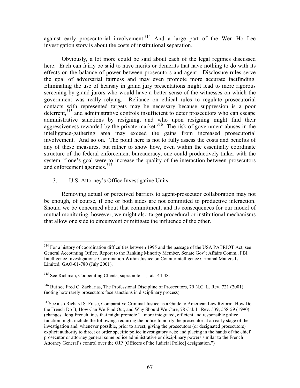against early prosecutorial involvement.<sup>314</sup> And a large part of the Wen Ho Lee investigation story is about the costs of institutional separation.

Obviously, a lot more could be said about each of the legal regimes discussed here. Each can fairly be said to have merits or demerits that have nothing to do with its effects on the balance of power between prosecutors and agent. Disclosure rules serve the goal of adversarial fairness and may even promote more accurate factfinding. Eliminating the use of hearsay in grand jury presentations might lead to more rigorous screening by grand jurors who would have a better sense of the witnesses on which the government was really relying. Reliance on ethical rules to regulate prosecutorial contacts with represented targets may be necessary because suppression is a poor deterrent.<sup>315</sup> and administrative controls insufficient to deter prosecutors who can escape administrative sanctions by resigning, and who upon resigning might find their aggressiveness rewarded by the private market.<sup>316</sup> The risk of government abuses in the intelligence-gathering area may exceed the gains from increased prosecutorial involvement. And so on. The point here is not to fully assess the costs and benefits of any of these measures, but rather to show how, even within the essentially coordinate structure of the federal enforcement bureaucracy, one could productively tinker with the system if one's goal were to increase the quality of the interaction between prosecutors and enforcement agencies.<sup>317</sup>

 $3.$ U.S. Attorney's Office Investigative Units

Removing actual or perceived barriers to agent-prosecutor collaboration may not be enough, of course, if one or both sides are not committed to productive interaction. Should we be concerned about that commitment, and its consequences for our model of mutual monitoring, however, we might also target procedural or institutional mechanisms that allow one side to circumvent or mitigate the influence of the other.

<sup>&</sup>lt;sup>314</sup> For a history of coordination difficulties between 1995 and the passage of the USA PATRIOT Act, see General Accounting Office, Report to the Ranking Minority Member, Senate Gov't Affairs Comm., FBI Intelligence Investigations: Coordination Within Justice on Counterintelligence Criminal Matters Is Limited, GAO-01-780 (July 2001).

<sup>&</sup>lt;sup>315</sup> See Richman, Cooperating Clients, supra note , at 144-48.

<sup>&</sup>lt;sup>316</sup> But see Fred C. Zacharias, The Professional Discipline of Prosecutors, 79 N.C. L. Rev. 721 (2001) (noting how rarely prosecutors face sanctions in disciplinary process).

<sup>&</sup>lt;sup>317</sup>See also Richard S. Frase, Comparative Criminal Justice as a Guide to American Law Reform: How Do the French Do It, How Can We Find Out, and Why Should We Care, 78 Cal. L. Rev. 539, 558-59 (1990) (changes along French lines that might promote "a more integrated, efficient and responsible police function might include the following: requiring the police to notify the prosecutor at an early stage of the investigation and, whenever possible, prior to arrest; giving the prosecutors (or designated prosecutors) explicit authority to direct or order specific police investigatory acts; and placing in the hands of the chief prosecutor or attorney general some police administrative or disciplinary powers similar to the French Attorney General's control over the OJP [Officers of the Judicial Police] designation.")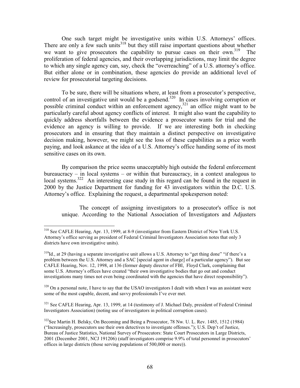One such target might be investigative units within U.S. Attorneys' offices. There are only a few such units<sup>318</sup> but they still raise important questions about whether we want to give prosecutors the capability to pursue cases on their own.<sup>319</sup> The proliferation of federal agencies, and their overlapping jurisdictions, may limit the degree to which any single agency can, say, check the "overreaching" of a U.S. attorney's office. But either alone or in combination, these agencies do provide an additional level of review for prosecutorial targeting decisions.

To be sure, there will be situations where, at least from a prosecutor's perspective, control of an investigative unit would be a godsend.<sup>320</sup> In cases involving corruption or possible criminal conduct within an enforcement agency,<sup>321</sup> an office might want to be particularly careful about agency conflicts of interest. It might also want the capability to quickly address shortfalls between the evidence a prosecutor wants for trial and the evidence an agency is willing to provide. If we are interesting both in checking prosecutors and in ensuring that they maintain a distinct perspective on investigative decision making, however, we might see the loss of these capabilities as a price worth paying, and look askance at the idea of a U.S. Attorney's office handing some of its most sensitive cases on its own.

By comparison the price seems unacceptably high outside the federal enforcement bureaucracy – in local systems – or within that bureaucracy, in a context analogous to local systems.<sup>322</sup> An interesting case study in this regard can be found in the request in 2000 by the Justice Department for funding for 43 investigators within the D.C. U.S. Attorney's office. Explaining the request, a departmental spokesperson noted:

The concept of assigning investigators to a prosecutor's office is not unique. According to the National Association of Investigators and Adjusters

 $320$  On a personal note, I have to say that the USAO investigators I dealt with when I was an assistant were some of the most capable, decent, and savvy professionals I've ever met.

<sup>321</sup> See CAFLE Hearing, Apr. 13, 1999, at 14 (testimony of J. Michael Daly, president of Federal Criminal Investigators Association) (noting use of investigators in political corruption cases).

<sup>&</sup>lt;sup>318</sup> See CAFLE Hearing, Apr. 13, 1999, at 8-9 (investigator from Eastern District of New York U.S. Attorney's office serving as president of Federal Criminal Investigators Association notes that only 3 districts have own investigative units).

 $^{319}$ Id., at 29 (having a separate investigative unit allows a U.S. Attorney to "get thing done" "if there's a problem between the U.S. Attorney and a SAC [special agent in charge] of a particular agency"). But see CAFLE Hearing, Nov. 12, 1998, at 136 (former deputy director of FBI, Floyd Clark, complaining that some U.S. Attorney's offices have created "their own investigative bodies that go out and conduct investigations many times not even being coordinated with the agencies that have direct responsibility").

 $322$ See Martin H. Belsky, On Becoming and Being a Prosecutor, 78 Nw. U. L. Rev. 1485, 1512 (1984) ("Increasingly, prosecutors use their own detectives to investigate offenses."); U.S. Dep't of Justice, Bureau of Justice Statistics, National Survey of Prosecutors: State Court Prosecutors in Large Districts, 2001 (December 2001, NCJ 191206) (staff investigators comprise 9.9% of total personnel in prosecutors' offices in large districts (those serving populations of 500,000 or more)).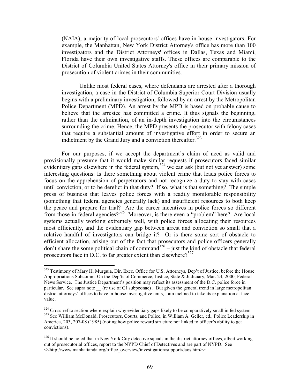(NAIA), a majority of local prosecutors' offices have in-house investigators. For example, the Manhattan, New York District Attorney's office has more than 100 investigators and the District Attorneys' offices in Dallas, Texas and Miami, Florida have their own investigative staffs. These offices are comparable to the District of Columbia United States Attorney's office in their primary mission of prosecution of violent crimes in their communities.

Unlike most federal cases, where defendants are arrested after a thorough investigation, a case in the District of Columbia Superior Court Division usually begins with a preliminary investigation, followed by an arrest by the Metropolitan Police Department (MPD). An arrest by the MPD is based on probable cause to believe that the arrestee has committed a crime. It thus signals the beginning, rather than the culmination, of an in-depth investigation into the circumstances surrounding the crime. Hence, the MPD presents the prosecutor with felony cases that require a substantial amount of investigative effort in order to secure an indictment by the Grand Jury and a conviction thereafter.<sup>323</sup>

For our purposes, if we accept the department's claim of need as valid and provisionally presume that it would make similar requests if prosecutors faced similar evidentiary gaps elsewhere in the federal system,  $324$  we can ask (but not yet answer) some interesting questions: Is there something about violent crime that leads police forces to focus on the apprehension of perpetrators and not recognize a duty to stay with cases until conviction, or to be derelict in that duty? If so, what is that something? The simple press of business that leaves police forces with a readily monitorable responsibility (something that federal agencies generally lack) and insufficient resources to both keep the peace and prepare for trial? Are the career incentives in police forces so different<br>from those in federal agencies?<sup>325</sup> Moreover, is there even a "problem" here? Are local systems actually working extremely well, with police forces allocating their resources most efficiently, and the evidentiary gap between arrest and conviction so small that a relative handful of investigators can bridge it? Or is there some sort of obstacle to efficient allocation, arising out of the fact that prosecutors and police officers generally don't share the some political chain of command<sup>326</sup> – just the kind of obstacle that federal prosecutors face in D.C. to far greater extent than elsewhere?<sup>327</sup>

<sup>323</sup> Testimony of Mary H. Murguia, Dir. Exec. Office for U.S. Attorneys, Dep't of Justice, before the House Appropriations Subcomm. On the Dep'ts of Commerce, Justice, State & Judiciary, Mar. 23, 2000, Federal News Service. The Justice Department's position may reflect its assessment of the D.C. police force in particular. See supra note (re use of GJ subpeonae). But given the general trend in large metropolitan district attorneys' offices to have in-house investigative units, I am inclined to take its explanation at face value.

 $324$  Cross-ref to section where explain why evidentiary gaps likely to be comparatively small in fed system 325 See William McDonald, Prosecutors, Courts, and Police, in William A. Geller, ed., Police Leadership in America, 203, 207-08 (1985) (noting how police reward structure not linked to officer's ability to get convictions).

<sup>&</sup>lt;sup>326</sup> It should be noted that in New York City detective squads in the district attorney offices, albeit working out of prosecutorial offices, report to the NYPD Chief of Detectives and are part of NYPD. See <<http://www.manhattanda.org/office\_overview/investigation/support/daos.htm>>.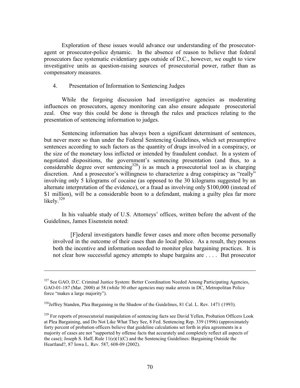Exploration of these issues would advance our understanding of the prosecutoragent or prosecutor-police dynamic. In the absence of reason to believe that federal prosecutors face systematic evidentiary gaps outside of D.C., however, we ought to view investigative units as question-raising sources of prosecutorial power, rather than as compensatory measures.

 $4.$ Presentation of Information to Sentencing Judges

While the forgoing discussion had investigative agencies as moderating influences on prosecutors, agency monitoring can also ensure adequate prosecutorial zeal. One way this could be done is through the rules and practices relating to the presentation of sentencing information to judges.

Sentencing information has always been a significant determinant of sentences, but never more so than under the Federal Sentencing Guidelines, which set presumptive sentences according to such factors as the quantity of drugs involved in a conspiracy, or the size of the monetary loss inflicted or intended by fraudulent conduct. In a system of negotiated dispositions, the government's sentencing presentation (and thus, to a considerable degree over sentencing<sup>328</sup>) is as much a prosecutorial tool as is charging discretion. And a prosecutor's willingness to characterize a drug conspiracy as "really" involving only 5 kilograms of cocaine (as opposed to the 30 kilograms suggested by an alternate interpretation of the evidence), or a fraud as involving only \$100,000 (instead of \$1 million), will be a considerable boon to a defendant, making a guilty plea far more likely.<sup>329</sup>

In his valuable study of U.S. Attorneys' offices, written before the advent of the Guidelines, James Eisenstein noted:

[F] ederal investigators handle fewer cases and more often become personally involved in the outcome of their cases than do local police. As a result, they possess both the incentive and information needed to monitor plea bargaining practices. It is not clear how successful agency attempts to shape bargains are .... But prosecutor

<sup>327</sup> See GAO, D.C. Criminal Justice System: Better Coordination Needed Among Participating Agencies, GAO-01-187 (Mar. 2000) at 58 (while 30 other agencies may make arrests in DC, Metropolitan Police force "makes a large majority").

<sup>&</sup>lt;sup>328</sup>Jeffrey Standen, Plea Bargaining in the Shadow of the Guidelines, 81 Cal. L. Rev. 1471 (1993).

<sup>&</sup>lt;sup>329</sup> For reports of prosecutorial manipulation of sentencing facts see David Yellen, Probation Officers Look at Plea Bargaining, and Do Not Like What They See, 8 Fed. Sentencing Rep. 339 (1996) (approximately forty percent of probation officers believe that guideline calculations set forth in plea agreements in a majority of cases are not "supported by offense facts that accurately and completely reflect all aspects of the case); Joseph S. Haff, Rule  $11(e)(1)(C)$  and the Sentencing Guidelines: Bargaining Outside the Heartland?, 87 Iowa L. Rev. 587, 608-09 (2002).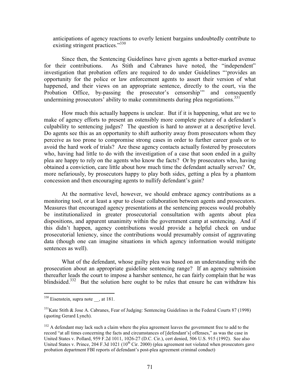anticipations of agency reactions to overly lenient bargains undoubtedly contribute to existing stringent practices."330

Since then, the Sentencing Guidelines have given agents a better-marked avenue As Stith and Cabranes have noted, the "independent" for their contributions. investigation that probation offers are required to do under Guidelines "provides an opportunity for the police or law enforcement agents to assert their version of what happened, and their views on an appropriate sentence, directly to the court, via the Probation Office, by-passing the prosecutor's censorship'" and consequently undermining prosecutors' ability to make commitments during plea negotiations.<sup>331</sup>

How much this actually happens is unclear. But if it is happening, what are we to make of agency efforts to present an ostensibly more complete picture of a defendant's culpability to sentencing judges? The question is hard to answer at a descriptive level. Do agents see this as an opportunity to shift authority away from prosecutors whom they perceive as too prone to compromise strong cases in order to further career goals or to avoid the hard work of trials? Are these agency contacts actually fostered by prosecutors who, having had little to do with the investigation of a case that soon ended in a guilty plea are happy to rely on the agents who know the facts? Or by prosecutors who, having obtained a conviction, care little about how much time the defendant actually serves? Or, more nefariously, by prosecutors happy to play both sides, getting a plea by a phantom concession and then encouraging agents to nullify defendant's gain?

At the normative level, however, we should embrace agency contributions as a monitoring tool, or at least a spur to closer collaboration between agents and prosecutors. Measures that encouraged agency presentations at the sentencing process would probably be institutionalized in greater prosecutorial consultation with agents about plea dispositions, and apparent unanimity within the government camp at sentencing. And if this didn't happen, agency contributions would provide a helpful check on undue prosecutorial leniency, since the contributions would presumably consist of aggravating data (though one can imagine situations in which agency information would mitigate sentences as well).

What of the defendant, whose guilty plea was based on an understanding with the prosecution about an appropriate guideline sentencing range? If an agency submission thereafter leads the court to impose a harsher sentence, he can fairly complain that he was blindsided.<sup>332</sup> But the solution here ought to be rules that ensure he can withdraw his

 $330$  Eisenstein, supra note , at 181.

<sup>&</sup>lt;sup>331</sup>Kate Stith & Jose A. Cabranes, Fear of Judging: Sentencing Guidelines in the Federal Courts 87 (1998) (quoting Gerard Lynch).

<sup>332</sup> A defendant may lack such a claim where the plea agreement leaves the government free to add to the record "at all times concerning the facts and circumstances of [defendant's] offenses," as was the case in United States v. Pollard, 959 F.2d 1011, 1026-27 (D.C. Cir.), cert denied, 506 U.S. 915 (1992). See also United States v. Prince, 204 F.3d 1021 ( $10^{th}$  Cir. 2000) (plea agreement not violated when prosecutors gave probation department FBI reports of defendant's post-plea agreement criminal conduct)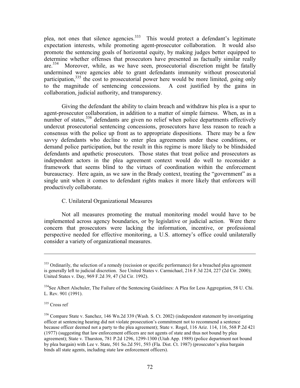plea, not ones that silence agencies.<sup>333</sup> This would protect a defendant's legitimate expectation interests, while promoting agent-prosecutor collaboration. It would also promote the sentencing goals of horizontal equity, by making judges better equipped to determine whether offenses that prosecutors have presented as factually similar really are.<sup>334</sup> Moreover, while, as we have seen, prosecutorial discretion might be fatally undermined were agencies able to grant defendants immunity without prosecutorial participation,<sup>335</sup> the cost to prosecutorial power here would be more limited, going only to the magnitude of sentencing concessions. A cost justified by the gains in collaboration, judicial authority, and transparency.

Giving the defendant the ability to claim breach and withdraw his plea is a spur to agent-prosecutor collaboration, in addition to a matter of simple fairness. When, as in a number of states,<sup>336</sup> defendants are given no relief when police departments effectively undercut prosecutorial sentencing concessions, prosecutors have less reason to reach a consensus with the police up front as to appropriate dispositions. There may be a few savvy defendants who decline to enter plea agreements under these conditions, or demand police participation, but the result in this regime is more likely to be blindsided defendants and apathetic prosecutors. Those states that treat police and prosecutors as independent actors in the plea agreement context would do well to reconsider a framework that seems blind to the virtues of coordination within the enforcement bureaucracy. Here again, as we saw in the Brady context, treating the "government" as a single unit when it comes to defendant rights makes it more likely that enforcers will productively collaborate.

## C. Unilateral Organizational Measures

Not all measures promoting the mutual monitoring model would have to be implemented across agency boundaries, or by legislative or judicial action. Were there concern that prosecutors were lacking the information, incentive, or professional perspective needed for effective monitoring, a U.S. attorney's office could unilaterally consider a variety of organizational measures.

335 Cross ref

<sup>&</sup>lt;sup>333</sup> Ordinarily, the selection of a remedy (recission or specific performance) for a breached plea agreement is generally left to judicial discretion. See United States v. Carmichael, 216 F.3d 224, 227 (2d Cir. 2000); United States v. Day, 969 F.2d 39, 47 (3d Cir. 1992).

<sup>&</sup>lt;sup>334</sup>See Albert Alschuler, The Failure of the Sentencing Guidelines: A Plea for Less Aggregation, 58 U. Chi. L. Rev. 901 (1991).

<sup>336</sup> Compare State v. Sanchez, 146 Wn.2d 339 (Wash. S. Ct. 2002) (independent statement by investigating officer at sentencing hearing did not violate prosecution's commitment not to recommend a sentence because officer deemed not a party to the plea agreement); State v. Rogel, 116 Ariz, 114, 116, 568 P.2d 421 (1977) (suggesting that law enforcement officers are not agents of state and thus not bound by plea agreement); State v. Thurston, 781 P.2d 1296, 1299-1300 (Utah App. 1989) (police department not bound by plea bargain) with Lee v. State, 501 So.2d 591, 593 (Fla. Dist. Ct. 1987) (prosecutor's plea bargain binds all state agents, including state law enforcement officers).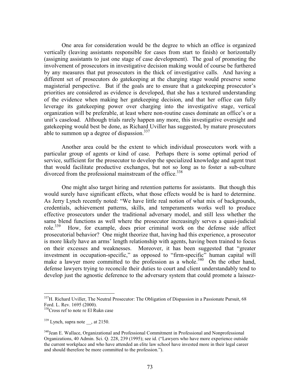One area for consideration would be the degree to which an office is organized vertically (leaving assistants responsible for cases from start to finish) or horizontally (assigning assistants to just one stage of case development). The goal of promoting the involvement of prosecutors in investigative decision making would of course be furthered by any measures that put prosecutors in the thick of investigative calls. And having a different set of prosecutors do gate keeping at the charging stage would preserve some magisterial perspective. But if the goals are to ensure that a gatekeeping prosecutor's priorities are considered as evidence is developed, that she has a textured understanding of the evidence when making her gatekeeping decision, and that her office can fully leverage its gatekeeping power over charging into the investigative stage, vertical organization will be preferable, at least where non-routine cases dominate an office's or a unit's caseload. Although trials rarely happen any more, this investigative oversight and gatekeeping would best be done, as Richard Uviller has suggested, by mature prosecutors able to summon up a degree of dispassion.  $337$ 

Another area could be the extent to which individual prosecutors work with a particular group of agents or kind of case. Perhaps there is some optimal period of service, sufficient for the prosecutor to develop the specialized knowledge and agent trust that would facilitate productive exchanges, but not so long as to foster a sub-culture divorced from the professional mainstream of the office.<sup>338</sup>

One might also target hiring and retention patterns for assistants. But though this would surely have significant effects, what those effects would be is hard to determine. As Jerry Lynch recently noted: "We have little real notion of what mix of backgrounds, credentials, achievement patterns, skills, and temperaments works well to produce effective prosecutors under the traditional adversary model, and still less whether the same blend functions as well where the prosecutor increasingly serves a quasi-judicial role. $339$ How, for example, does prior criminal work on the defense side affect prosecutorial behavior? One might theorize that, having had this experience, a prosecutor is more likely have an arms' length relationship with agents, having been trained to focus on their excesses and weaknesses. Moreover, it has been suggested that "greater" investment in occupation-specific," as opposed to "firm-specific" human capital will make a lawyer more committed to the profession as a whole.<sup>340</sup> On the other hand, defense lawyers trying to reconcile their duties to court and client understandably tend to develop just the agnostic deference to the adversary system that could promote a laissez-

<sup>&</sup>lt;sup>337</sup>H. Richard Uviller, The Neutral Prosecutor: The Obligation of Dispassion in a Passionate Pursuit, 68 Ford. L. Rev. 1695 (2000).

<sup>338</sup> Cross ref to note re El Rukn case

 $339$  Lynch, supra note, at 2150.

<sup>&</sup>lt;sup>340</sup>Jean E. Wallace, Organizational and Professional Commitment in Professional and Nonprofessional Organizations, 40 Admin. Sci. Q. 228, 239 (1995); see id. ("Lawyers who have more experience outside the current workplace and who have attended an elite law school have invested more in their legal career and should therefore be more committed to the profession.").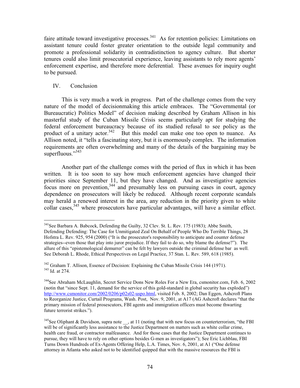faire attitude toward investigative processes.<sup>341</sup> As for retention policies: Limitations on assistant tenure could foster greater orientation to the outside legal community and promote a professional solidarity in contradistinction to agency culture. But shorter tenures could also limit prosecutorial experience, leaving assistants to rely more agents' enforcement expertise, and therefore more deferential. These avenues for inquiry ought to be pursued.

## IV. Conclusion

This is very much a work in progress. Part of the challenge comes from the very nature of the model of decisionmaking this article embraces. The "Governmental (or Bureaucratic) Politics Model" of decision making described by Graham Allison in his masterful study of the Cuban Missile Crisis seems particularly apt for studying the federal enforcement bureaucracy because of its studied refusal to see policy as the product of a unitary actor.  $342$  But this model can make one too open to nuance. As Allison noted, it "tells a fascinating story, but it is enormously complex. The information requirements are often overwhelming and many of the details of the bargaining may be superfluous." $343$ 

Another part of the challenge comes with the period of flux in which it has been written. It is too soon to say how much enforcement agencies have changed their priorities since September 11, but they have changed. And as investigative agencies focus more on prevention,<sup>344</sup> and presumably less on pursuing cases in court, agency dependence on prosecutors will likely be reduced. Although recent corporate scandals may herald a renewed interest in the area, any reduction in the priority given to white collar cases,<sup>345</sup> where prosecutors have particular advantages, will have a similar effect.

<sup>&</sup>lt;sup>341</sup>See Barbara A. Babcock, Defending the Guilty, 32 Clev. St. L. Rev. 175 (1983); Abbe Smith, Defending Defending: The Case for Unmitigated Zeal On Behalf of People Who Do Terrible Things, 28 Hofstra L. Rev. 925, 954 (2000) ("It is the prosecutor's responsibility to anticipate and counter defense strategies--even those that play into juror prejudice. If they fail to do so, why blame the defense?"). The allure of this "epistemological demurrer" can be felt by lawyers outside the criminal defense bar as well. See Deborah L. Rhode, Ethical Perspectives on Legal Practice, 37 Stan. L. Rev. 589, 618 (1985).

<sup>&</sup>lt;sup>342</sup> Graham T. Allison, Essence of Decision: Explaining the Cuban Missile Crisis 144 (1971). <sup>343</sup> Id. at 274.

<sup>&</sup>lt;sup>344</sup>See Abraham McLaughlin, Secret Service Dons New Roles For a New Era, csmonitor.com, Feb. 6, 2002 (notin that "since Sept. 11, demand for the service of this gold-standard in global security has exploded") http://www.csmonitor.com/2002/0206/p02s02-uspo.html, visited Feb. 8, 2002; Dan Eggen, Ashcroft Plans to Reorganize Justice, Curtail Programs, Wash. Post, Nov. 9, 2001, at A17 (AG Ashcroft declares "that the primary mission of federal prosescutors, FBI agents and immigration officers must become thwarting future terrorist strikes.").

<sup>&</sup>lt;sup>345</sup>See Oliphant & Davidson, supra note , at 11 (noting that with new focus on counterterrorism, "the FBI will be of significantly less assistance to the Justice Department on matters such as white collar crime, health care fraud, or contractor malfeasance. And for those cases that the Justice Department continues to pursue, they will have to rely on other options besides G-men as investigators"); See Eric Lichblau, FBI Turns Down Hundreds of Ex-Agents Offering Help, L.A. Times, Nov. 6, 2001, at A1 ("One defense attorney in Atlanta who asked not to be identified quipped that with the massive resources the FBI is